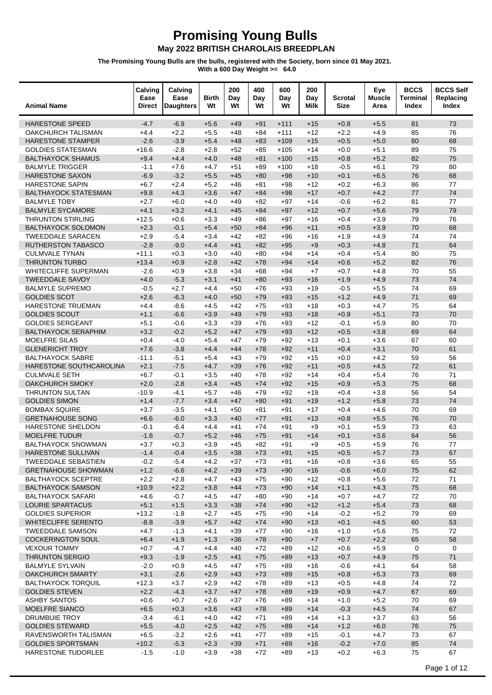| <b>Animal Name</b>                                    | Calving<br>Ease<br>Direct | Calving<br>Ease<br><b>Daughters</b> | <b>Birth</b><br>Wt | 200<br>Day<br>Wt | 400<br>Day<br>Wt | 600<br>Day<br>Wt | 200<br>Day<br>Milk | Scrotal<br><b>Size</b> | Eye<br><b>Muscle</b><br>Area | <b>BCCS</b><br><b>Terminal</b><br>Index | <b>BCCS Self</b><br>Replacing<br>Index |
|-------------------------------------------------------|---------------------------|-------------------------------------|--------------------|------------------|------------------|------------------|--------------------|------------------------|------------------------------|-----------------------------------------|----------------------------------------|
| <b>HARESTONE SPEED</b>                                | $-4.7$                    | $-6.9$                              | $+5.6$             | $+49$            | $+91$            | $+111$           | $+15$              | $+0.8$                 | $+5.5$                       | 81                                      | 73                                     |
| <b>OAKCHURCH TALISMAN</b>                             | $+4.4$                    | $+2.2$                              | $+5.5$             | $+48$            | $+84$            | $+111$           | $+12$              | $+2.2$                 | $+4.9$                       | 85                                      | 76                                     |
| <b>HARESTONE STAMPER</b>                              | $-2.6$                    | $-3.9$                              | $+5.4$             | $+48$            | $+83$            | $+109$           | $+15$              | $+0.5$                 | $+5.0$                       | 80                                      | 68                                     |
| <b>GOLDIES STATESMAN</b>                              | $+16.6$                   | $-2.8$                              | $+2.8$             | $+52$            | $+85$            | $+105$           | $+14$              | $+0.0$                 | $+5.1$                       | 89                                      | 75                                     |
| <b>BALTHAYOCK SHAMUS</b>                              | $+9.4$                    | $+4.4$                              | $+4.0$             | $+48$            | $+81$            | $+100$           | $+15$              | $+0.8$                 | $+5.2$                       | 82                                      | 75                                     |
| <b>BALMYLE TRIGGER</b>                                | $-1.1$                    | $+7.6$                              | $+4.7$             | $+51$            | $+89$            | $+100$           | $+18$              | $-0.5$                 | $+6.1$                       | 79                                      | 80                                     |
| HARESTONE SAXON                                       | $-6.9$                    | $-3.2$                              | $+5.5$             | $+45$            | $+80$            | $+98$            | $+10$              | $+0.1$                 | $+6.5$                       | 76                                      | 68                                     |
| <b>HARESTONE SAPIN</b>                                | $+6.7$                    | $+2.4$                              | $+5.2$             | $+46$            | $+81$            | $+98$            | $+12$              | $+0.2$                 | $+6.3$                       | 86                                      | 77                                     |
| <b>BALTHAYOCK STATESMAN</b>                           | $+9.8$                    | $+4.3$                              | $+3.6$             | $+47$            | $+84$            | $+98$            | $+17$              | $+0.7$                 | $+4.2$                       | 77                                      | 74                                     |
| <b>BALMYLE TOBY</b>                                   | $+2.7$                    | $+6.0$                              | $+4.0$             | $+49$            | $+82$            | $+97$            | $+14$              | $-0.6$                 | $+6.2$                       | 81                                      | 77                                     |
| <b>BALMYLE SYCAMORE</b>                               | $+4.1$                    | $+3.2$                              | $+4.1$             | $+45$            | $+84$            | $+97$            | $+12$              | $+0.7$                 | $+5.6$                       | 79                                      | 79                                     |
| <b>THRUNTON STIRLING</b>                              | $+12.5$                   | $+0.6$                              | $+3.3$             | $+49$            | $+86$            | $+97$            | $+16$              | $+0.4$                 | $+3.9$                       | 79                                      | 76                                     |
| <b>BALTHAYOCK SOLOMON</b>                             | $+2.3$                    | $-0.1$                              | $+5.4$             | $+50$            | $+84$            | $+96$            | $+11$              | $+0.5$                 | $+3.9$                       | 70                                      | 68                                     |
| <b>TWEEDDALE SARACEN</b>                              | $+2.9$                    | $-5.4$                              | $+3.4$             | $+42$            | $+82$            | $+96$            | $+16$              | $+1.9$                 | $+4.9$                       | 74                                      | 74                                     |
| <b>RUTHERSTON TABASCO</b>                             | $-2.8$                    | $-9.0$                              | $+4.4$             | $+41$            | $+82$            | $+95$            | $+9$               | $+0.3$                 | $+4.8$                       | 71                                      | 64                                     |
| <b>CULMVALE TYNAN</b>                                 | $+11.1$                   | $+0.3$                              | $+3.0$             | $+40$            | $+80$            | $+94$            | $+14$              | $+0.4$                 | $+5.4$                       | 80                                      | 75                                     |
| <b>THRUNTON TURBO</b>                                 | $+13.4$                   | $+0.9$                              | $+2.8$             | $+42$            | $+78$            | $+94$            | $+14$              | $+0.6$                 | $+5.2$                       | 82                                      | 76                                     |
| WHITECLIFFE SUPERMAN<br><b>TWEEDDALE SAVOY</b>        | $-2.6$<br>$+4.0$          | $+0.9$<br>$-5.3$                    | $+3.8$<br>$+3.1$   | $+34$            | $+68$            | +94              | $+7$               | $+0.7$<br>$+1.9$       | $+4.8$<br>$+4.9$             | 70<br>73                                | 55<br>74                               |
| <b>BALMYLE SUPREMO</b>                                | $-0.5$                    |                                     | $+4.4$             | $+41$<br>$+50$   | $+80$<br>$+76$   | $+93$            | $+16$              | $-0.5$                 | $+5.5$                       | 74                                      | 69                                     |
| <b>GOLDIES SCOT</b>                                   | $+2.6$                    | $+2.7$<br>$-6.3$                    | $+4.0$             | $+50$            | $+79$            | $+93$<br>$+93$   | $+19$<br>$+15$     | $+1.2$                 | $+4.9$                       | 71                                      | 69                                     |
| HARESTONE TRUEMAN                                     | $+4.4$                    | $-8.6$                              | $+4.5$             | $+42$            | $+75$            | $+93$            | $+18$              | $+0.3$                 | $+4.7$                       | 75                                      | 64                                     |
| <b>GOLDIES SCOUT</b>                                  | $+1.1$                    | $-6.6$                              | $+3.9$             | $+49$            | $+79$            | $+93$            | $+18$              | $+0.9$                 | $+5.1$                       | 73                                      | 70                                     |
| <b>GOLDIES SERGEANT</b>                               | $+5.1$                    | $-0.6$                              | $+3.3$             | $+39$            | $+76$            | $+93$            | $+12$              | $-0.1$                 | $+5.9$                       | 80                                      | 70                                     |
| <b>BALTHAYOCK SERAPHIM</b>                            | $+3.2$                    | $-0.2$                              | $+5.2$             | $+47$            | $+79$            | $+93$            | $+12$              | $+0.5$                 | $+3.8$                       | 69                                      | 64                                     |
| <b>MOELFRE SILAS</b>                                  | $+0.4$                    | $-4.0$                              | $+5.4$             | $+47$            | $+79$            | $+92$            | $+13$              | $+0.1$                 | $+3.6$                       | 67                                      | 60                                     |
| <b>GLENERICHT TROY</b>                                | $+7.6$                    | $-3.8$                              | $+4.4$             | $+44$            | $+78$            | $+92$            | $+11$              | $+0.4$                 | $+3.1$                       | 70                                      | 61                                     |
| <b>BALTHAYOCK SABRE</b>                               | $-11.1$                   | $-5.1$                              | $+5.4$             | $+43$            | $+79$            | $+92$            | $+15$              | $+0.0$                 | $+4.2$                       | 59                                      | 56                                     |
| HARESTONE SOUTHCAROLINA                               | $+2.1$                    | $-7.5$                              | $+4.7$             | $+39$            | $+76$            | $+92$            | $+11$              | $+0.5$                 | $+4.5$                       | 72                                      | 61                                     |
| <b>CULMVALE SETH</b>                                  | $+6.7$                    | $-0.1$                              | $+3.5$             | $+40$            | $+78$            | $+92$            | $+14$              | $+0.4$                 | $+5.4$                       | 76                                      | 71                                     |
| <b>OAKCHURCH SMOKY</b>                                | $+2.0$                    | $-2.8$                              | $+3.4$             | $+45$            | $+74$            | $+92$            | $+15$              | $+0.9$                 | $+5.3$                       | 75                                      | 68                                     |
| <b>THRUNTON SULTAN</b>                                | $-10.9$                   | $-4.1$                              | $+5.7$             | $+46$            | $+79$            | $+92$            | $+19$              | $+0.4$                 | $+3.8$                       | 56                                      | 54                                     |
| <b>GOLDIES SIMON</b>                                  | $+1.4$                    | $-7.7$                              | $+3.4$             | $+47$            | $+80$            | $+91$            | $+19$              | $+1.2$                 | $+5.8$                       | 73                                      | 74                                     |
| <b>BOMBAX SQUIRE</b>                                  | $+3.7$                    | $-3.5$                              | $+4.1$             | $+50$            | $+81$            | $+91$            | $+17$              | $+0.4$                 | $+4.6$                       | 70                                      | 69                                     |
| <b>GRETNAHOUSE SONG</b>                               | $+6.6$                    | $-6.0$                              | $+3.3$             | $+40$            | $+77$            | $+91$            | $+13$              | $+0.8$                 | $+5.5$                       | 76                                      | 70                                     |
| HARESTONE SHELDON                                     | $-0.1$                    | $-6.4$                              | $+4.4$             | $+41$            | $+74$            | $+91$            | $+9$               | $+0.1$                 | $+5.9$                       | 73                                      | 63                                     |
| <b>MOELFRE TUDUR</b>                                  | $-1.6$                    | $-0.7$                              | $+5.2$             | $+46$            | $+75$            | $+91$            | $+14$              | $+0.1$                 | $+3.6$                       | 64                                      | 56                                     |
| <b>BALTHAYOCK SNOWMAN</b>                             | $+3.7$                    | $+0.3$                              | $+3.9$             | $+45$            | $+82$            | $+91$            | $+9$               | $+0.5$                 | $+5.9$                       | 76                                      | 77                                     |
| HARESTONE SULLIVAN                                    | $-1.4$                    | $-0.4$                              | $+3.5$             | $+38$            | $+73$            | $+91$            | $+15$              | $+0.5$                 | $+5.7$                       | 73                                      | 67                                     |
| <b>TWEEDDALE SEBASTIEN</b>                            | $-0.2$                    | $-5.4$                              | $+4.2$             | $+37$            | $+73$            | +91              | +16                | $+0.8$                 | $+3.6$                       | 65                                      | 55                                     |
| <b>GRETNAHOUSE SHOWMAN</b>                            | $+1.2$                    | $-6.6$                              | $+4.2$             | $+39$            | $+73$            | $+90$            | $+16$              | $-0.6$                 | $+6.0$                       | 75                                      | 62                                     |
| <b>BALTHAYOCK SCEPTRE</b>                             | $+2.2$                    | $+2.8$                              | $+4.7$             | $+43$            | $+75$            | $+90$            | $+12$              | $+0.8$                 | $+5.6$                       | 72                                      | 71                                     |
| <b>BALTHAYOCK SAMSON</b>                              | $+10.9$                   | $+2.2$                              | $+3.8$             | $+44$            | $+73$            | $+90$            | $+14$              | $+1.1$                 | $+4.3$                       | 75                                      | 68                                     |
| <b>BALTHAYOCK SAFARI</b>                              | $+4.6$                    | $-0.7$                              | $+4.5$             | $+47$            | $+80$            | $+90$            | $+14$              | $+0.7$                 | $+4.7$                       | 72                                      | 70                                     |
| LOURIE SPARTACUS                                      | $+5.1$                    | $+1.5$                              | $+3.3$             | $+38$            | $+74$            | $+90$            | $+12$              | $+1.2$                 | $+5.4$                       | 73                                      | 68                                     |
| <b>GOLDIES SUPERIOR</b><br><b>WHITECLIFFE SERENTO</b> | $+13.2$                   | $-1.8$                              | $+2.7$<br>$+5.7$   | $+45$            | $+75$            | $+90$            | $+14$              | $-0.2$                 | $+5.2$                       | 79<br>60                                | 69                                     |
| <b>TWEEDDALE SAMSON</b>                               | $-8.8$<br>$+4.7$          | $-3.9$<br>$-1.3$                    | $+4.1$             | $+42$<br>$+39$   | $+74$<br>$+77$   | $+90$<br>$+90$   | $+13$<br>$+16$     | $+0.1$<br>$+1.0$       | $+4.5$<br>$+5.6$             | 75                                      | 53<br>72                               |
| <b>COCKERINGTON SOUL</b>                              | $+6.4$                    | $+1.9$                              | $+1.3$             | $+36$            | $+78$            | $+90$            | $+7$               | $+0.7$                 | $+2.2$                       | 65                                      | 58                                     |
| <b>VEXOUR TOMMY</b>                                   | $+0.7$                    | $-4.7$                              | $+4.4$             | $+40$            | $+72$            | +89              | $+12$              | $+0.6$                 | $+5.9$                       | 0                                       | 0                                      |
| <b>THRUNTON SERGIO</b>                                | $+9.3$                    | $-1.9$                              | $+2.5$             | $+41$            | $+75$            | $+89$            | $+13$              | $+0.7$                 | $+4.9$                       | 75                                      | 71                                     |
| <b>BALMYLE SYLVAIN</b>                                | $-2.0$                    | $+0.9$                              | $+4.5$             | $+47$            | $+75$            | $+89$            | $+16$              | $-0.6$                 | $+4.1$                       | 64                                      | 58                                     |
| OAKCHURCH SMARTY                                      | $+3.1$                    | $-2.6$                              | $+2.9$             | $+43$            | $+73$            | $+89$            | $+15$              | $+0.8$                 | $+5.3$                       | 73                                      | 69                                     |
| <b>BALTHAYOCK TORQUIL</b>                             | $+12.3$                   | $+3.7$                              | $+2.9$             | $+42$            | $+78$            | $+89$            | $+13$              | $+0.5$                 | $+4.8$                       | 74                                      | 72                                     |
| <b>GOLDIES STEVEN</b>                                 | $+2.2$                    | $-4.3$                              | $+3.7$             | $+47$            | $+78$            | $+89$            | $+19$              | $+0.9$                 | $+4.7$                       | 67                                      | 69                                     |
| <b>ASHBY SANTOS</b>                                   | $+0.6$                    | $+0.7$                              | $+2.6$             | $+37$            | $+76$            | +89              | $+14$              | $+1.0$                 | $+5.2$                       | 70                                      | 69                                     |
| MOELFRE SIANCO                                        | $+6.5$                    | $+0.3$                              | $+3.6$             | $+43$            | $+78$            | $+89$            | $+14$              | $-0.3$                 | $+4.5$                       | 74                                      | 67                                     |
| <b>DRUMBUIE TROY</b>                                  | $-3.4$                    | $-6.1$                              | $+4.0$             | $+42$            | $+71$            | +89              | $+14$              | $+1.3$                 | $+3.7$                       | 63                                      | 56                                     |
| <b>GOLDIES STEWARD</b>                                | $+5.5$                    | $-4.0$                              | $+2.5$             | $+42$            | $+75$            | $+89$            | $+14$              | $+1.2$                 | $+6.0$                       | 76                                      | 75                                     |
| RAVENSWORTH TALISMAN                                  | $+6.5$                    | $-3.2$                              | $+2.6$             | $+41$            | $+77$            | +89              | $+15$              | $-0.1$                 | $+4.7$                       | 73                                      | 67                                     |
| <b>GOLDIES SPORTSMAN</b>                              | $+10.2$                   | $-5.3$                              | $+2.3$             | $+39$            | $+71$            | $+89$            | $+16$              | $-0.2$                 | $+7.0$                       | 85                                      | 74                                     |
| HARESTONE TUDORLEE                                    | $-1.5$                    | $-1.0$                              | $+3.9$             | $+38$            | $+72$            | $+89$            | $+13$              | $+0.2$                 | $+6.3$                       | 75                                      | 67                                     |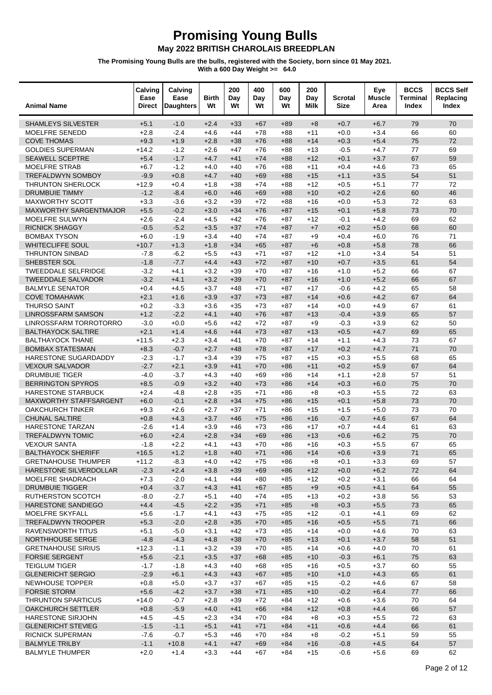| <b>Animal Name</b>                                 | Calving<br>Ease<br><b>Direct</b> | Calving<br>Ease<br><b>Daughters</b> | Birth<br>Wt      | 200<br>Day<br>Wt | 400<br>Day<br>Wt | 600<br>Day<br>Wt | 200<br>Day<br>Milk | <b>Scrotal</b><br><b>Size</b> | Eye<br><b>Muscle</b><br>Area | <b>BCCS</b><br><b>Terminal</b><br>Index | <b>BCCS Self</b><br>Replacing<br>Index |
|----------------------------------------------------|----------------------------------|-------------------------------------|------------------|------------------|------------------|------------------|--------------------|-------------------------------|------------------------------|-----------------------------------------|----------------------------------------|
| <b>SHAMLEYS SILVESTER</b>                          | $+5.1$                           | $-1.0$                              | $+2.4$           | $+33$            | $+67$            | $+89$            | $+8$               | $+0.7$                        | $+6.7$                       | 79                                      | 70                                     |
| MOELFRE SENEDD                                     | $+2.8$                           | $-2.4$                              | $+4.6$           | $+44$            | $+78$            | $+88$            | $+11$              | $+0.0$                        | $+3.4$                       | 66                                      | 60                                     |
| <b>COVE THOMAS</b>                                 | $+9.3$                           | $+1.9$                              | $+2.8$           | $+38$            | $+76$            | $+88$            | $+14$              | $+0.3$                        | $+5.4$                       | 75                                      | 72                                     |
| <b>GOLDIES SUPERMAN</b>                            | $+14.2$                          | $-1.2$                              | $+2.6$           | $+47$            | $+76$            | +88              | $+13$              | $-0.5$                        | $+4.7$                       | 77                                      | 69                                     |
| <b>SEAWELL SCEPTRE</b>                             | $+5.4$                           | $-1.7$                              | $+4.7$           | $+41$            | $+74$            | $+88$            | $+12$              | $+0.1$                        | $+3.7$                       | 67                                      | 59                                     |
| <b>MOELFRE STRAB</b>                               | $+6.7$                           | $-1.2$                              | $+4.0$           | $+40$            | $+76$            | $+88$            | $+11$              | $+0.4$                        | $+4.6$                       | 73                                      | 65                                     |
| TREFALDWYN SOMBOY                                  | $-9.9$                           | $+0.8$                              | $+4.7$           | $+40$            | $+69$            | $+88$            | $+15$              | $+1.1$                        | $+3.5$                       | 54                                      | 51                                     |
| <b>THRUNTON SHERLOCK</b>                           | $+12.9$                          | $+0.4$                              | $+1.8$           | $+38$            | $+74$            | +88              | $+12$              | $+0.5$                        | $+5.1$                       | 77                                      | 72                                     |
| <b>DRUMBUIE TIMMY</b>                              | $-1.2$                           | $-8.4$                              | $+6.0$           | $+46$            | $+69$            | $+88$            | $+10$              | $+0.2$                        | $+2.6$                       | 60                                      | 46                                     |
| <b>MAXWORTHY SCOTT</b>                             | $+3.3$                           | $-3.6$                              | $+3.2$           | $+39$            | $+72$            | $+88$            | $+16$              | $+0.0$                        | $+5.3$                       | 72                                      | 63                                     |
| <b>MAXWORTHY SARGENTMAJOR</b>                      | $+5.5$                           | $-0.2$                              | $+3.0$           | $+34$            | $+76$            | $+87$            | $+15$              | $+0.1$                        | $+5.8$                       | 73                                      | 70                                     |
| MOELFRE SULWYN                                     | $+2.6$                           | $-2.4$                              | $+4.5$           | $+42$            | $+76$            | $+87$            | $+12$              | $-0.1$                        | $+4.2$                       | 69                                      | 62                                     |
| <b>RICNICK SHAGGY</b>                              | $-0.5$                           | $-5.2$                              | $+3.5$           | $+37$            | $+74$            | $+87$            | $+7$               | $+0.2$                        | $+5.0$                       | 66                                      | 60<br>71                               |
| <b>BOMBAX TYSON</b><br><b>WHITECLIFFE SOUL</b>     | $+6.0$<br>$+10.7$                | $-1.9$<br>$+1.3$                    | $+3.4$<br>$+1.8$ | $+40$<br>$+34$   | $+74$<br>$+65$   | $+87$            | $+9$<br>$+6$       | $+0.4$<br>$+0.8$              | $+6.0$<br>$+5.8$             | 76<br>78                                | 66                                     |
| <b>THRUNTON SINBAD</b>                             | $-7.8$                           | $-6.2$                              | $+5.5$           | $+43$            | $+71$            | $+87$<br>+87     | $+12$              | $+1.0$                        | $+3.4$                       | 54                                      | 51                                     |
| SHEBSTER SOL                                       | $-1.8$                           | $-7.7$                              | $+4.4$           | $+43$            | $+72$            | $+87$            | $+10$              | $+0.7$                        | $+3.5$                       | 61                                      | 54                                     |
| <b>TWEEDDALE SELFRIDGE</b>                         | $-3.2$                           | $+4.1$                              | $+3.2$           | $+39$            | $+70$            | $+87$            | +16                | $+1.0$                        | $+5.2$                       | 66                                      | 67                                     |
| <b>TWEEDDALE SALVADOR</b>                          | $-3.2$                           | $+4.1$                              | $+3.2$           | $+39$            | $+70$            | $+87$            | $+16$              | $+1.0$                        | $+5.2$                       | 66                                      | 67                                     |
| <b>BALMYLE SENATOR</b>                             | $+0.4$                           | $+4.5$                              | $+3.7$           | $+48$            | $+71$            | $+87$            | $+17$              | $-0.6$                        | $+4.2$                       | 65                                      | 58                                     |
| <b>COVE TOMAHAWK</b>                               | $+2.1$                           | $+1.6$                              | $+3.9$           | $+37$            | $+73$            | $+87$            | $+14$              | $+0.6$                        | $+4.2$                       | 67                                      | 64                                     |
| <b>THURSO SAINT</b>                                | $+0.2$                           | $-3.3$                              | $+3.6$           | $+35$            | $+73$            | $+87$            | $+14$              | $+0.0$                        | $+4.9$                       | 67                                      | 61                                     |
| <b>LINROSSFARM SAMSON</b>                          | $+1.2$                           | $-2.2$                              | $+4.1$           | $+40$            | $+76$            | $+87$            | $+13$              | $-0.4$                        | $+3.9$                       | 65                                      | 57                                     |
| LINROSSFARM TORROTORRO                             | $-3.0$                           | $+0.0$                              | $+5.6$           | $+42$            | $+72$            | +87              | $+9$               | $-0.3$                        | $+3.9$                       | 62                                      | 50                                     |
| <b>BALTHAYOCK SALTIRE</b>                          | $+2.1$                           | $+1.4$                              | $+4.6$           | $+44$            | $+73$            | $+87$            | $+13$              | $+0.5$                        | $+4.7$                       | 69                                      | 65                                     |
| <b>BALTHAYOCK THANE</b>                            | $+11.5$                          | $+2.3$                              | $+3.4$           | $+41$            | $+70$            | $+87$            | $+14$              | $+1.1$                        | $+4.3$                       | 73                                      | 67                                     |
| <b>BOMBAX STATESMAN</b>                            | $+8.3$                           | $-0.7$                              | $+2.7$           | $+48$            | $+78$            | $+87$            | $+17$              | $+0.2$                        | $+4.7$                       | 71                                      | 70                                     |
| HARESTONE SUGARDADDY                               | $-2.3$                           | $-1.7$                              | $+3.4$           | $+39$            | $+75$            | +87              | $+15$              | $+0.3$                        | $+5.5$                       | 68                                      | 65                                     |
| <b>VEXOUR SALVADOR</b>                             | $-2.7$                           | $+2.1$                              | $+3.9$           | $+41$            | $+70$            | $+86$            | $+11$              | $+0.2$                        | $+5.9$                       | 67                                      | 64                                     |
| <b>DRUMBUIE TIGER</b>                              | $-4.0$                           | $-3.7$                              | $+4.3$           | $+40$            | $+69$            | $+86$            | $+14$              | $+1.1$                        | $+2.8$                       | 57                                      | 51                                     |
| <b>BERRINGTON SPYROS</b>                           | $+8.5$                           | $-0.9$                              | $+3.2$           | $+40$            | $+73$            | $+86$            | $+14$              | $+0.3$                        | $+6.0$                       | 75                                      | 70                                     |
| HARESTONE STARBUCK                                 | $+2.4$                           | $-4.8$                              | $+2.8$           | $+35$            | $+71$            | $+86$            | $+8$               | $+0.3$                        | $+5.5$                       | 72                                      | 63                                     |
| MAXWORTHY STAFFSARGENT                             | $+6.0$                           | $-0.1$                              | $+2.8$           | $+34$            | $+75$            | $+86$            | $+15$              | $+0.1$                        | $+5.8$                       | 73                                      | 70                                     |
| <b>OAKCHURCH TINKER</b>                            | $+9.3$                           | $+2.6$                              | $+2.7$           | $+37$            | $+71$            | $+86$            | $+15$              | $+1.5$                        | $+5.0$                       | 73                                      | 70                                     |
| <b>CHUNAL SALTIRE</b>                              | $+0.8$                           | $+4.3$                              | $+3.7$           | $+46$            | $+75$            | $+86$            | $+16$              | $-0.7$                        | $+4.6$                       | 67                                      | 64                                     |
| HARESTONE TARZAN                                   | $-2.6$                           | $+1.4$                              | $+3.9$           | $+46$            | $+73$            | $+86$            | $+17$              | $+0.7$                        | $+4.4$                       | 61                                      | 63                                     |
| <b>TREFALDWYN TOMIC</b>                            | $+6.0$                           | $+2.4$                              | $+2.8$           | $+34$            | $+69$            | $+86$            | $+13$              | $+0.6$                        | $+6.2$                       | 75                                      | 70                                     |
| <b>VEXOUR SANTA</b>                                | $-1.8$                           | $+2.2$                              | $+4.1$           | $+43$            | $+70$            | $+86$            | +16                | $+0.3$                        | $+5.5$                       | 67                                      | 65                                     |
| <b>BALTHAYOCK SHERIFF</b>                          | $+16.5$                          | $+1.2$                              | $+1.8$           | $+40$            | $+71$            | $+86$            | $+14$              | $+0.6$                        | $+3.9$                       | 71                                      | 65                                     |
| <b>GRETNAHOUSE THUMPER</b>                         | $+11.2$                          | $-8.3$                              | $+4.0$           | $+42$            | $+75$            | +86              | +8                 | $+0.1$                        | $+3.3$                       | 69                                      | 57                                     |
| HARESTONE SILVERDOLLAR                             | $-2.3$                           | $+2.4$                              | $+3.8$           | $+39$            | $+69$            | $+86$            | $+12$              | $+0.0$                        | $+6.2$                       | 72                                      | 64                                     |
| MOELFRE SHADRACH                                   | $+7.3$                           | $-2.0$                              | $+4.1$           | $+44$            | $+80$            | $+85$            | $+12$              | $+0.2$                        | $+3.1$                       | 66<br>64                                | 64<br>55                               |
| <b>DRUMBUIE TIGGER</b><br><b>RUTHERSTON SCOTCH</b> | $+0.4$<br>$-8.0$                 | $-3.7$<br>$-2.7$                    | $+4.3$<br>$+5.1$ | $+41$<br>$+40$   | $+67$<br>$+74$   | $+85$<br>$+85$   | $+9$<br>$+13$      | $+0.5$<br>$+0.2$              | $+4.1$<br>$+3.8$             | 56                                      | 53                                     |
| HARESTONE SANDIEGO                                 | $+4.4$                           | $-4.5$                              | $+2.2$           | $+35$            | $+71$            | $+85$            | $+8$               | $+0.3$                        | $+5.5$                       | 73                                      | 65                                     |
| MOELFRE SKYFALL                                    | $+5.6$                           | $-1.7$                              | $+4.1$           | $+43$            | $+75$            | $+85$            | $+12$              | $-0.1$                        | $+4.1$                       | 69                                      | 62                                     |
| <b>TREFALDWYN TROOPER</b>                          | $+5.3$                           | $-2.0$                              | $+2.8$           | $+35$            | $+70$            | $+85$            | $+16$              | $+0.5$                        | $+5.5$                       | 71                                      | 66                                     |
| <b>RAVENSWORTH TITUS</b>                           | $+5.1$                           | $-5.0$                              | $+3.1$           | $+42$            | +73              | +85              | +14                | $+0.0$                        | $+4.6$                       | 70                                      | 63                                     |
| NORTHHOUSE SERGE                                   | $-4.8$                           | $-4.3$                              | $+4.8$           | $+38$            | $+70$            | $+85$            | $+13$              | $+0.1$                        | $+3.7$                       | 58                                      | 51                                     |
| <b>GRETNAHOUSE SIRIUS</b>                          | $+12.3$                          | $-1.1$                              | $+3.2$           | $+39$            | $+70$            | $+85$            | $+14$              | $+0.6$                        | $+4.0$                       | 70                                      | 61                                     |
| <b>FORSIE SERGENT</b>                              | $+5.6$                           | $-2.1$                              | $+3.5$           | $+37$            | $+68$            | $+85$            | $+10$              | $-0.3$                        | $+6.1$                       | 75                                      | 63                                     |
| <b>TEIGLUM TIGER</b>                               | $-1.7$                           | $-1.8$                              | $+4.3$           | $+40$            | +68              | +85              | +16                | $+0.5$                        | $+3.7$                       | 60                                      | 55                                     |
| <b>GLENERICHT SERGIO</b>                           | $-2.9$                           | $+6.1$                              | $+4.3$           | $+43$            | $+67$            | $+85$            | $+10$              | $+1.0$                        | $+4.3$                       | 65                                      | 61                                     |
| NEWHOUSE TOPPER                                    | $+0.8$                           | $+5.0$                              | $+3.7$           | $+37$            | +67              | $+85$            | $+15$              | $-0.2$                        | $+4.6$                       | 67                                      | 58                                     |
| <b>FORSIE STORM</b>                                | $+5.6$                           | $-4.2$                              | $+3.7$           | $+38$            | $+71$            | $+85$            | $+10$              | $-0.2$                        | $+6.4$                       | 77                                      | 66                                     |
| <b>THRUNTON SPARTICUS</b>                          | $+14.0$                          | $-0.7$                              | $+2.8$           | $+39$            | +72              | +84              | $+12$              | $+0.6$                        | $+3.6$                       | 70                                      | 64                                     |
| OAKCHURCH SETTLER                                  | $+0.8$                           | $-5.9$                              | $+4.0$           | $+41$            | $+66$            | $+84$            | $+12$              | $+0.8$                        | $+4.4$                       | 66                                      | 57                                     |
| <b>HARESTONE SIRJOHN</b>                           | $+4.5$                           | $-4.5$                              | $+2.3$           | $+34$            | $+70$            | $+84$            | $+8$               | $+0.3$                        | $+5.5$                       | 72                                      | 63                                     |
| <b>GLENERICHT STEVIEG</b>                          | $-1.5$                           | $-1.1$                              | $+5.1$           | $+41$            | $+71$            | $+84$            | $+11$              | $+0.6$                        | $+4.4$                       | 66                                      | 61                                     |
| <b>RICNICK SUPERMAN</b>                            | $-7.6$                           | $-0.7$                              | $+5.3$           | +46              | $+70$            | +84              | $+8$               | $-0.2$                        | $+5.1$                       | 59                                      | 55                                     |
| <b>BALMYLE TRILBY</b>                              | $-1.1$                           | $+10.8$                             | $+4.1$           | $+47$            | $+69$            | $+84$            | $+16$              | $-0.8$                        | $+4.5$                       | 64                                      | 57                                     |
| <b>BALMYLE THUMPER</b>                             | $+2.0$                           | $+1.4$                              | $+3.3$           | $+44$            | +67              | $+84$            | $+15$              | $-0.6$                        | $+5.6$                       | 69                                      | 62                                     |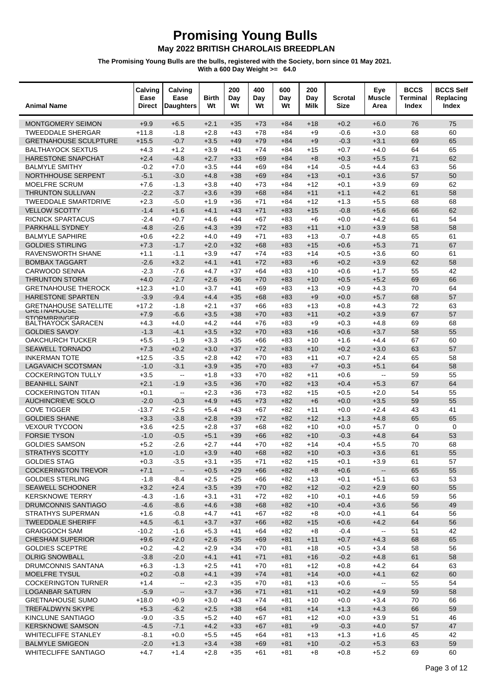| <b>Animal Name</b>                                    | Calving<br>Ease<br><b>Direct</b> | Calving<br>Ease<br><b>Daughters</b>           | Birth<br>Wt      | 200<br>Day<br>Wt | 400<br>Day<br>Wt | 600<br>Day<br>Wt | 200<br>Day<br>Milk | Scrotal<br><b>Size</b> | Eye<br><b>Muscle</b><br>Area | <b>BCCS</b><br>Terminal<br>Index | <b>BCCS Self</b><br>Replacing<br>Index |
|-------------------------------------------------------|----------------------------------|-----------------------------------------------|------------------|------------------|------------------|------------------|--------------------|------------------------|------------------------------|----------------------------------|----------------------------------------|
| <b>MONTGOMERY SEIMON</b>                              | $+9.9$                           | $+6.5$                                        | $+2.1$           | $+35$            | $+73$            | $+84$            | $+18$              | $+0.2$                 | $+6.0$                       | 76                               | 75                                     |
| <b>TWEEDDALE SHERGAR</b>                              | $+11.8$                          | $-1.8$                                        | $+2.8$           | $+43$            | $+78$            | $+84$            | $+9$               | $-0.6$                 | $+3.0$                       | 68                               | 60                                     |
| <b>GRETNAHOUSE SCULPTURE</b>                          | $+15.5$                          | $-0.7$                                        | $+3.5$           | $+49$            | $+79$            | $+84$            | $+9$               | $-0.3$                 | $+3.1$                       | 69                               | 65                                     |
| <b>BALTHAYOCK SEXTUS</b>                              | $+4.3$                           | $+1.2$                                        | $+3.9$           | $+41$            | $+74$            | +84              | +15                | $+0.7$                 | $+4.0$                       | 64                               | 65                                     |
| HARESTONE SNAPCHAT                                    | $+2.4$                           | $-4.8$                                        | $+2.7$           | $+33$            | $+69$            | $+84$            | $+8$               | $+0.3$                 | $+5.5$                       | 71                               | 62                                     |
| <b>BALMYLE SMITHY</b>                                 | $-0.2$                           | $+7.0$                                        | $+3.5$           | $+44$            | $+69$            | $+84$            | +14                | $-0.5$                 | $+4.4$                       | 63                               | 56                                     |
| <b>NORTHHOUSE SERPENT</b>                             | $-5.1$                           | $-3.0$                                        | $+4.8$           | $+38$            | $+69$            | $+84$            | $+13$              | $+0.1$                 | $+3.6$                       | 57                               | 50                                     |
| <b>MOELFRE SCRUM</b>                                  | $+7.6$                           | $-1.3$                                        | $+3.8$           | $+40$            | $+73$            | +84              | $+12$              | $+0.1$                 | $+3.9$                       | 69                               | 62                                     |
| <b>THRUNTON SULLIVAN</b>                              | $-2.2$                           | $-3.7$                                        | $+3.6$           | $+39$            | $+68$            | $+84$            | $+11$              | $+1.1$                 | $+4.2$                       | 61                               | 58                                     |
| <b>TWEEDDALE SMARTDRIVE</b>                           | $+2.3$                           | $-5.0$                                        | $+1.9$           | $+36$            | $+71$            | $+84$            | $+12$              | $+1.3$                 | $+5.5$                       | 68                               | 68                                     |
| <b>VELLOW SCOTTY</b>                                  | $-1.4$                           | $+1.6$                                        | $+4.1$           | $+43$            | $+71$            | $+83$            | $+15$              | $-0.8$                 | $+5.6$                       | 66                               | 62                                     |
| <b>RICNICK SPARTACUS</b>                              | $-2.4$                           | $+0.7$                                        | $+4.6$           | $+44$            | +67<br>$+72$     | $+83$            | $+6$               | $+0.0$                 | $+4.2$                       | 61<br>58                         | 54<br>58                               |
| PARKHALL SYDNEY<br><b>BALMYLE SAPHIRE</b>             | $-4.8$<br>$+0.6$                 | $-2.6$<br>$+2.2$                              | $+4.3$<br>$+4.0$ | $+39$<br>$+49$   | $+71$            | $+83$<br>$+83$   | $+11$<br>$+13$     | $+1.0$<br>$-0.7$       | $+3.9$<br>$+4.8$             | 65                               | 61                                     |
| <b>GOLDIES STIRLING</b>                               | $+7.3$                           | $-1.7$                                        | $+2.0$           | $+32$            | $+68$            | $+83$            | $+15$              | $+0.6$                 | $+5.3$                       | 71                               | 67                                     |
| <b>RAVENSWORTH SHANE</b>                              | $+1.1$                           | $-1.1$                                        | $+3.9$           | $+47$            | $+74$            | $+83$            | +14                | $+0.5$                 | $+3.6$                       | 60                               | 61                                     |
| <b>BOMBAX TAGGART</b>                                 | $-2.6$                           | $+3.2$                                        | $+4.1$           | $+41$            | $+72$            | $+83$            | $+6$               | $+0.2$                 | $+3.9$                       | 62                               | 58                                     |
| <b>CARWOOD SENNA</b>                                  | $-2.3$                           | $-7.6$                                        | $+4.7$           | $+37$            | $+64$            | $+83$            | +10                | $+0.6$                 | $+1.7$                       | 55                               | 42                                     |
| <b>THRUNTON STORM</b>                                 | $+4.0$                           | $-2.7$                                        | $+2.6$           | $+36$            | $+70$            | $+83$            | $+10$              | $+0.5$                 | $+5.2$                       | 69                               | 66                                     |
| <b>GRETNAHOUSE THEROCK</b>                            | $+12.3$                          | $+1.0$                                        | $+3.7$           | $+41$            | +69              | $+83$            | +13                | $+0.9$                 | $+4.3$                       | 70                               | 64                                     |
| HARESTONE SPARTEN                                     | $-3.9$                           | $-9.4$                                        | $+4.4$           | $+35$            | $+68$            | $+83$            | $+9$               | $+0.0$                 | $+5.7$                       | 68                               | 57                                     |
| <b>GRETNAHOUSE SATELLITE</b>                          | $+17.2$                          | $-1.8$                                        | $+2.1$           | $+37$            | $+66$            | $+83$            | +13                | $+0.8$                 | $+4.3$                       | 72                               | 63                                     |
| <b>GRETNAHOUSE</b><br>STORMBRINGER                    | $+7.9$                           | $-6.6$                                        | $+3.5$           | $+38$            | $+70$            | $+83$            | $+11$              | $+0.2$                 | $+3.9$                       | 67                               | 57                                     |
| <b>BALTHAYOCK SARACEN</b>                             | $+4.3$                           | $+4.0$                                        | $+4.2$           | $+44$            | +76              | $+83$            | $+9$               | $+0.3$                 | $+4.8$                       | 69                               | 68                                     |
| <b>GOLDIES SAVOY</b>                                  | $-1.3$                           | $-4.1$                                        | $+3.5$           | $+32$            | $+70$            | $+83$            | $+16$              | $+0.6$                 | $+3.7$                       | 58                               | 55                                     |
| OAKCHURCH TUCKER                                      | $+5.5$                           | $-1.9$                                        | $+3.3$           | $+35$            | $+66$            | $+83$            | $+10$              | $+1.6$                 | $+4.4$                       | 67                               | 60                                     |
| <b>SEAWELL TORNADO</b>                                | $+7.3$                           | $+0.2$                                        | $+3.0$           | $+37$            | $+72$            | $+83$            | $+10$              | $+0.2$                 | $+3.0$                       | 63                               | 57                                     |
| <b>INKERMAN TOTE</b>                                  | $+12.5$                          | $-3.5$                                        | $+2.8$           | $+42$            | $+70$            | $+83$            | +11                | $+0.7$                 | $+2.4$                       | 65                               | 58                                     |
| <b>LAGAVAICH SCOTSMAN</b>                             | $-1.0$                           | $-3.1$                                        | $+3.9$           | $+35$            | $+70$            | $+83$            | $+7$               | $+0.3$                 | $+5.1$                       | 64                               | 58                                     |
| <b>COCKERINGTON TULLY</b>                             | $+3.5$                           | $\overline{\phantom{a}}$                      | $+1.8$           | $+33$            | $+70$            | $+82$            | $+11$              | $+0.6$                 | $\sim$                       | 59                               | 55                                     |
| <b>BEANHILL SAINT</b>                                 | $+2.1$                           | $-1.9$                                        | $+3.5$           | $+36$            | $+70$            | $+82$            | $+13$              | $+0.4$                 | $+5.3$                       | 67                               | 64                                     |
| <b>COCKERINGTON TITAN</b><br><b>AUCHINCRIEVE SOLO</b> | $+0.1$<br>$-2.0$                 | $\overline{\phantom{a}}$<br>$-0.3$            | $+2.3$<br>$+4.9$ | $+36$<br>$+45$   | $+73$<br>$+73$   | $+82$<br>$+82$   | +15<br>$+6$        | $+0.5$<br>$+0.0$       | $+2.0$<br>$+3.5$             | 54<br>59                         | 55<br>55                               |
| <b>COVE TIGGER</b>                                    | $-13.7$                          | $+2.5$                                        | $+5.4$           | $+43$            | $+67$            | $+82$            | +11                | $+0.0$                 | $+2.4$                       | 43                               | 41                                     |
| <b>GOLDIES SHANE</b>                                  | $+3.3$                           | $-3.8$                                        | $+2.8$           | $+39$            | $+72$            | $+82$            | $+12$              | $+1.3$                 | $+4.8$                       | 65                               | 65                                     |
| <b>VEXOUR TYCOON</b>                                  | $+3.6$                           | $+2.5$                                        | $+2.8$           | $+37$            | +68              | $+82$            | $+10$              | $+0.0$                 | $+5.7$                       | 0                                | 0                                      |
| <b>FORSIE TYSON</b>                                   | $-1.0$                           | $-0.5$                                        | $+5.1$           | $+39$            | $+66$            | $+82$            | $+10$              | $-0.3$                 | $+4.8$                       | 64                               | 53                                     |
| <b>GOLDIES SAMSON</b>                                 | $+5.2$                           | $-2.6$                                        | $+2.7$           | $+44$            | $+70$            | $+82$            | $+14$              | +0.4                   | $+5.5$                       | 70                               | 68                                     |
| STRATHYS SCOTTY                                       | $+1.0$                           | $-1.0$                                        | $+3.9$           | $+40$            | $+68$            | $+82$            | $+10$              | $+0.3$                 | $+3.6$                       | 61                               | 55                                     |
| <b>GOLDIES STAG</b>                                   | $+0.3$                           | $-3.5$                                        | $+3.1$           | $+35$            | $+71$            | $+82$            | $+15$              | $+0.1$                 | $+3.9$                       | 61                               | 57                                     |
| <b>COCKERINGTON TREVOR</b>                            | $+7.1$                           | $\overline{\phantom{a}}$                      | $+0.5$           | $+29$            | $+66$            | $+82$            | $+8$               | $+0.6$                 | $\overline{\phantom{a}}$     | 65                               | 55                                     |
| <b>GOLDIES STERLING</b>                               | $-1.8$                           | $-8.4$                                        | $+2.5$           | $+25$            | $+66$            | $+82$            | $+13$              | $+0.1$                 | $+5.1$                       | 63                               | 53                                     |
| SEAWELL SCHOONER                                      | $+3.2$                           | $+2.4$                                        | $+3.5$           | $+39$            | $+70$            | $+82$            | $+12$              | $-0.2$                 | $+2.9$                       | 60                               | 55                                     |
| <b>KERSKNOWE TERRY</b>                                | $-4.3$                           | $-1.6$                                        | $+3.1$           | $+31$            | $+72$            | $+82$            | $+10$              | $+0.1$                 | $+4.6$                       | 59                               | 56                                     |
| DRUMCONNIS SANTIAGO                                   | $-4.6$                           | $-8.6$                                        | $+4.6$           | $+38$            | $+68$            | $+82$            | $+10$              | $+0.4$                 | $+3.6$                       | 56                               | 49                                     |
| STRATHYS SUPERMAN                                     | $+1.6$                           | $-0.8$                                        | $+4.7$           | $+41$            | $+67$            | $+82$            | $+8$               | $+0.0$                 | $+4.1$                       | 64                               | 56                                     |
| <b>TWEEDDALE SHERIFF</b>                              | $+4.5$                           | $-6.1$                                        | $+3.7$           | $+37$            | $+66$            | $+82$            | $+15$              | $+0.6$                 | $+4.2$                       | 64                               | 56                                     |
| <b>GRAIGGOCH SAM</b><br><b>CHESHAM SUPERIOR</b>       | $-10.2$                          | $-1.6$                                        | $+5.3$           | $+41$            | $+64$            | $+82$            | $+8$               | $-0.4$                 | $\overline{\phantom{a}}$     | 51                               | 42<br>65                               |
| <b>GOLDIES SCEPTRE</b>                                | $+9.6$<br>$+0.2$                 | $+2.0$<br>$-4.2$                              | $+2.6$<br>$+2.9$ | $+35$<br>$+34$   | $+69$<br>$+70$   | $+81$<br>$+81$   | $+11$<br>$+18$     | $+0.7$<br>$+0.5$       | $+4.3$<br>$+3.4$             | 68<br>58                         | 56                                     |
| <b>OLRIG SNOWBALL</b>                                 | $-3.8$                           | $-2.0$                                        | $+4.1$           | $+41$            | $+71$            | $+81$            | $+16$              | $-0.2$                 | $+4.8$                       | 61                               | 58                                     |
| DRUMCONNIS SANTANA                                    | $+6.3$                           | $-1.3$                                        | $+2.5$           | $+41$            | $+70$            | +81              | $+12$              | $+0.8$                 | $+4.2$                       | 64                               | 63                                     |
| MOELFRE TYSUL                                         | $+0.2$                           | $-0.8$                                        | $+4.1$           | $+39$            | $+74$            | $+81$            | $+14$              | $+0.0$                 | $+4.1$                       | 62                               | 60                                     |
| <b>COCKERINGTON TURNER</b>                            | $+1.4$                           | $\mathord{\hspace{1pt}\text{--}\hspace{1pt}}$ | $+2.3$           | $+35$            | $+70$            | +81              | $+13$              | $+0.6$                 | $\overline{\phantom{a}}$     | 55                               | 54                                     |
| <b>LOGANBAR SATURN</b>                                | $-5.9$                           | $\overline{\phantom{a}}$                      | $+3.7$           | $+36$            | $+71$            | $+81$            | $+11$              | $+0.2$                 | $+4.9$                       | 59                               | 58                                     |
| <b>GRETNAHOUSE SUMO</b>                               | $+18.0$                          | $+0.9$                                        | $+3.0$           | $+43$            | $+74$            | +81              | $+10$              | $+0.0$                 | $+3.4$                       | 70                               | 66                                     |
| TREFALDWYN SKYPE                                      | $+5.3$                           | $-6.2$                                        | $+2.5$           | $+38$            | $+64$            | $+81$            | $+14$              | $+1.3$                 | $+4.3$                       | 66                               | 59                                     |
| KINCLUNE SANTIAGO                                     | $-9.0$                           | $-3.5$                                        | $+5.2$           | $+40$            | $+67$            | $+81$            | $+12$              | $+0.0$                 | $+3.9$                       | 51                               | 46                                     |
| <b>KERSKNOWE SAMSON</b>                               | $-4.5$                           | $-7.1$                                        | $+4.2$           | $+33$            | $+67$            | $+81$            | $+9$               | $-0.3$                 | $+4.0$                       | 57                               | 47                                     |
| WHITECLIFFE STANLEY                                   | $-8.1$                           | $+0.0$                                        | $+5.5$           | $+45$            | $+64$            | +81              | $+13$              | $+1.3$                 | $+1.6$                       | 45                               | 42                                     |
| <b>BALMYLE SMIGEON</b>                                | $-2.0$                           | $+1.3$                                        | $+3.4$           | $+38$            | $+69$            | $+81$            | $+10$              | $-0.2$                 | $+5.3$                       | 63                               | 59                                     |
| <b>WHITECLIFFE SANTIAGO</b>                           | $+4.7$                           | $+1.4$                                        | $+2.8$           | $+35$            | +61              | $+81$            | $+8$               | $+0.8$                 | $+5.2$                       | 69                               | 60                                     |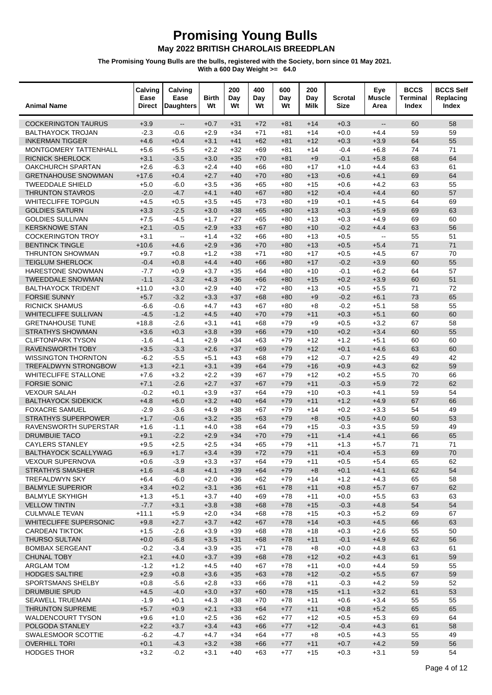| <b>Animal Name</b>                                 | Calving<br>Ease<br><b>Direct</b> | Calving<br>Ease<br><b>Daughters</b>                     | Birth<br>Wt      | 200<br>Day<br>Wt | 400<br>Day<br>Wt | 600<br>Day<br>Wt | 200<br>Day<br>Milk | Scrotal<br><b>Size</b> | Eye<br><b>Muscle</b><br>Area                            | <b>BCCS</b><br><b>Terminal</b><br>Index | <b>BCCS Self</b><br>Replacing<br>Index |
|----------------------------------------------------|----------------------------------|---------------------------------------------------------|------------------|------------------|------------------|------------------|--------------------|------------------------|---------------------------------------------------------|-----------------------------------------|----------------------------------------|
| <b>COCKERINGTON TAURUS</b>                         | $+3.9$                           | $\overline{\phantom{a}}$                                | $+0.7$           | $+31$            | $+72$            | $+81$            | $+14$              | $+0.3$                 | $\overline{\phantom{a}}$                                | 60                                      | 58                                     |
| <b>BALTHAYOCK TROJAN</b>                           | $-2.3$                           | $-0.6$                                                  | $+2.9$           | $+34$            | $+71$            | +81              | $+14$              | $+0.0$                 | $+4.4$                                                  | 59                                      | 59                                     |
| <b>INKERMAN TIGGER</b>                             | $+4.6$                           | $+0.4$                                                  | $+3.1$           | $+41$            | $+62$            | $+81$            | $+12$              | $+0.3$                 | $+3.9$                                                  | 64                                      | 55                                     |
| MONTGOMERY TATTENHALL                              | $+5.6$                           | $+5.5$                                                  | $+2.2$           | $+32$            | $+69$            | +81              | $+14$              | $-0.4$                 | $+6.8$                                                  | 74                                      | 71                                     |
| <b>RICNICK SHERLOCK</b>                            | $+3.1$                           | $-3.5$                                                  | $+3.0$           | $+35$            | $+70$            | $+81$            | $+9$               | $-0.1$                 | $+5.8$                                                  | 68                                      | 64                                     |
| OAKCHURCH SPARTAN                                  | $+2.6$                           | $-6.3$                                                  | $+2.4$           | $+40$            | $+66$            | $+80$            | $+17$              | $+1.0$                 | $+4.4$                                                  | 63                                      | 61                                     |
| <b>GRETNAHOUSE SNOWMAN</b>                         | $+17.6$                          | $+0.4$                                                  | $+2.7$           | $+40$            | $+70$            | $+80$            | $+13$              | $+0.6$                 | $+4.1$                                                  | 69                                      | 64                                     |
| <b>TWEEDDALE SHIELD</b>                            | $+5.0$                           | $-6.0$                                                  | $+3.5$           | $+36$            | $+65$            | $+80$            | $+15$              | $+0.6$                 | $+4.2$                                                  | 63                                      | 55                                     |
| <b>THRUNTON STAVROS</b>                            | $-2.0$                           | $-4.7$                                                  | $+4.1$           | $+40$            | $+67$            | $+80$            | $+12$              | $+0.4$                 | $+4.4$                                                  | 60                                      | 57                                     |
| <b>WHITECLIFFE TOPGUN</b>                          | $+4.5$                           | $+0.5$                                                  | $+3.5$           | $+45$            | $+73$            | $+80$            | $+19$              | $+0.1$                 | $+4.5$                                                  | 64                                      | 69                                     |
| <b>GOLDIES SATURN</b>                              | $+3.3$                           | $-2.5$                                                  | $+3.0$           | $+38$            | $+65$            | $+80$            | $+13$              | $+0.3$                 | $+5.9$                                                  | 69                                      | 63                                     |
| <b>GOLDIES SULLIVAN</b>                            | $+7.5$                           | $-4.5$                                                  | $+1.7$           | $+27$            | $+65$            | $+80$            | $+13$              | $+0.3$                 | $+4.9$                                                  | 69                                      | 60                                     |
| <b>KERSKNOWE STAN</b>                              | $+2.1$                           | $-0.5$                                                  | $+2.9$           | $+33$            | $+67$            | $+80$            | $+10$              | $-0.2$                 | $+4.4$                                                  | 63                                      | 56                                     |
| <b>COCKERINGTON TROY</b><br><b>BENTINCK TINGLE</b> | $+3.1$<br>$+10.6$                | $\mathord{\hspace{1pt}\text{--}\hspace{1pt}}$<br>$+4.6$ | $+1.4$<br>$+2.9$ | $+32$<br>$+36$   | $+66$<br>$+70$   | $+80$            | $+13$              | $+0.5$<br>$+0.5$       | $\mathord{\hspace{1pt}\text{--}\hspace{1pt}}$<br>$+5.4$ | 55<br>71                                | 51<br>71                               |
| <b>THRUNTON SHOWMAN</b>                            | $+9.7$                           | $+0.8$                                                  | $+1.2$           | $+38$            | $+71$            | $+80$<br>$+80$   | $+13$<br>$+17$     | $+0.5$                 | $+4.5$                                                  | 67                                      | 70                                     |
| <b>TEIGLUM SHERLOCK</b>                            | $-0.4$                           | $+0.8$                                                  | $+4.4$           | $+40$            | $+66$            | $+80$            | $+17$              | $-0.2$                 | $+3.9$                                                  | 60                                      | 55                                     |
| <b>HARESTONE SNOWMAN</b>                           | $-7.7$                           | $+0.9$                                                  | $+3.7$           | $+35$            | $+64$            | $+80$            | $+10$              | $-0.1$                 | $+6.2$                                                  | 64                                      | 57                                     |
| <b>TWEEDDALE SNOWMAN</b>                           | $-1.1$                           | $-3.2$                                                  | $+4.3$           | $+36$            | $+66$            | $+80$            | $+15$              | $+0.2$                 | $+3.9$                                                  | 60                                      | 51                                     |
| <b>BALTHAYOCK TRIDENT</b>                          | $+11.0$                          | $+3.0$                                                  | $+2.9$           | $+40$            | $+72$            | $+80$            | $+13$              | $+0.5$                 | $+5.5$                                                  | 71                                      | 72                                     |
| <b>FORSIE SUNNY</b>                                | $+5.7$                           | $-3.2$                                                  | $+3.3$           | $+37$            | $+68$            | $+80$            | $+9$               | $-0.2$                 | $+6.1$                                                  | 73                                      | 65                                     |
| <b>RICNICK SHAMUS</b>                              | $-6.6$                           | $-0.6$                                                  | $+4.7$           | $+43$            | $+67$            | $+80$            | $+8$               | $-0.2$                 | $+5.1$                                                  | 58                                      | 55                                     |
| <b>WHITECLIFFE SULLIVAN</b>                        | $-4.5$                           | $-1.2$                                                  | $+4.5$           | $+40$            | $+70$            | $+79$            | $+11$              | $+0.3$                 | $+5.1$                                                  | 60                                      | 60                                     |
| <b>GRETNAHOUSE TUNE</b>                            | $+18.8$                          | $-2.6$                                                  | $+3.1$           | $+41$            | $+68$            | $+79$            | $+9$               | $+0.5$                 | $+3.2$                                                  | 67                                      | 58                                     |
| <b>STRATHYS SHOWMAN</b>                            | $+3.6$                           | $+0.3$                                                  | $+3.8$           | $+39$            | $+66$            | $+79$            | $+10$              | $+0.2$                 | $+3.4$                                                  | 60                                      | 55                                     |
| <b>CLIFTONPARK TYSON</b>                           | $-1.6$                           | $-4.1$                                                  | $+2.9$           | $+34$            | $+63$            | $+79$            | $+12$              | $+1.2$                 | $+5.1$                                                  | 60                                      | 60                                     |
| <b>RAVENSWORTH TOBY</b>                            | $+3.5$                           | $-3.3$                                                  | $+2.6$           | $+37$            | $+69$            | $+79$            | $+12$              | $+0.1$                 | $+4.6$                                                  | 63                                      | 60                                     |
| <b>WISSINGTON THORNTON</b>                         | $-6.2$                           | $-5.5$                                                  | $+5.1$           | $+43$            | +68              | $+79$            | $+12$              | $-0.7$                 | $+2.5$                                                  | 49                                      | 42                                     |
| TREFALDWYN STRONGBOW                               | $+1.3$                           | $+2.1$                                                  | $+3.1$           | $+39$            | $+64$            | $+79$            | $+16$              | $+0.9$                 | $+4.3$                                                  | 62                                      | 59                                     |
| <b>WHITECLIFFE STALLONE</b>                        | $+7.6$                           | $+3.2$                                                  | $+2.2$           | $+39$            | $+67$            | $+79$            | $+12$              | $+0.2$                 | $+5.5$                                                  | 70                                      | 66                                     |
| <b>FORSIE SONIC</b>                                | $+7.1$                           | $-2.6$                                                  | $+2.7$           | $+37$            | $+67$            | $+79$            | $+11$              | $-0.3$                 | $+5.9$                                                  | 72                                      | 62                                     |
| <b>VEXOUR SALAH</b>                                | $-0.2$                           | $+0.1$                                                  | $+3.9$           | $+37$            | $+64$            | $+79$            | $+10$              | $+0.3$                 | $+4.1$                                                  | 59                                      | 54                                     |
| <b>BALTHAYOCK SIDEKICK</b>                         | $+4.8$                           | $+6.0$                                                  | $+3.2$           | $+40$            | $+64$            | $+79$            | $+11$              | $+1.2$                 | $+4.9$                                                  | 67                                      | 66                                     |
| <b>FOXACRE SAMUEL</b>                              | $-2.9$                           | $-3.6$                                                  | $+4.9$           | $+38$            | $+67$            | $+79$            | $+14$              | $+0.2$                 | $+3.3$                                                  | 54                                      | 49                                     |
| <b>STRATHYS SUPERPOWER</b>                         | $+1.7$                           | $-0.6$                                                  | $+3.2$           | $+35$            | $+63$            | $+79$            | $+8$               | $+0.5$                 | $+4.0$                                                  | 60                                      | 53                                     |
| RAVENSWORTH SUPERSTAR                              | $+1.6$                           | $-1.1$                                                  | $+4.0$           | $+38$            | $+64$            | $+79$            | $+15$              | $-0.3$                 | $+3.5$                                                  | 59                                      | 49                                     |
| <b>DRUMBUIE TACO</b>                               | $+9.1$                           | $-2.2$                                                  | $+2.9$           | $+34$            | $+70$            | $+79$            | $+11$              | $+1.4$                 | $+4.1$                                                  | 66                                      | 65                                     |
| <b>CAYLERS STANLEY</b>                             | $+9.5$                           | $+2.5$                                                  | $+2.5$           | $+34$            | $+65$            | $+79$            | $+11$              | $+1.3$                 | $+5.7$                                                  | 71                                      | 71                                     |
| BALTHAYOCK SCALLYWAG                               | $+6.9$                           | $+1.7$                                                  | $+3.4$           | $+39$            | $+72$            | $+79$            | $+11$              | $+0.4$                 | $+5.3$                                                  | 69                                      | $70\,$                                 |
| <b>VEXOUR SUPERNOVA</b>                            | $+0.6$                           | $-3.9$                                                  | $+3.3$           | $+37$            | $+64$            | $+79$            | $+11$              | $+0.5$                 | $+5.4$                                                  | 65                                      | 62                                     |
| <b>STRATHYS SMASHER</b>                            | $+1.6$                           | $-4.8$                                                  | $+4.1$           | $+39$            | $+64$            | $+79$            | $+8$               | $+0.1$                 | $+4.1$                                                  | 62                                      | 54                                     |
| <b>TREFALDWYN SKY</b>                              | $+6.4$                           | $-6.0$                                                  | $+2.0$           | $+36$            | $+62$            | $+79$            | $+14$              | $+1.2$                 | $+4.3$                                                  | 65                                      | 58                                     |
| <b>BALMYLE SUPERIOR</b>                            | $+3.4$                           | $+0.2$                                                  | $+3.1$           | $+36$            | $+61$            | $+78$            | $+11$              | $+0.8$                 | $+5.7$                                                  | 67                                      | 62                                     |
| <b>BALMYLE SKYHIGH</b><br><b>VELLOW TINTIN</b>     | $+1.3$<br>$-7.7$                 | $+5.1$<br>$+3.1$                                        | $+3.7$<br>$+3.8$ | $+40$<br>$+38$   | +69<br>$+68$     | $+78$<br>$+78$   | $+11$<br>$+15$     | $+0.0$<br>$-0.3$       | $+5.5$<br>$+4.8$                                        | 63<br>54                                | 63<br>54                               |
| <b>CULMVALE TEVAN</b>                              | $+11.1$                          | $+5.9$                                                  | $+2.0$           | $+34$            | $+68$            | $+78$            | $+15$              | $+0.3$                 | $+5.2$                                                  | 69                                      | 67                                     |
| WHITECLIFFE SUPERSONIC                             | $+9.8$                           | $+2.7$                                                  | $+3.7$           | $+42$            | $+67$            | $+78$            | $+14$              | $+0.3$                 | $+4.5$                                                  | 66                                      | 63                                     |
| <b>CARDEAN TIKTOK</b>                              | $+1.5$                           | $-2.6$                                                  | $+3.9$           | $+39$            | +68              | +78              | +18                | $+0.3$                 | $+2.6$                                                  | 55                                      | 50                                     |
| THURSO SULTAN                                      | $+0.0$                           | $-6.8$                                                  | $+3.5$           | $+31$            | $+68$            | $+78$            | $+11$              | $-0.1$                 | $+4.9$                                                  | 62                                      | 56                                     |
| <b>BOMBAX SERGEANT</b>                             | $-0.2$                           | $-3.4$                                                  | $+3.9$           | $+35$            | $+71$            | $+78$            | $+8$               | $+0.0$                 | $+4.8$                                                  | 63                                      | 61                                     |
| CHUNAL TOBY                                        | $+2.1$                           | $+4.0$                                                  | $+3.7$           | $+39$            | $+68$            | $+78$            | $+12$              | $+0.2$                 | $+4.3$                                                  | 61                                      | 59                                     |
| ARGLAM TOM                                         | $-1.2$                           | $+1.2$                                                  | $+4.5$           | $+40$            | +67              | $+78$            | $+11$              | $+0.0$                 | $+4.4$                                                  | 59                                      | 55                                     |
| HODGES SALTIRE                                     | $+2.9$                           | $+0.8$                                                  | $+3.6$           | $+35$            | $+63$            | $+78$            | $+12$              | $-0.2$                 | $+5.5$                                                  | 67                                      | 59                                     |
| SPORTSMANS SHELBY                                  | $+0.8$                           | $-5.6$                                                  | $+2.8$           | $+33$            | $+66$            | $+78$            | $+11$              | $-0.3$                 | $+4.2$                                                  | 59                                      | 52                                     |
| <b>DRUMBUIE SPUD</b>                               | $+4.5$                           | $-4.0$                                                  | $+3.0$           | $+37$            | $+60$            | $+78$            | $+15$              | $+1.1$                 | $+3.2$                                                  | 61                                      | 53                                     |
| <b>SEAWELL TRUEMAN</b>                             | $-1.9$                           | $+0.1$                                                  | $+4.3$           | $+38$            | $+70$            | $+78$            | $+11$              | $+0.6$                 | $+3.4$                                                  | 55                                      | 55                                     |
| THRUNTON SUPREME                                   | $+5.7$                           | $+0.9$                                                  | $+2.1$           | $+33$            | $+64$            | $+77$            | $+11$              | $+0.8$                 | $+5.2$                                                  | 65                                      | 65                                     |
| <b>WALDENCOURT TYSON</b>                           | $+9.6$                           | $+1.0$                                                  | $+2.5$           | $+36$            | $+62$            | $+77$            | $+12$              | $+0.5$                 | $+5.3$                                                  | 69                                      | 64                                     |
| POLGODA STANLEY                                    | $+2.2$                           | $+3.7$                                                  | $+3.4$           | $+43$            | $+66$            | $+77$            | $+12$              | $-0.4$                 | $+4.3$                                                  | 61                                      | 58                                     |
| SWALESMOOR SCOTTIE                                 | $-6.2$                           | $-4.7$                                                  | $+4.7$           | $+34$            | +64              | $+77$            | $+8$               | $+0.5$                 | $+4.3$                                                  | 55                                      | 49                                     |
| <b>OVERHILL TORI</b>                               | $+0.1$                           | $-4.3$                                                  | $+3.2$           | $+38$            | $+66$            | $+77$            | $+11$              | $+0.7$                 | $+4.2$                                                  | 59                                      | 56                                     |
| <b>HODGES THOR</b>                                 | $+3.2$                           | $-0.2$                                                  | $+3.1$           | $+40$            | $+63$            | $+77$            | $+15$              | $+0.3$                 | $+3.1$                                                  | 59                                      | 54                                     |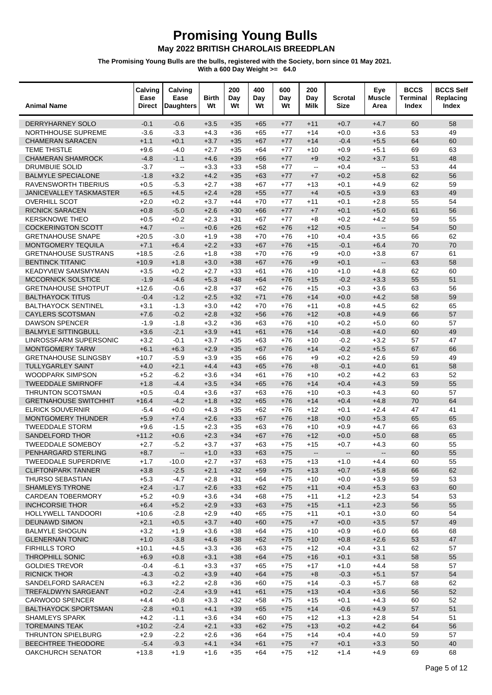#### **Promising Young Bulls**

May 2022 BRITISH CHAROLAIS BREEDPLAN

| $+0.7$<br>$+4.7$<br>DERRYHARNEY SOLO<br>$-0.1$<br>$-0.6$<br>$+3.5$<br>$+35$<br>$+65$<br>$+11$<br>60<br>58<br>$+77$<br>$-3.6$<br>$-3.3$<br>53<br>49<br>NORTHHOUSE SUPREME<br>$+4.3$<br>$+36$<br>$+65$<br>$+77$<br>$+14$<br>$+0.0$<br>$+3.6$<br>$+1.1$<br>$+3.7$<br>$-0.4$<br>$+5.5$<br>64<br>60<br><b>CHAMERAN SARACEN</b><br>$+0.1$<br>$+35$<br>$+67$<br>$+77$<br>$+14$<br>$-4.0$<br>$+0.9$<br>$+5.1$<br>63<br><b>TEME THISTLE</b><br>$+9.6$<br>$+2.7$<br>$+35$<br>$+64$<br>$+77$<br>$+10$<br>69<br>$+4.6$<br>$+0.2$<br>$+3.7$<br>51<br>48<br><b>CHAMERAN SHAMROCK</b><br>$-4.8$<br>$-1.1$<br>$+39$<br>$+66$<br>$+77$<br>$+9$<br>53<br>44<br>DRUMBUIE SOLID<br>$-3.7$<br>$+3.3$<br>$+33$<br>$+58$<br>$+77$<br>$+0.4$<br>$\mathbb{L}^{\mathbb{L}}$<br>$\overline{\phantom{a}}$<br>$\overline{\phantom{a}}$<br><b>BALMYLE SPECIALONE</b><br>$-1.8$<br>$+4.2$<br>$+7$<br>$+0.2$<br>$+5.8$<br>62<br>56<br>$+3.2$<br>$+35$<br>$+63$<br>$+77$<br>$-5.3$<br>$+4.9$<br>62<br>59<br>RAVENSWORTH TIBERIUS<br>$+0.5$<br>$+2.7$<br>$+38$<br>$+67$<br>$+77$<br>$+13$<br>$+0.1$<br>$+4.5$<br>$+2.4$<br>$+0.5$<br>$+3.9$<br>63<br>49<br><b>JANICEVALLEY TASKMASTER</b><br>$+6.5$<br>$+28$<br>$+55$<br>$+77$<br>$+4$<br>55<br><b>OVERHILL SCOT</b><br>$+2.0$<br>$+0.2$<br>$+3.7$<br>$+44$<br>$+70$<br>$+77$<br>$+11$<br>$+0.1$<br>$+2.8$<br>54<br><b>RICNICK SARACEN</b><br>$+2.6$<br>$+0.1$<br>$+5.0$<br>61<br>56<br>$+0.8$<br>$-5.0$<br>$+30$<br>$+66$<br>$+77$<br>$+7$<br>$+2.3$<br>$+0.2$<br>$+4.2$<br>55<br><b>KERSKNOWE THEO</b><br>$+0.5$<br>$+0.2$<br>$+31$<br>$+67$<br>$+77$<br>$+8$<br>59<br><b>COCKERINGTON SCOTT</b><br>$+0.5$<br>$\mathbb{Z}^2$<br>54<br>50<br>$+4.7$<br>$\overline{\phantom{a}}$<br>$+0.6$<br>$+26$<br>$+62$<br>$+76$<br>$+12$<br>66<br>62<br><b>GRETNAHOUSE SNAPE</b><br>$+20.5$<br>$+1.9$<br>$+38$<br>$+70$<br>$+76$<br>$+10$<br>$+0.4$<br>$+3.5$<br>$-3.0$<br>MONTGOMERY TEQUILA<br>$+7.1$<br>$+2.2$<br>$-0.1$<br>$+6.4$<br>70<br>70<br>$+6.4$<br>$+33$<br>$+67$<br>$+76$<br>$+15$<br>67<br>61<br><b>GRETNAHOUSE SUSTRANS</b><br>$+18.5$<br>$-2.6$<br>$+1.8$<br>$+38$<br>$+70$<br>$+76$<br>$+9$<br>$+0.0$<br>$+3.8$<br><b>BENTINCK TITANIC</b><br>$+3.0$<br>$+0.1$<br>63<br>58<br>$+10.9$<br>$+1.8$<br>$+38$<br>$+67$<br>$+76$<br>$+9$<br>$\mathbb{L}^{\mathbb{L}}$<br>$+1.0$<br>62<br><b>KEADYVIEW SAMSMYMAN</b><br>$+3.5$<br>$+0.2$<br>$+2.7$<br>$+33$<br>$+61$<br>$+76$<br>$+10$<br>$+4.8$<br>60<br><b>MCCORNICK SOLSTICE</b><br>$-1.9$<br>$+5.3$<br>$-0.2$<br>$+3.3$<br>55<br>51<br>$-4.6$<br>$+48$<br>$+64$<br>$+76$<br>$+15$<br>$+2.8$<br>63<br>56<br><b>GRETNAHOUSE SHOTPUT</b><br>$+12.6$<br>$-0.6$<br>$+37$<br>$+62$<br>$+76$<br>$+15$<br>$+0.3$<br>$+3.6$<br><b>BALTHAYOCK TITUS</b><br>$+2.5$<br>$+0.0$<br>$+4.2$<br>58<br>59<br>$-0.4$<br>$-1.2$<br>$+32$<br>$+71$<br>$+76$<br>$+14$<br>$+4.5$<br>65<br><b>BALTHAYOCK SENTINEL</b><br>$+3.1$<br>$-1.3$<br>$+3.0$<br>$+42$<br>$+70$<br>$+76$<br>$+0.8$<br>62<br>$+11$<br><b>CAYLERS SCOTSMAN</b><br>$-0.2$<br>$+2.8$<br>$+4.9$<br>66<br>57<br>$+7.6$<br>$+32$<br>$+56$<br>$+76$<br>$+12$<br>$+0.8$<br><b>DAWSON SPENCER</b><br>$+3.2$<br>60<br>57<br>$-1.9$<br>$-1.8$<br>$+36$<br>$+63$<br>$+76$<br>$+10$<br>$+0.2$<br>$+5.0$<br><b>BALMYLE SITTINGBULL</b><br>$-2.1$<br>$+3.9$<br>$-0.8$<br>$+4.0$<br>60<br>49<br>$+3.6$<br>$+41$<br>$+61$<br>$+76$<br>$+14$<br>57<br>47<br>LINROSSFARM SUPERSONIC<br>$+3.2$<br>$-0.1$<br>$+3.7$<br>$+35$<br>$+63$<br>$+76$<br>$+10$<br>$-0.2$<br>$+3.2$<br>$+2.9$<br>$-0.2$<br>$+5.5$<br>67<br>66<br><b>MONTGOMERY TARW</b><br>$+6.1$<br>$+6.3$<br>$+35$<br>$+67$<br>$+76$<br>$+14$<br>$+3.9$<br>49<br><b>GRETNAHOUSE SLINGSBY</b><br>$+10.7$<br>$-5.9$<br>$+35$<br>$+66$<br>$+76$<br>$+9$<br>$+0.2$<br>$+2.6$<br>59<br>$+4.4$<br>$-0.1$<br>$+4.0$<br>61<br>58<br><b>TULLYGARLEY SAINT</b><br>$+4.0$<br>$+2.1$<br>$+43$<br>$+65$<br>$+76$<br>$+8$<br>$+4.2$<br>63<br>52<br><b>WOODPARK SIMPSON</b><br>$+5.2$<br>$-6.2$<br>$+3.6$<br>$+34$<br>$+61$<br>$+76$<br>$+10$<br>$+0.2$<br><b>TWEEDDALE SMIRNOFF</b><br>$+0.4$<br>$+4.3$<br>59<br>55<br>$+1.8$<br>$-4.4$<br>$+3.5$<br>$+34$<br>$+65$<br>$+76$<br>$+14$<br>$+3.6$<br>$+4.3$<br>60<br>57<br>THRUNTON SCOTSMAN<br>$+0.5$<br>$-0.4$<br>$+37$<br>$+63$<br>$+76$<br>$+10$<br>$+0.3$<br><b>GRETNAHOUSE SWITCHHIT</b><br>$-4.2$<br>$+1.8$<br>$+0.4$<br>$+4.8$<br>70<br>64<br>$+16.4$<br>$+32$<br>$+65$<br>$+76$<br>$+14$<br>$+2.4$<br><b>ELRICK SOUVERNIR</b><br>$-5.4$<br>$+0.0$<br>$+4.3$<br>$+35$<br>$+62$<br>$+76$<br>$+12$<br>$+0.1$<br>47<br>41<br>$+2.6$<br>$+5.3$<br>65<br>65<br><b>MONTGOMERY THUNDER</b><br>$+5.9$<br>$+7.4$<br>$+33$<br>$+67$<br>$+76$<br>$+18$<br>$+0.0$<br><b>TWEEDDALE STORM</b><br>$+9.6$<br>$-1.5$<br>$+2.3$<br>$+35$<br>$+63$<br>$+0.9$<br>$+4.7$<br>66<br>63<br>$+76$<br>$+10$<br>$+2.3$<br>$+5.0$<br>68<br>65<br>SANDELFORD THOR<br>$+11.2$<br>$+0.6$<br>$+34$<br>$+67$<br>$+12$<br>$+0.0$<br>$+76$<br>55<br><b>TWEEDDALE SOMEBOY</b><br>$+2.7$<br>$-5.2$<br>$+3.7$<br>$+37$<br>$+63$<br>$+75$<br>$+15$<br>$+0.7$<br>$+4.3$<br>60<br>PENHARGARD STERLING<br>$+8.7$<br>$+1.0$<br>$+33$<br>$+63$<br>$+75$<br>55<br>60<br>$\overline{\phantom{a}}$<br>$\sim$<br>$\overline{\phantom{m}}$<br>$\overline{\phantom{a}}$<br><b>TWEEDDALE SUPERDRIVE</b><br>55<br>$+1.7$<br>$-10.0$<br>$+2.7$<br>$+37$<br>$+63$<br>$+75$<br>$+13$<br>$+1.0$<br>$+4.4$<br>60<br>$+5.8$<br><b>CLIFTONPARK TANNER</b><br>$+3.8$<br>$-2.5$<br>$+2.1$<br>$+0.7$<br>66<br>62<br>$+32$<br>$+59$<br>$+75$<br>$+13$<br><b>THURSO SEBASTIAN</b><br>$-4.7$<br>$+0.0$<br>$+3.9$<br>59<br>53<br>$+5.3$<br>$+2.8$<br>+31<br>+64<br>$+75$<br>$+10$<br><b>SHAMLEYS TYRONE</b><br>$-1.7$<br>$+5.3$<br>63<br>60<br>$+2.4$<br>$+2.6$<br>$+33$<br>$+62$<br>$+75$<br>$+11$<br>$+0.4$<br><b>CARDEAN TOBERMORY</b><br>$+5.2$<br>$+0.9$<br>$+3.6$<br>$+34$<br>$+1.2$<br>$+2.3$<br>54<br>53<br>$+68$<br>$+75$<br>$+11$<br>$+1.1$<br>$+2.3$<br>56<br>55<br><b>INCHCORSIE THOR</b><br>$+6.4$<br>$+5.2$<br>$+2.9$<br>$+75$<br>$+15$<br>$+33$<br>$+63$<br>HOLLYWELL TANDOORI<br>$-2.8$<br>$+0.1$<br>$+3.0$<br>60<br>54<br>$+10.6$<br>$+2.9$<br>$+40$<br>$+65$<br>$+75$<br>$+11$<br>$+3.5$<br>57<br>49<br><b>DEUNAWD SIMON</b><br>$+2.1$<br>$+0.5$<br>$+3.7$<br>$+75$<br>$+7$<br>$+0.0$<br>$+40$<br>$+60$<br><b>BALMYLE SHOGUN</b><br>$+3.2$<br>$+1.9$<br>$+3.6$<br>$+64$<br>$+0.9$<br>$+6.0$<br>66<br>68<br>$+38$<br>$+75$<br>$+10$<br>53<br>47<br><b>GLENERNAN TONIC</b><br>$+1.0$<br>$-3.8$<br>$+4.6$<br>$+0.8$<br>$+2.6$<br>$+38$<br>$+62$<br>$+75$<br>$+10$<br><b>FIRHILLS TORO</b><br>$+10.1$<br>$+4.5$<br>$+3.3$<br>$+0.4$<br>$+3.1$<br>62<br>57<br>$+36$<br>$+63$<br>$+75$<br>$+12$<br>$+6.9$<br>$+0.1$<br>$+3.1$<br>58<br>55<br><b>THROPHILL SONIC</b><br>$+0.8$<br>$+3.1$<br>$+64$<br>$+75$<br>$+16$<br>$+38$<br><b>GOLDIES TREVOR</b><br>$-0.4$<br>$-6.1$<br>$+3.3$<br>$+37$<br>$+75$<br>$+1.0$<br>$+4.4$<br>58<br>57<br>$+65$<br>$+17$<br>$-4.3$<br>$-0.3$<br>$+5.1$<br>57<br>54<br><b>RICNICK THOR</b><br>$-0.2$<br>$+3.9$<br>$+40$<br>$+75$<br>$+8$<br>$+64$<br>SANDELFORD SARACEN<br>$+6.3$<br>$+2.2$<br>$+2.8$<br>$-0.3$<br>$+5.7$<br>68<br>62<br>$+36$<br>$+60$<br>$+75$<br>$+14$<br>$-2.4$<br>56<br>52<br>TREFALDWYN SARGEANT<br>$+0.2$<br>$+3.9$<br>$+41$<br>$+75$<br>$+13$<br>$+0.4$<br>$+3.6$<br>$+61$<br>$+4.3$<br><b>CARWOOD SPENCER</b><br>$+4.4$<br>$+3.3$<br>$+32$<br>$+0.1$<br>60<br>52<br>$+0.8$<br>$+58$<br>$+75$<br>$+15$<br>$+4.9$<br>57<br>51<br><b>BALTHAYOCK SPORTSMAN</b><br>$-2.8$<br>$+4.1$<br>$-0.6$<br>$+0.1$<br>$+39$<br>$+65$<br>$+75$<br>$+14$<br><b>SHAMLEYS SPARK</b><br>$+4.2$<br>$-1.1$<br>$+3.6$<br>$+1.3$<br>$+2.8$<br>54<br>51<br>+34<br>$+60$<br>$+75$<br>$+12$<br><b>TOREMAINS TEAK</b><br>$+0.2$<br>$+4.2$<br>64<br>56<br>$+10.2$<br>$-2.4$<br>$+2.1$<br>$+33$<br>$+62$<br>$+75$<br>$+13$<br><b>THRUNTON SPIELBURG</b><br>$+2.9$<br>$-2.2$<br>$+2.6$<br>$+0.4$<br>$+4.0$<br>59<br>57<br>$+36$<br>$+64$<br>$+75$<br>$+14$<br>$-5.4$<br>$-9.3$<br>$+0.1$<br>$+3.3$<br>50<br>40<br><b>BEECHTREE THEODORE</b><br>$+4.1$<br>$+34$<br>$+75$<br>$+7$<br>$+61$<br><b>OAKCHURCH SENATOR</b><br>$+1.4$<br>$+4.9$<br>69<br>68<br>$+13.8$<br>$+1.9$<br>$+1.6$<br>$+35$<br>+64<br>$+75$<br>$+12$ | <b>Animal Name</b> | Calving<br>Ease<br><b>Direct</b> | Calving<br>Ease<br><b>Daughters</b> | <b>Birth</b><br>Wt | 200<br>Day<br>Wt | 400<br>Day<br>Wt | 600<br>Day<br>Wt | 200<br>Day<br>Milk | Scrotal<br><b>Size</b> | Eye<br><b>Muscle</b><br>Area | <b>BCCS</b><br>Terminal<br>Index | <b>BCCS Self</b><br>Replacing<br>Index |
|-----------------------------------------------------------------------------------------------------------------------------------------------------------------------------------------------------------------------------------------------------------------------------------------------------------------------------------------------------------------------------------------------------------------------------------------------------------------------------------------------------------------------------------------------------------------------------------------------------------------------------------------------------------------------------------------------------------------------------------------------------------------------------------------------------------------------------------------------------------------------------------------------------------------------------------------------------------------------------------------------------------------------------------------------------------------------------------------------------------------------------------------------------------------------------------------------------------------------------------------------------------------------------------------------------------------------------------------------------------------------------------------------------------------------------------------------------------------------------------------------------------------------------------------------------------------------------------------------------------------------------------------------------------------------------------------------------------------------------------------------------------------------------------------------------------------------------------------------------------------------------------------------------------------------------------------------------------------------------------------------------------------------------------------------------------------------------------------------------------------------------------------------------------------------------------------------------------------------------------------------------------------------------------------------------------------------------------------------------------------------------------------------------------------------------------------------------------------------------------------------------------------------------------------------------------------------------------------------------------------------------------------------------------------------------------------------------------------------------------------------------------------------------------------------------------------------------------------------------------------------------------------------------------------------------------------------------------------------------------------------------------------------------------------------------------------------------------------------------------------------------------------------------------------------------------------------------------------------------------------------------------------------------------------------------------------------------------------------------------------------------------------------------------------------------------------------------------------------------------------------------------------------------------------------------------------------------------------------------------------------------------------------------------------------------------------------------------------------------------------------------------------------------------------------------------------------------------------------------------------------------------------------------------------------------------------------------------------------------------------------------------------------------------------------------------------------------------------------------------------------------------------------------------------------------------------------------------------------------------------------------------------------------------------------------------------------------------------------------------------------------------------------------------------------------------------------------------------------------------------------------------------------------------------------------------------------------------------------------------------------------------------------------------------------------------------------------------------------------------------------------------------------------------------------------------------------------------------------------------------------------------------------------------------------------------------------------------------------------------------------------------------------------------------------------------------------------------------------------------------------------------------------------------------------------------------------------------------------------------------------------------------------------------------------------------------------------------------------------------------------------------------------------------------------------------------------------------------------------------------------------------------------------------------------------------------------------------------------------------------------------------------------------------------------------------------------------------------------------------------------------------------------------------------------------------------------------------------------------------------------------------------------------------------------------------------------------------------------------------------------------------------------------------------------------------------------------------------------------------------------------------------------------------------------------------------------------------------------------------------------------------------------------------------------------------------------------------------------------------------------------------------------------------------------------------------------------------------------------------------------------------------------------------------------------------------------------------------------------------------------------------------------------------------------------------------------------------------------------------------------------------------------------------------------------------------------------------------------------------------------------------------------------------------------------------------------------------------------------------------------------------------------------------------------------------------------------------------------------------------------------------------------------------------------------------------------------------------------------------------------------------------------------------------------------------------------------------------------------------------------------------------------------------------------------------------------------------------------------------------------------------------------------------------------------------------------------------------------------------------------------------------------------------------------------------------------------------------------------------------------------------------------------------------------------------------------------------------------------------------------------------------------------------------------------------------------------------------------------------------------------------------------------------------------------------------------------------------------------------------------------------------------------------------------------------|--------------------|----------------------------------|-------------------------------------|--------------------|------------------|------------------|------------------|--------------------|------------------------|------------------------------|----------------------------------|----------------------------------------|
|                                                                                                                                                                                                                                                                                                                                                                                                                                                                                                                                                                                                                                                                                                                                                                                                                                                                                                                                                                                                                                                                                                                                                                                                                                                                                                                                                                                                                                                                                                                                                                                                                                                                                                                                                                                                                                                                                                                                                                                                                                                                                                                                                                                                                                                                                                                                                                                                                                                                                                                                                                                                                                                                                                                                                                                                                                                                                                                                                                                                                                                                                                                                                                                                                                                                                                                                                                                                                                                                                                                                                                                                                                                                                                                                                                                                                                                                                                                                                                                                                                                                                                                                                                                                                                                                                                                                                                                                                                                                                                                                                                                                                                                                                                                                                                                                                                                                                                                                                                                                                                                                                                                                                                                                                                                                                                                                                                                                                                                                                                                                                                                                                                                                                                                                                                                                                                                                                                                                                                                                                                                                                                                                                                                                                                                                                                                                                                                                                                                                                                                                                                                                                                                                                                                                                                                                                                                                                                                                                                                                                                                                                                                                                                                                                                                                                                                                                                                                                                                                                                                                                                                                                                                                                                                                                                                                                                                                                                                                                                                                                                                                                                                                                                                   |                    |                                  |                                     |                    |                  |                  |                  |                    |                        |                              |                                  |                                        |
|                                                                                                                                                                                                                                                                                                                                                                                                                                                                                                                                                                                                                                                                                                                                                                                                                                                                                                                                                                                                                                                                                                                                                                                                                                                                                                                                                                                                                                                                                                                                                                                                                                                                                                                                                                                                                                                                                                                                                                                                                                                                                                                                                                                                                                                                                                                                                                                                                                                                                                                                                                                                                                                                                                                                                                                                                                                                                                                                                                                                                                                                                                                                                                                                                                                                                                                                                                                                                                                                                                                                                                                                                                                                                                                                                                                                                                                                                                                                                                                                                                                                                                                                                                                                                                                                                                                                                                                                                                                                                                                                                                                                                                                                                                                                                                                                                                                                                                                                                                                                                                                                                                                                                                                                                                                                                                                                                                                                                                                                                                                                                                                                                                                                                                                                                                                                                                                                                                                                                                                                                                                                                                                                                                                                                                                                                                                                                                                                                                                                                                                                                                                                                                                                                                                                                                                                                                                                                                                                                                                                                                                                                                                                                                                                                                                                                                                                                                                                                                                                                                                                                                                                                                                                                                                                                                                                                                                                                                                                                                                                                                                                                                                                                                                   |                    |                                  |                                     |                    |                  |                  |                  |                    |                        |                              |                                  |                                        |
|                                                                                                                                                                                                                                                                                                                                                                                                                                                                                                                                                                                                                                                                                                                                                                                                                                                                                                                                                                                                                                                                                                                                                                                                                                                                                                                                                                                                                                                                                                                                                                                                                                                                                                                                                                                                                                                                                                                                                                                                                                                                                                                                                                                                                                                                                                                                                                                                                                                                                                                                                                                                                                                                                                                                                                                                                                                                                                                                                                                                                                                                                                                                                                                                                                                                                                                                                                                                                                                                                                                                                                                                                                                                                                                                                                                                                                                                                                                                                                                                                                                                                                                                                                                                                                                                                                                                                                                                                                                                                                                                                                                                                                                                                                                                                                                                                                                                                                                                                                                                                                                                                                                                                                                                                                                                                                                                                                                                                                                                                                                                                                                                                                                                                                                                                                                                                                                                                                                                                                                                                                                                                                                                                                                                                                                                                                                                                                                                                                                                                                                                                                                                                                                                                                                                                                                                                                                                                                                                                                                                                                                                                                                                                                                                                                                                                                                                                                                                                                                                                                                                                                                                                                                                                                                                                                                                                                                                                                                                                                                                                                                                                                                                                                                   |                    |                                  |                                     |                    |                  |                  |                  |                    |                        |                              |                                  |                                        |
|                                                                                                                                                                                                                                                                                                                                                                                                                                                                                                                                                                                                                                                                                                                                                                                                                                                                                                                                                                                                                                                                                                                                                                                                                                                                                                                                                                                                                                                                                                                                                                                                                                                                                                                                                                                                                                                                                                                                                                                                                                                                                                                                                                                                                                                                                                                                                                                                                                                                                                                                                                                                                                                                                                                                                                                                                                                                                                                                                                                                                                                                                                                                                                                                                                                                                                                                                                                                                                                                                                                                                                                                                                                                                                                                                                                                                                                                                                                                                                                                                                                                                                                                                                                                                                                                                                                                                                                                                                                                                                                                                                                                                                                                                                                                                                                                                                                                                                                                                                                                                                                                                                                                                                                                                                                                                                                                                                                                                                                                                                                                                                                                                                                                                                                                                                                                                                                                                                                                                                                                                                                                                                                                                                                                                                                                                                                                                                                                                                                                                                                                                                                                                                                                                                                                                                                                                                                                                                                                                                                                                                                                                                                                                                                                                                                                                                                                                                                                                                                                                                                                                                                                                                                                                                                                                                                                                                                                                                                                                                                                                                                                                                                                                                                   |                    |                                  |                                     |                    |                  |                  |                  |                    |                        |                              |                                  |                                        |
|                                                                                                                                                                                                                                                                                                                                                                                                                                                                                                                                                                                                                                                                                                                                                                                                                                                                                                                                                                                                                                                                                                                                                                                                                                                                                                                                                                                                                                                                                                                                                                                                                                                                                                                                                                                                                                                                                                                                                                                                                                                                                                                                                                                                                                                                                                                                                                                                                                                                                                                                                                                                                                                                                                                                                                                                                                                                                                                                                                                                                                                                                                                                                                                                                                                                                                                                                                                                                                                                                                                                                                                                                                                                                                                                                                                                                                                                                                                                                                                                                                                                                                                                                                                                                                                                                                                                                                                                                                                                                                                                                                                                                                                                                                                                                                                                                                                                                                                                                                                                                                                                                                                                                                                                                                                                                                                                                                                                                                                                                                                                                                                                                                                                                                                                                                                                                                                                                                                                                                                                                                                                                                                                                                                                                                                                                                                                                                                                                                                                                                                                                                                                                                                                                                                                                                                                                                                                                                                                                                                                                                                                                                                                                                                                                                                                                                                                                                                                                                                                                                                                                                                                                                                                                                                                                                                                                                                                                                                                                                                                                                                                                                                                                                                   |                    |                                  |                                     |                    |                  |                  |                  |                    |                        |                              |                                  |                                        |
|                                                                                                                                                                                                                                                                                                                                                                                                                                                                                                                                                                                                                                                                                                                                                                                                                                                                                                                                                                                                                                                                                                                                                                                                                                                                                                                                                                                                                                                                                                                                                                                                                                                                                                                                                                                                                                                                                                                                                                                                                                                                                                                                                                                                                                                                                                                                                                                                                                                                                                                                                                                                                                                                                                                                                                                                                                                                                                                                                                                                                                                                                                                                                                                                                                                                                                                                                                                                                                                                                                                                                                                                                                                                                                                                                                                                                                                                                                                                                                                                                                                                                                                                                                                                                                                                                                                                                                                                                                                                                                                                                                                                                                                                                                                                                                                                                                                                                                                                                                                                                                                                                                                                                                                                                                                                                                                                                                                                                                                                                                                                                                                                                                                                                                                                                                                                                                                                                                                                                                                                                                                                                                                                                                                                                                                                                                                                                                                                                                                                                                                                                                                                                                                                                                                                                                                                                                                                                                                                                                                                                                                                                                                                                                                                                                                                                                                                                                                                                                                                                                                                                                                                                                                                                                                                                                                                                                                                                                                                                                                                                                                                                                                                                                                   |                    |                                  |                                     |                    |                  |                  |                  |                    |                        |                              |                                  |                                        |
|                                                                                                                                                                                                                                                                                                                                                                                                                                                                                                                                                                                                                                                                                                                                                                                                                                                                                                                                                                                                                                                                                                                                                                                                                                                                                                                                                                                                                                                                                                                                                                                                                                                                                                                                                                                                                                                                                                                                                                                                                                                                                                                                                                                                                                                                                                                                                                                                                                                                                                                                                                                                                                                                                                                                                                                                                                                                                                                                                                                                                                                                                                                                                                                                                                                                                                                                                                                                                                                                                                                                                                                                                                                                                                                                                                                                                                                                                                                                                                                                                                                                                                                                                                                                                                                                                                                                                                                                                                                                                                                                                                                                                                                                                                                                                                                                                                                                                                                                                                                                                                                                                                                                                                                                                                                                                                                                                                                                                                                                                                                                                                                                                                                                                                                                                                                                                                                                                                                                                                                                                                                                                                                                                                                                                                                                                                                                                                                                                                                                                                                                                                                                                                                                                                                                                                                                                                                                                                                                                                                                                                                                                                                                                                                                                                                                                                                                                                                                                                                                                                                                                                                                                                                                                                                                                                                                                                                                                                                                                                                                                                                                                                                                                                                   |                    |                                  |                                     |                    |                  |                  |                  |                    |                        |                              |                                  |                                        |
|                                                                                                                                                                                                                                                                                                                                                                                                                                                                                                                                                                                                                                                                                                                                                                                                                                                                                                                                                                                                                                                                                                                                                                                                                                                                                                                                                                                                                                                                                                                                                                                                                                                                                                                                                                                                                                                                                                                                                                                                                                                                                                                                                                                                                                                                                                                                                                                                                                                                                                                                                                                                                                                                                                                                                                                                                                                                                                                                                                                                                                                                                                                                                                                                                                                                                                                                                                                                                                                                                                                                                                                                                                                                                                                                                                                                                                                                                                                                                                                                                                                                                                                                                                                                                                                                                                                                                                                                                                                                                                                                                                                                                                                                                                                                                                                                                                                                                                                                                                                                                                                                                                                                                                                                                                                                                                                                                                                                                                                                                                                                                                                                                                                                                                                                                                                                                                                                                                                                                                                                                                                                                                                                                                                                                                                                                                                                                                                                                                                                                                                                                                                                                                                                                                                                                                                                                                                                                                                                                                                                                                                                                                                                                                                                                                                                                                                                                                                                                                                                                                                                                                                                                                                                                                                                                                                                                                                                                                                                                                                                                                                                                                                                                                                   |                    |                                  |                                     |                    |                  |                  |                  |                    |                        |                              |                                  |                                        |
|                                                                                                                                                                                                                                                                                                                                                                                                                                                                                                                                                                                                                                                                                                                                                                                                                                                                                                                                                                                                                                                                                                                                                                                                                                                                                                                                                                                                                                                                                                                                                                                                                                                                                                                                                                                                                                                                                                                                                                                                                                                                                                                                                                                                                                                                                                                                                                                                                                                                                                                                                                                                                                                                                                                                                                                                                                                                                                                                                                                                                                                                                                                                                                                                                                                                                                                                                                                                                                                                                                                                                                                                                                                                                                                                                                                                                                                                                                                                                                                                                                                                                                                                                                                                                                                                                                                                                                                                                                                                                                                                                                                                                                                                                                                                                                                                                                                                                                                                                                                                                                                                                                                                                                                                                                                                                                                                                                                                                                                                                                                                                                                                                                                                                                                                                                                                                                                                                                                                                                                                                                                                                                                                                                                                                                                                                                                                                                                                                                                                                                                                                                                                                                                                                                                                                                                                                                                                                                                                                                                                                                                                                                                                                                                                                                                                                                                                                                                                                                                                                                                                                                                                                                                                                                                                                                                                                                                                                                                                                                                                                                                                                                                                                                                   |                    |                                  |                                     |                    |                  |                  |                  |                    |                        |                              |                                  |                                        |
|                                                                                                                                                                                                                                                                                                                                                                                                                                                                                                                                                                                                                                                                                                                                                                                                                                                                                                                                                                                                                                                                                                                                                                                                                                                                                                                                                                                                                                                                                                                                                                                                                                                                                                                                                                                                                                                                                                                                                                                                                                                                                                                                                                                                                                                                                                                                                                                                                                                                                                                                                                                                                                                                                                                                                                                                                                                                                                                                                                                                                                                                                                                                                                                                                                                                                                                                                                                                                                                                                                                                                                                                                                                                                                                                                                                                                                                                                                                                                                                                                                                                                                                                                                                                                                                                                                                                                                                                                                                                                                                                                                                                                                                                                                                                                                                                                                                                                                                                                                                                                                                                                                                                                                                                                                                                                                                                                                                                                                                                                                                                                                                                                                                                                                                                                                                                                                                                                                                                                                                                                                                                                                                                                                                                                                                                                                                                                                                                                                                                                                                                                                                                                                                                                                                                                                                                                                                                                                                                                                                                                                                                                                                                                                                                                                                                                                                                                                                                                                                                                                                                                                                                                                                                                                                                                                                                                                                                                                                                                                                                                                                                                                                                                                                   |                    |                                  |                                     |                    |                  |                  |                  |                    |                        |                              |                                  |                                        |
|                                                                                                                                                                                                                                                                                                                                                                                                                                                                                                                                                                                                                                                                                                                                                                                                                                                                                                                                                                                                                                                                                                                                                                                                                                                                                                                                                                                                                                                                                                                                                                                                                                                                                                                                                                                                                                                                                                                                                                                                                                                                                                                                                                                                                                                                                                                                                                                                                                                                                                                                                                                                                                                                                                                                                                                                                                                                                                                                                                                                                                                                                                                                                                                                                                                                                                                                                                                                                                                                                                                                                                                                                                                                                                                                                                                                                                                                                                                                                                                                                                                                                                                                                                                                                                                                                                                                                                                                                                                                                                                                                                                                                                                                                                                                                                                                                                                                                                                                                                                                                                                                                                                                                                                                                                                                                                                                                                                                                                                                                                                                                                                                                                                                                                                                                                                                                                                                                                                                                                                                                                                                                                                                                                                                                                                                                                                                                                                                                                                                                                                                                                                                                                                                                                                                                                                                                                                                                                                                                                                                                                                                                                                                                                                                                                                                                                                                                                                                                                                                                                                                                                                                                                                                                                                                                                                                                                                                                                                                                                                                                                                                                                                                                                                   |                    |                                  |                                     |                    |                  |                  |                  |                    |                        |                              |                                  |                                        |
|                                                                                                                                                                                                                                                                                                                                                                                                                                                                                                                                                                                                                                                                                                                                                                                                                                                                                                                                                                                                                                                                                                                                                                                                                                                                                                                                                                                                                                                                                                                                                                                                                                                                                                                                                                                                                                                                                                                                                                                                                                                                                                                                                                                                                                                                                                                                                                                                                                                                                                                                                                                                                                                                                                                                                                                                                                                                                                                                                                                                                                                                                                                                                                                                                                                                                                                                                                                                                                                                                                                                                                                                                                                                                                                                                                                                                                                                                                                                                                                                                                                                                                                                                                                                                                                                                                                                                                                                                                                                                                                                                                                                                                                                                                                                                                                                                                                                                                                                                                                                                                                                                                                                                                                                                                                                                                                                                                                                                                                                                                                                                                                                                                                                                                                                                                                                                                                                                                                                                                                                                                                                                                                                                                                                                                                                                                                                                                                                                                                                                                                                                                                                                                                                                                                                                                                                                                                                                                                                                                                                                                                                                                                                                                                                                                                                                                                                                                                                                                                                                                                                                                                                                                                                                                                                                                                                                                                                                                                                                                                                                                                                                                                                                                                   |                    |                                  |                                     |                    |                  |                  |                  |                    |                        |                              |                                  |                                        |
|                                                                                                                                                                                                                                                                                                                                                                                                                                                                                                                                                                                                                                                                                                                                                                                                                                                                                                                                                                                                                                                                                                                                                                                                                                                                                                                                                                                                                                                                                                                                                                                                                                                                                                                                                                                                                                                                                                                                                                                                                                                                                                                                                                                                                                                                                                                                                                                                                                                                                                                                                                                                                                                                                                                                                                                                                                                                                                                                                                                                                                                                                                                                                                                                                                                                                                                                                                                                                                                                                                                                                                                                                                                                                                                                                                                                                                                                                                                                                                                                                                                                                                                                                                                                                                                                                                                                                                                                                                                                                                                                                                                                                                                                                                                                                                                                                                                                                                                                                                                                                                                                                                                                                                                                                                                                                                                                                                                                                                                                                                                                                                                                                                                                                                                                                                                                                                                                                                                                                                                                                                                                                                                                                                                                                                                                                                                                                                                                                                                                                                                                                                                                                                                                                                                                                                                                                                                                                                                                                                                                                                                                                                                                                                                                                                                                                                                                                                                                                                                                                                                                                                                                                                                                                                                                                                                                                                                                                                                                                                                                                                                                                                                                                                                   |                    |                                  |                                     |                    |                  |                  |                  |                    |                        |                              |                                  |                                        |
|                                                                                                                                                                                                                                                                                                                                                                                                                                                                                                                                                                                                                                                                                                                                                                                                                                                                                                                                                                                                                                                                                                                                                                                                                                                                                                                                                                                                                                                                                                                                                                                                                                                                                                                                                                                                                                                                                                                                                                                                                                                                                                                                                                                                                                                                                                                                                                                                                                                                                                                                                                                                                                                                                                                                                                                                                                                                                                                                                                                                                                                                                                                                                                                                                                                                                                                                                                                                                                                                                                                                                                                                                                                                                                                                                                                                                                                                                                                                                                                                                                                                                                                                                                                                                                                                                                                                                                                                                                                                                                                                                                                                                                                                                                                                                                                                                                                                                                                                                                                                                                                                                                                                                                                                                                                                                                                                                                                                                                                                                                                                                                                                                                                                                                                                                                                                                                                                                                                                                                                                                                                                                                                                                                                                                                                                                                                                                                                                                                                                                                                                                                                                                                                                                                                                                                                                                                                                                                                                                                                                                                                                                                                                                                                                                                                                                                                                                                                                                                                                                                                                                                                                                                                                                                                                                                                                                                                                                                                                                                                                                                                                                                                                                                                   |                    |                                  |                                     |                    |                  |                  |                  |                    |                        |                              |                                  |                                        |
|                                                                                                                                                                                                                                                                                                                                                                                                                                                                                                                                                                                                                                                                                                                                                                                                                                                                                                                                                                                                                                                                                                                                                                                                                                                                                                                                                                                                                                                                                                                                                                                                                                                                                                                                                                                                                                                                                                                                                                                                                                                                                                                                                                                                                                                                                                                                                                                                                                                                                                                                                                                                                                                                                                                                                                                                                                                                                                                                                                                                                                                                                                                                                                                                                                                                                                                                                                                                                                                                                                                                                                                                                                                                                                                                                                                                                                                                                                                                                                                                                                                                                                                                                                                                                                                                                                                                                                                                                                                                                                                                                                                                                                                                                                                                                                                                                                                                                                                                                                                                                                                                                                                                                                                                                                                                                                                                                                                                                                                                                                                                                                                                                                                                                                                                                                                                                                                                                                                                                                                                                                                                                                                                                                                                                                                                                                                                                                                                                                                                                                                                                                                                                                                                                                                                                                                                                                                                                                                                                                                                                                                                                                                                                                                                                                                                                                                                                                                                                                                                                                                                                                                                                                                                                                                                                                                                                                                                                                                                                                                                                                                                                                                                                                                   |                    |                                  |                                     |                    |                  |                  |                  |                    |                        |                              |                                  |                                        |
|                                                                                                                                                                                                                                                                                                                                                                                                                                                                                                                                                                                                                                                                                                                                                                                                                                                                                                                                                                                                                                                                                                                                                                                                                                                                                                                                                                                                                                                                                                                                                                                                                                                                                                                                                                                                                                                                                                                                                                                                                                                                                                                                                                                                                                                                                                                                                                                                                                                                                                                                                                                                                                                                                                                                                                                                                                                                                                                                                                                                                                                                                                                                                                                                                                                                                                                                                                                                                                                                                                                                                                                                                                                                                                                                                                                                                                                                                                                                                                                                                                                                                                                                                                                                                                                                                                                                                                                                                                                                                                                                                                                                                                                                                                                                                                                                                                                                                                                                                                                                                                                                                                                                                                                                                                                                                                                                                                                                                                                                                                                                                                                                                                                                                                                                                                                                                                                                                                                                                                                                                                                                                                                                                                                                                                                                                                                                                                                                                                                                                                                                                                                                                                                                                                                                                                                                                                                                                                                                                                                                                                                                                                                                                                                                                                                                                                                                                                                                                                                                                                                                                                                                                                                                                                                                                                                                                                                                                                                                                                                                                                                                                                                                                                                   |                    |                                  |                                     |                    |                  |                  |                  |                    |                        |                              |                                  |                                        |
|                                                                                                                                                                                                                                                                                                                                                                                                                                                                                                                                                                                                                                                                                                                                                                                                                                                                                                                                                                                                                                                                                                                                                                                                                                                                                                                                                                                                                                                                                                                                                                                                                                                                                                                                                                                                                                                                                                                                                                                                                                                                                                                                                                                                                                                                                                                                                                                                                                                                                                                                                                                                                                                                                                                                                                                                                                                                                                                                                                                                                                                                                                                                                                                                                                                                                                                                                                                                                                                                                                                                                                                                                                                                                                                                                                                                                                                                                                                                                                                                                                                                                                                                                                                                                                                                                                                                                                                                                                                                                                                                                                                                                                                                                                                                                                                                                                                                                                                                                                                                                                                                                                                                                                                                                                                                                                                                                                                                                                                                                                                                                                                                                                                                                                                                                                                                                                                                                                                                                                                                                                                                                                                                                                                                                                                                                                                                                                                                                                                                                                                                                                                                                                                                                                                                                                                                                                                                                                                                                                                                                                                                                                                                                                                                                                                                                                                                                                                                                                                                                                                                                                                                                                                                                                                                                                                                                                                                                                                                                                                                                                                                                                                                                                                   |                    |                                  |                                     |                    |                  |                  |                  |                    |                        |                              |                                  |                                        |
|                                                                                                                                                                                                                                                                                                                                                                                                                                                                                                                                                                                                                                                                                                                                                                                                                                                                                                                                                                                                                                                                                                                                                                                                                                                                                                                                                                                                                                                                                                                                                                                                                                                                                                                                                                                                                                                                                                                                                                                                                                                                                                                                                                                                                                                                                                                                                                                                                                                                                                                                                                                                                                                                                                                                                                                                                                                                                                                                                                                                                                                                                                                                                                                                                                                                                                                                                                                                                                                                                                                                                                                                                                                                                                                                                                                                                                                                                                                                                                                                                                                                                                                                                                                                                                                                                                                                                                                                                                                                                                                                                                                                                                                                                                                                                                                                                                                                                                                                                                                                                                                                                                                                                                                                                                                                                                                                                                                                                                                                                                                                                                                                                                                                                                                                                                                                                                                                                                                                                                                                                                                                                                                                                                                                                                                                                                                                                                                                                                                                                                                                                                                                                                                                                                                                                                                                                                                                                                                                                                                                                                                                                                                                                                                                                                                                                                                                                                                                                                                                                                                                                                                                                                                                                                                                                                                                                                                                                                                                                                                                                                                                                                                                                                                   |                    |                                  |                                     |                    |                  |                  |                  |                    |                        |                              |                                  |                                        |
|                                                                                                                                                                                                                                                                                                                                                                                                                                                                                                                                                                                                                                                                                                                                                                                                                                                                                                                                                                                                                                                                                                                                                                                                                                                                                                                                                                                                                                                                                                                                                                                                                                                                                                                                                                                                                                                                                                                                                                                                                                                                                                                                                                                                                                                                                                                                                                                                                                                                                                                                                                                                                                                                                                                                                                                                                                                                                                                                                                                                                                                                                                                                                                                                                                                                                                                                                                                                                                                                                                                                                                                                                                                                                                                                                                                                                                                                                                                                                                                                                                                                                                                                                                                                                                                                                                                                                                                                                                                                                                                                                                                                                                                                                                                                                                                                                                                                                                                                                                                                                                                                                                                                                                                                                                                                                                                                                                                                                                                                                                                                                                                                                                                                                                                                                                                                                                                                                                                                                                                                                                                                                                                                                                                                                                                                                                                                                                                                                                                                                                                                                                                                                                                                                                                                                                                                                                                                                                                                                                                                                                                                                                                                                                                                                                                                                                                                                                                                                                                                                                                                                                                                                                                                                                                                                                                                                                                                                                                                                                                                                                                                                                                                                                                   |                    |                                  |                                     |                    |                  |                  |                  |                    |                        |                              |                                  |                                        |
|                                                                                                                                                                                                                                                                                                                                                                                                                                                                                                                                                                                                                                                                                                                                                                                                                                                                                                                                                                                                                                                                                                                                                                                                                                                                                                                                                                                                                                                                                                                                                                                                                                                                                                                                                                                                                                                                                                                                                                                                                                                                                                                                                                                                                                                                                                                                                                                                                                                                                                                                                                                                                                                                                                                                                                                                                                                                                                                                                                                                                                                                                                                                                                                                                                                                                                                                                                                                                                                                                                                                                                                                                                                                                                                                                                                                                                                                                                                                                                                                                                                                                                                                                                                                                                                                                                                                                                                                                                                                                                                                                                                                                                                                                                                                                                                                                                                                                                                                                                                                                                                                                                                                                                                                                                                                                                                                                                                                                                                                                                                                                                                                                                                                                                                                                                                                                                                                                                                                                                                                                                                                                                                                                                                                                                                                                                                                                                                                                                                                                                                                                                                                                                                                                                                                                                                                                                                                                                                                                                                                                                                                                                                                                                                                                                                                                                                                                                                                                                                                                                                                                                                                                                                                                                                                                                                                                                                                                                                                                                                                                                                                                                                                                                                   |                    |                                  |                                     |                    |                  |                  |                  |                    |                        |                              |                                  |                                        |
|                                                                                                                                                                                                                                                                                                                                                                                                                                                                                                                                                                                                                                                                                                                                                                                                                                                                                                                                                                                                                                                                                                                                                                                                                                                                                                                                                                                                                                                                                                                                                                                                                                                                                                                                                                                                                                                                                                                                                                                                                                                                                                                                                                                                                                                                                                                                                                                                                                                                                                                                                                                                                                                                                                                                                                                                                                                                                                                                                                                                                                                                                                                                                                                                                                                                                                                                                                                                                                                                                                                                                                                                                                                                                                                                                                                                                                                                                                                                                                                                                                                                                                                                                                                                                                                                                                                                                                                                                                                                                                                                                                                                                                                                                                                                                                                                                                                                                                                                                                                                                                                                                                                                                                                                                                                                                                                                                                                                                                                                                                                                                                                                                                                                                                                                                                                                                                                                                                                                                                                                                                                                                                                                                                                                                                                                                                                                                                                                                                                                                                                                                                                                                                                                                                                                                                                                                                                                                                                                                                                                                                                                                                                                                                                                                                                                                                                                                                                                                                                                                                                                                                                                                                                                                                                                                                                                                                                                                                                                                                                                                                                                                                                                                                                   |                    |                                  |                                     |                    |                  |                  |                  |                    |                        |                              |                                  |                                        |
|                                                                                                                                                                                                                                                                                                                                                                                                                                                                                                                                                                                                                                                                                                                                                                                                                                                                                                                                                                                                                                                                                                                                                                                                                                                                                                                                                                                                                                                                                                                                                                                                                                                                                                                                                                                                                                                                                                                                                                                                                                                                                                                                                                                                                                                                                                                                                                                                                                                                                                                                                                                                                                                                                                                                                                                                                                                                                                                                                                                                                                                                                                                                                                                                                                                                                                                                                                                                                                                                                                                                                                                                                                                                                                                                                                                                                                                                                                                                                                                                                                                                                                                                                                                                                                                                                                                                                                                                                                                                                                                                                                                                                                                                                                                                                                                                                                                                                                                                                                                                                                                                                                                                                                                                                                                                                                                                                                                                                                                                                                                                                                                                                                                                                                                                                                                                                                                                                                                                                                                                                                                                                                                                                                                                                                                                                                                                                                                                                                                                                                                                                                                                                                                                                                                                                                                                                                                                                                                                                                                                                                                                                                                                                                                                                                                                                                                                                                                                                                                                                                                                                                                                                                                                                                                                                                                                                                                                                                                                                                                                                                                                                                                                                                                   |                    |                                  |                                     |                    |                  |                  |                  |                    |                        |                              |                                  |                                        |
|                                                                                                                                                                                                                                                                                                                                                                                                                                                                                                                                                                                                                                                                                                                                                                                                                                                                                                                                                                                                                                                                                                                                                                                                                                                                                                                                                                                                                                                                                                                                                                                                                                                                                                                                                                                                                                                                                                                                                                                                                                                                                                                                                                                                                                                                                                                                                                                                                                                                                                                                                                                                                                                                                                                                                                                                                                                                                                                                                                                                                                                                                                                                                                                                                                                                                                                                                                                                                                                                                                                                                                                                                                                                                                                                                                                                                                                                                                                                                                                                                                                                                                                                                                                                                                                                                                                                                                                                                                                                                                                                                                                                                                                                                                                                                                                                                                                                                                                                                                                                                                                                                                                                                                                                                                                                                                                                                                                                                                                                                                                                                                                                                                                                                                                                                                                                                                                                                                                                                                                                                                                                                                                                                                                                                                                                                                                                                                                                                                                                                                                                                                                                                                                                                                                                                                                                                                                                                                                                                                                                                                                                                                                                                                                                                                                                                                                                                                                                                                                                                                                                                                                                                                                                                                                                                                                                                                                                                                                                                                                                                                                                                                                                                                                   |                    |                                  |                                     |                    |                  |                  |                  |                    |                        |                              |                                  |                                        |
|                                                                                                                                                                                                                                                                                                                                                                                                                                                                                                                                                                                                                                                                                                                                                                                                                                                                                                                                                                                                                                                                                                                                                                                                                                                                                                                                                                                                                                                                                                                                                                                                                                                                                                                                                                                                                                                                                                                                                                                                                                                                                                                                                                                                                                                                                                                                                                                                                                                                                                                                                                                                                                                                                                                                                                                                                                                                                                                                                                                                                                                                                                                                                                                                                                                                                                                                                                                                                                                                                                                                                                                                                                                                                                                                                                                                                                                                                                                                                                                                                                                                                                                                                                                                                                                                                                                                                                                                                                                                                                                                                                                                                                                                                                                                                                                                                                                                                                                                                                                                                                                                                                                                                                                                                                                                                                                                                                                                                                                                                                                                                                                                                                                                                                                                                                                                                                                                                                                                                                                                                                                                                                                                                                                                                                                                                                                                                                                                                                                                                                                                                                                                                                                                                                                                                                                                                                                                                                                                                                                                                                                                                                                                                                                                                                                                                                                                                                                                                                                                                                                                                                                                                                                                                                                                                                                                                                                                                                                                                                                                                                                                                                                                                                                   |                    |                                  |                                     |                    |                  |                  |                  |                    |                        |                              |                                  |                                        |
|                                                                                                                                                                                                                                                                                                                                                                                                                                                                                                                                                                                                                                                                                                                                                                                                                                                                                                                                                                                                                                                                                                                                                                                                                                                                                                                                                                                                                                                                                                                                                                                                                                                                                                                                                                                                                                                                                                                                                                                                                                                                                                                                                                                                                                                                                                                                                                                                                                                                                                                                                                                                                                                                                                                                                                                                                                                                                                                                                                                                                                                                                                                                                                                                                                                                                                                                                                                                                                                                                                                                                                                                                                                                                                                                                                                                                                                                                                                                                                                                                                                                                                                                                                                                                                                                                                                                                                                                                                                                                                                                                                                                                                                                                                                                                                                                                                                                                                                                                                                                                                                                                                                                                                                                                                                                                                                                                                                                                                                                                                                                                                                                                                                                                                                                                                                                                                                                                                                                                                                                                                                                                                                                                                                                                                                                                                                                                                                                                                                                                                                                                                                                                                                                                                                                                                                                                                                                                                                                                                                                                                                                                                                                                                                                                                                                                                                                                                                                                                                                                                                                                                                                                                                                                                                                                                                                                                                                                                                                                                                                                                                                                                                                                                                   |                    |                                  |                                     |                    |                  |                  |                  |                    |                        |                              |                                  |                                        |
|                                                                                                                                                                                                                                                                                                                                                                                                                                                                                                                                                                                                                                                                                                                                                                                                                                                                                                                                                                                                                                                                                                                                                                                                                                                                                                                                                                                                                                                                                                                                                                                                                                                                                                                                                                                                                                                                                                                                                                                                                                                                                                                                                                                                                                                                                                                                                                                                                                                                                                                                                                                                                                                                                                                                                                                                                                                                                                                                                                                                                                                                                                                                                                                                                                                                                                                                                                                                                                                                                                                                                                                                                                                                                                                                                                                                                                                                                                                                                                                                                                                                                                                                                                                                                                                                                                                                                                                                                                                                                                                                                                                                                                                                                                                                                                                                                                                                                                                                                                                                                                                                                                                                                                                                                                                                                                                                                                                                                                                                                                                                                                                                                                                                                                                                                                                                                                                                                                                                                                                                                                                                                                                                                                                                                                                                                                                                                                                                                                                                                                                                                                                                                                                                                                                                                                                                                                                                                                                                                                                                                                                                                                                                                                                                                                                                                                                                                                                                                                                                                                                                                                                                                                                                                                                                                                                                                                                                                                                                                                                                                                                                                                                                                                                   |                    |                                  |                                     |                    |                  |                  |                  |                    |                        |                              |                                  |                                        |
|                                                                                                                                                                                                                                                                                                                                                                                                                                                                                                                                                                                                                                                                                                                                                                                                                                                                                                                                                                                                                                                                                                                                                                                                                                                                                                                                                                                                                                                                                                                                                                                                                                                                                                                                                                                                                                                                                                                                                                                                                                                                                                                                                                                                                                                                                                                                                                                                                                                                                                                                                                                                                                                                                                                                                                                                                                                                                                                                                                                                                                                                                                                                                                                                                                                                                                                                                                                                                                                                                                                                                                                                                                                                                                                                                                                                                                                                                                                                                                                                                                                                                                                                                                                                                                                                                                                                                                                                                                                                                                                                                                                                                                                                                                                                                                                                                                                                                                                                                                                                                                                                                                                                                                                                                                                                                                                                                                                                                                                                                                                                                                                                                                                                                                                                                                                                                                                                                                                                                                                                                                                                                                                                                                                                                                                                                                                                                                                                                                                                                                                                                                                                                                                                                                                                                                                                                                                                                                                                                                                                                                                                                                                                                                                                                                                                                                                                                                                                                                                                                                                                                                                                                                                                                                                                                                                                                                                                                                                                                                                                                                                                                                                                                                                   |                    |                                  |                                     |                    |                  |                  |                  |                    |                        |                              |                                  |                                        |
|                                                                                                                                                                                                                                                                                                                                                                                                                                                                                                                                                                                                                                                                                                                                                                                                                                                                                                                                                                                                                                                                                                                                                                                                                                                                                                                                                                                                                                                                                                                                                                                                                                                                                                                                                                                                                                                                                                                                                                                                                                                                                                                                                                                                                                                                                                                                                                                                                                                                                                                                                                                                                                                                                                                                                                                                                                                                                                                                                                                                                                                                                                                                                                                                                                                                                                                                                                                                                                                                                                                                                                                                                                                                                                                                                                                                                                                                                                                                                                                                                                                                                                                                                                                                                                                                                                                                                                                                                                                                                                                                                                                                                                                                                                                                                                                                                                                                                                                                                                                                                                                                                                                                                                                                                                                                                                                                                                                                                                                                                                                                                                                                                                                                                                                                                                                                                                                                                                                                                                                                                                                                                                                                                                                                                                                                                                                                                                                                                                                                                                                                                                                                                                                                                                                                                                                                                                                                                                                                                                                                                                                                                                                                                                                                                                                                                                                                                                                                                                                                                                                                                                                                                                                                                                                                                                                                                                                                                                                                                                                                                                                                                                                                                                                   |                    |                                  |                                     |                    |                  |                  |                  |                    |                        |                              |                                  |                                        |
|                                                                                                                                                                                                                                                                                                                                                                                                                                                                                                                                                                                                                                                                                                                                                                                                                                                                                                                                                                                                                                                                                                                                                                                                                                                                                                                                                                                                                                                                                                                                                                                                                                                                                                                                                                                                                                                                                                                                                                                                                                                                                                                                                                                                                                                                                                                                                                                                                                                                                                                                                                                                                                                                                                                                                                                                                                                                                                                                                                                                                                                                                                                                                                                                                                                                                                                                                                                                                                                                                                                                                                                                                                                                                                                                                                                                                                                                                                                                                                                                                                                                                                                                                                                                                                                                                                                                                                                                                                                                                                                                                                                                                                                                                                                                                                                                                                                                                                                                                                                                                                                                                                                                                                                                                                                                                                                                                                                                                                                                                                                                                                                                                                                                                                                                                                                                                                                                                                                                                                                                                                                                                                                                                                                                                                                                                                                                                                                                                                                                                                                                                                                                                                                                                                                                                                                                                                                                                                                                                                                                                                                                                                                                                                                                                                                                                                                                                                                                                                                                                                                                                                                                                                                                                                                                                                                                                                                                                                                                                                                                                                                                                                                                                                                   |                    |                                  |                                     |                    |                  |                  |                  |                    |                        |                              |                                  |                                        |
|                                                                                                                                                                                                                                                                                                                                                                                                                                                                                                                                                                                                                                                                                                                                                                                                                                                                                                                                                                                                                                                                                                                                                                                                                                                                                                                                                                                                                                                                                                                                                                                                                                                                                                                                                                                                                                                                                                                                                                                                                                                                                                                                                                                                                                                                                                                                                                                                                                                                                                                                                                                                                                                                                                                                                                                                                                                                                                                                                                                                                                                                                                                                                                                                                                                                                                                                                                                                                                                                                                                                                                                                                                                                                                                                                                                                                                                                                                                                                                                                                                                                                                                                                                                                                                                                                                                                                                                                                                                                                                                                                                                                                                                                                                                                                                                                                                                                                                                                                                                                                                                                                                                                                                                                                                                                                                                                                                                                                                                                                                                                                                                                                                                                                                                                                                                                                                                                                                                                                                                                                                                                                                                                                                                                                                                                                                                                                                                                                                                                                                                                                                                                                                                                                                                                                                                                                                                                                                                                                                                                                                                                                                                                                                                                                                                                                                                                                                                                                                                                                                                                                                                                                                                                                                                                                                                                                                                                                                                                                                                                                                                                                                                                                                                   |                    |                                  |                                     |                    |                  |                  |                  |                    |                        |                              |                                  |                                        |
|                                                                                                                                                                                                                                                                                                                                                                                                                                                                                                                                                                                                                                                                                                                                                                                                                                                                                                                                                                                                                                                                                                                                                                                                                                                                                                                                                                                                                                                                                                                                                                                                                                                                                                                                                                                                                                                                                                                                                                                                                                                                                                                                                                                                                                                                                                                                                                                                                                                                                                                                                                                                                                                                                                                                                                                                                                                                                                                                                                                                                                                                                                                                                                                                                                                                                                                                                                                                                                                                                                                                                                                                                                                                                                                                                                                                                                                                                                                                                                                                                                                                                                                                                                                                                                                                                                                                                                                                                                                                                                                                                                                                                                                                                                                                                                                                                                                                                                                                                                                                                                                                                                                                                                                                                                                                                                                                                                                                                                                                                                                                                                                                                                                                                                                                                                                                                                                                                                                                                                                                                                                                                                                                                                                                                                                                                                                                                                                                                                                                                                                                                                                                                                                                                                                                                                                                                                                                                                                                                                                                                                                                                                                                                                                                                                                                                                                                                                                                                                                                                                                                                                                                                                                                                                                                                                                                                                                                                                                                                                                                                                                                                                                                                                                   |                    |                                  |                                     |                    |                  |                  |                  |                    |                        |                              |                                  |                                        |
|                                                                                                                                                                                                                                                                                                                                                                                                                                                                                                                                                                                                                                                                                                                                                                                                                                                                                                                                                                                                                                                                                                                                                                                                                                                                                                                                                                                                                                                                                                                                                                                                                                                                                                                                                                                                                                                                                                                                                                                                                                                                                                                                                                                                                                                                                                                                                                                                                                                                                                                                                                                                                                                                                                                                                                                                                                                                                                                                                                                                                                                                                                                                                                                                                                                                                                                                                                                                                                                                                                                                                                                                                                                                                                                                                                                                                                                                                                                                                                                                                                                                                                                                                                                                                                                                                                                                                                                                                                                                                                                                                                                                                                                                                                                                                                                                                                                                                                                                                                                                                                                                                                                                                                                                                                                                                                                                                                                                                                                                                                                                                                                                                                                                                                                                                                                                                                                                                                                                                                                                                                                                                                                                                                                                                                                                                                                                                                                                                                                                                                                                                                                                                                                                                                                                                                                                                                                                                                                                                                                                                                                                                                                                                                                                                                                                                                                                                                                                                                                                                                                                                                                                                                                                                                                                                                                                                                                                                                                                                                                                                                                                                                                                                                                   |                    |                                  |                                     |                    |                  |                  |                  |                    |                        |                              |                                  |                                        |
|                                                                                                                                                                                                                                                                                                                                                                                                                                                                                                                                                                                                                                                                                                                                                                                                                                                                                                                                                                                                                                                                                                                                                                                                                                                                                                                                                                                                                                                                                                                                                                                                                                                                                                                                                                                                                                                                                                                                                                                                                                                                                                                                                                                                                                                                                                                                                                                                                                                                                                                                                                                                                                                                                                                                                                                                                                                                                                                                                                                                                                                                                                                                                                                                                                                                                                                                                                                                                                                                                                                                                                                                                                                                                                                                                                                                                                                                                                                                                                                                                                                                                                                                                                                                                                                                                                                                                                                                                                                                                                                                                                                                                                                                                                                                                                                                                                                                                                                                                                                                                                                                                                                                                                                                                                                                                                                                                                                                                                                                                                                                                                                                                                                                                                                                                                                                                                                                                                                                                                                                                                                                                                                                                                                                                                                                                                                                                                                                                                                                                                                                                                                                                                                                                                                                                                                                                                                                                                                                                                                                                                                                                                                                                                                                                                                                                                                                                                                                                                                                                                                                                                                                                                                                                                                                                                                                                                                                                                                                                                                                                                                                                                                                                                                   |                    |                                  |                                     |                    |                  |                  |                  |                    |                        |                              |                                  |                                        |
|                                                                                                                                                                                                                                                                                                                                                                                                                                                                                                                                                                                                                                                                                                                                                                                                                                                                                                                                                                                                                                                                                                                                                                                                                                                                                                                                                                                                                                                                                                                                                                                                                                                                                                                                                                                                                                                                                                                                                                                                                                                                                                                                                                                                                                                                                                                                                                                                                                                                                                                                                                                                                                                                                                                                                                                                                                                                                                                                                                                                                                                                                                                                                                                                                                                                                                                                                                                                                                                                                                                                                                                                                                                                                                                                                                                                                                                                                                                                                                                                                                                                                                                                                                                                                                                                                                                                                                                                                                                                                                                                                                                                                                                                                                                                                                                                                                                                                                                                                                                                                                                                                                                                                                                                                                                                                                                                                                                                                                                                                                                                                                                                                                                                                                                                                                                                                                                                                                                                                                                                                                                                                                                                                                                                                                                                                                                                                                                                                                                                                                                                                                                                                                                                                                                                                                                                                                                                                                                                                                                                                                                                                                                                                                                                                                                                                                                                                                                                                                                                                                                                                                                                                                                                                                                                                                                                                                                                                                                                                                                                                                                                                                                                                                                   |                    |                                  |                                     |                    |                  |                  |                  |                    |                        |                              |                                  |                                        |
|                                                                                                                                                                                                                                                                                                                                                                                                                                                                                                                                                                                                                                                                                                                                                                                                                                                                                                                                                                                                                                                                                                                                                                                                                                                                                                                                                                                                                                                                                                                                                                                                                                                                                                                                                                                                                                                                                                                                                                                                                                                                                                                                                                                                                                                                                                                                                                                                                                                                                                                                                                                                                                                                                                                                                                                                                                                                                                                                                                                                                                                                                                                                                                                                                                                                                                                                                                                                                                                                                                                                                                                                                                                                                                                                                                                                                                                                                                                                                                                                                                                                                                                                                                                                                                                                                                                                                                                                                                                                                                                                                                                                                                                                                                                                                                                                                                                                                                                                                                                                                                                                                                                                                                                                                                                                                                                                                                                                                                                                                                                                                                                                                                                                                                                                                                                                                                                                                                                                                                                                                                                                                                                                                                                                                                                                                                                                                                                                                                                                                                                                                                                                                                                                                                                                                                                                                                                                                                                                                                                                                                                                                                                                                                                                                                                                                                                                                                                                                                                                                                                                                                                                                                                                                                                                                                                                                                                                                                                                                                                                                                                                                                                                                                                   |                    |                                  |                                     |                    |                  |                  |                  |                    |                        |                              |                                  |                                        |
|                                                                                                                                                                                                                                                                                                                                                                                                                                                                                                                                                                                                                                                                                                                                                                                                                                                                                                                                                                                                                                                                                                                                                                                                                                                                                                                                                                                                                                                                                                                                                                                                                                                                                                                                                                                                                                                                                                                                                                                                                                                                                                                                                                                                                                                                                                                                                                                                                                                                                                                                                                                                                                                                                                                                                                                                                                                                                                                                                                                                                                                                                                                                                                                                                                                                                                                                                                                                                                                                                                                                                                                                                                                                                                                                                                                                                                                                                                                                                                                                                                                                                                                                                                                                                                                                                                                                                                                                                                                                                                                                                                                                                                                                                                                                                                                                                                                                                                                                                                                                                                                                                                                                                                                                                                                                                                                                                                                                                                                                                                                                                                                                                                                                                                                                                                                                                                                                                                                                                                                                                                                                                                                                                                                                                                                                                                                                                                                                                                                                                                                                                                                                                                                                                                                                                                                                                                                                                                                                                                                                                                                                                                                                                                                                                                                                                                                                                                                                                                                                                                                                                                                                                                                                                                                                                                                                                                                                                                                                                                                                                                                                                                                                                                                   |                    |                                  |                                     |                    |                  |                  |                  |                    |                        |                              |                                  |                                        |
|                                                                                                                                                                                                                                                                                                                                                                                                                                                                                                                                                                                                                                                                                                                                                                                                                                                                                                                                                                                                                                                                                                                                                                                                                                                                                                                                                                                                                                                                                                                                                                                                                                                                                                                                                                                                                                                                                                                                                                                                                                                                                                                                                                                                                                                                                                                                                                                                                                                                                                                                                                                                                                                                                                                                                                                                                                                                                                                                                                                                                                                                                                                                                                                                                                                                                                                                                                                                                                                                                                                                                                                                                                                                                                                                                                                                                                                                                                                                                                                                                                                                                                                                                                                                                                                                                                                                                                                                                                                                                                                                                                                                                                                                                                                                                                                                                                                                                                                                                                                                                                                                                                                                                                                                                                                                                                                                                                                                                                                                                                                                                                                                                                                                                                                                                                                                                                                                                                                                                                                                                                                                                                                                                                                                                                                                                                                                                                                                                                                                                                                                                                                                                                                                                                                                                                                                                                                                                                                                                                                                                                                                                                                                                                                                                                                                                                                                                                                                                                                                                                                                                                                                                                                                                                                                                                                                                                                                                                                                                                                                                                                                                                                                                                                   |                    |                                  |                                     |                    |                  |                  |                  |                    |                        |                              |                                  |                                        |
|                                                                                                                                                                                                                                                                                                                                                                                                                                                                                                                                                                                                                                                                                                                                                                                                                                                                                                                                                                                                                                                                                                                                                                                                                                                                                                                                                                                                                                                                                                                                                                                                                                                                                                                                                                                                                                                                                                                                                                                                                                                                                                                                                                                                                                                                                                                                                                                                                                                                                                                                                                                                                                                                                                                                                                                                                                                                                                                                                                                                                                                                                                                                                                                                                                                                                                                                                                                                                                                                                                                                                                                                                                                                                                                                                                                                                                                                                                                                                                                                                                                                                                                                                                                                                                                                                                                                                                                                                                                                                                                                                                                                                                                                                                                                                                                                                                                                                                                                                                                                                                                                                                                                                                                                                                                                                                                                                                                                                                                                                                                                                                                                                                                                                                                                                                                                                                                                                                                                                                                                                                                                                                                                                                                                                                                                                                                                                                                                                                                                                                                                                                                                                                                                                                                                                                                                                                                                                                                                                                                                                                                                                                                                                                                                                                                                                                                                                                                                                                                                                                                                                                                                                                                                                                                                                                                                                                                                                                                                                                                                                                                                                                                                                                                   |                    |                                  |                                     |                    |                  |                  |                  |                    |                        |                              |                                  |                                        |
|                                                                                                                                                                                                                                                                                                                                                                                                                                                                                                                                                                                                                                                                                                                                                                                                                                                                                                                                                                                                                                                                                                                                                                                                                                                                                                                                                                                                                                                                                                                                                                                                                                                                                                                                                                                                                                                                                                                                                                                                                                                                                                                                                                                                                                                                                                                                                                                                                                                                                                                                                                                                                                                                                                                                                                                                                                                                                                                                                                                                                                                                                                                                                                                                                                                                                                                                                                                                                                                                                                                                                                                                                                                                                                                                                                                                                                                                                                                                                                                                                                                                                                                                                                                                                                                                                                                                                                                                                                                                                                                                                                                                                                                                                                                                                                                                                                                                                                                                                                                                                                                                                                                                                                                                                                                                                                                                                                                                                                                                                                                                                                                                                                                                                                                                                                                                                                                                                                                                                                                                                                                                                                                                                                                                                                                                                                                                                                                                                                                                                                                                                                                                                                                                                                                                                                                                                                                                                                                                                                                                                                                                                                                                                                                                                                                                                                                                                                                                                                                                                                                                                                                                                                                                                                                                                                                                                                                                                                                                                                                                                                                                                                                                                                                   |                    |                                  |                                     |                    |                  |                  |                  |                    |                        |                              |                                  |                                        |
|                                                                                                                                                                                                                                                                                                                                                                                                                                                                                                                                                                                                                                                                                                                                                                                                                                                                                                                                                                                                                                                                                                                                                                                                                                                                                                                                                                                                                                                                                                                                                                                                                                                                                                                                                                                                                                                                                                                                                                                                                                                                                                                                                                                                                                                                                                                                                                                                                                                                                                                                                                                                                                                                                                                                                                                                                                                                                                                                                                                                                                                                                                                                                                                                                                                                                                                                                                                                                                                                                                                                                                                                                                                                                                                                                                                                                                                                                                                                                                                                                                                                                                                                                                                                                                                                                                                                                                                                                                                                                                                                                                                                                                                                                                                                                                                                                                                                                                                                                                                                                                                                                                                                                                                                                                                                                                                                                                                                                                                                                                                                                                                                                                                                                                                                                                                                                                                                                                                                                                                                                                                                                                                                                                                                                                                                                                                                                                                                                                                                                                                                                                                                                                                                                                                                                                                                                                                                                                                                                                                                                                                                                                                                                                                                                                                                                                                                                                                                                                                                                                                                                                                                                                                                                                                                                                                                                                                                                                                                                                                                                                                                                                                                                                                   |                    |                                  |                                     |                    |                  |                  |                  |                    |                        |                              |                                  |                                        |
|                                                                                                                                                                                                                                                                                                                                                                                                                                                                                                                                                                                                                                                                                                                                                                                                                                                                                                                                                                                                                                                                                                                                                                                                                                                                                                                                                                                                                                                                                                                                                                                                                                                                                                                                                                                                                                                                                                                                                                                                                                                                                                                                                                                                                                                                                                                                                                                                                                                                                                                                                                                                                                                                                                                                                                                                                                                                                                                                                                                                                                                                                                                                                                                                                                                                                                                                                                                                                                                                                                                                                                                                                                                                                                                                                                                                                                                                                                                                                                                                                                                                                                                                                                                                                                                                                                                                                                                                                                                                                                                                                                                                                                                                                                                                                                                                                                                                                                                                                                                                                                                                                                                                                                                                                                                                                                                                                                                                                                                                                                                                                                                                                                                                                                                                                                                                                                                                                                                                                                                                                                                                                                                                                                                                                                                                                                                                                                                                                                                                                                                                                                                                                                                                                                                                                                                                                                                                                                                                                                                                                                                                                                                                                                                                                                                                                                                                                                                                                                                                                                                                                                                                                                                                                                                                                                                                                                                                                                                                                                                                                                                                                                                                                                                   |                    |                                  |                                     |                    |                  |                  |                  |                    |                        |                              |                                  |                                        |
|                                                                                                                                                                                                                                                                                                                                                                                                                                                                                                                                                                                                                                                                                                                                                                                                                                                                                                                                                                                                                                                                                                                                                                                                                                                                                                                                                                                                                                                                                                                                                                                                                                                                                                                                                                                                                                                                                                                                                                                                                                                                                                                                                                                                                                                                                                                                                                                                                                                                                                                                                                                                                                                                                                                                                                                                                                                                                                                                                                                                                                                                                                                                                                                                                                                                                                                                                                                                                                                                                                                                                                                                                                                                                                                                                                                                                                                                                                                                                                                                                                                                                                                                                                                                                                                                                                                                                                                                                                                                                                                                                                                                                                                                                                                                                                                                                                                                                                                                                                                                                                                                                                                                                                                                                                                                                                                                                                                                                                                                                                                                                                                                                                                                                                                                                                                                                                                                                                                                                                                                                                                                                                                                                                                                                                                                                                                                                                                                                                                                                                                                                                                                                                                                                                                                                                                                                                                                                                                                                                                                                                                                                                                                                                                                                                                                                                                                                                                                                                                                                                                                                                                                                                                                                                                                                                                                                                                                                                                                                                                                                                                                                                                                                                                   |                    |                                  |                                     |                    |                  |                  |                  |                    |                        |                              |                                  |                                        |
|                                                                                                                                                                                                                                                                                                                                                                                                                                                                                                                                                                                                                                                                                                                                                                                                                                                                                                                                                                                                                                                                                                                                                                                                                                                                                                                                                                                                                                                                                                                                                                                                                                                                                                                                                                                                                                                                                                                                                                                                                                                                                                                                                                                                                                                                                                                                                                                                                                                                                                                                                                                                                                                                                                                                                                                                                                                                                                                                                                                                                                                                                                                                                                                                                                                                                                                                                                                                                                                                                                                                                                                                                                                                                                                                                                                                                                                                                                                                                                                                                                                                                                                                                                                                                                                                                                                                                                                                                                                                                                                                                                                                                                                                                                                                                                                                                                                                                                                                                                                                                                                                                                                                                                                                                                                                                                                                                                                                                                                                                                                                                                                                                                                                                                                                                                                                                                                                                                                                                                                                                                                                                                                                                                                                                                                                                                                                                                                                                                                                                                                                                                                                                                                                                                                                                                                                                                                                                                                                                                                                                                                                                                                                                                                                                                                                                                                                                                                                                                                                                                                                                                                                                                                                                                                                                                                                                                                                                                                                                                                                                                                                                                                                                                                   |                    |                                  |                                     |                    |                  |                  |                  |                    |                        |                              |                                  |                                        |
|                                                                                                                                                                                                                                                                                                                                                                                                                                                                                                                                                                                                                                                                                                                                                                                                                                                                                                                                                                                                                                                                                                                                                                                                                                                                                                                                                                                                                                                                                                                                                                                                                                                                                                                                                                                                                                                                                                                                                                                                                                                                                                                                                                                                                                                                                                                                                                                                                                                                                                                                                                                                                                                                                                                                                                                                                                                                                                                                                                                                                                                                                                                                                                                                                                                                                                                                                                                                                                                                                                                                                                                                                                                                                                                                                                                                                                                                                                                                                                                                                                                                                                                                                                                                                                                                                                                                                                                                                                                                                                                                                                                                                                                                                                                                                                                                                                                                                                                                                                                                                                                                                                                                                                                                                                                                                                                                                                                                                                                                                                                                                                                                                                                                                                                                                                                                                                                                                                                                                                                                                                                                                                                                                                                                                                                                                                                                                                                                                                                                                                                                                                                                                                                                                                                                                                                                                                                                                                                                                                                                                                                                                                                                                                                                                                                                                                                                                                                                                                                                                                                                                                                                                                                                                                                                                                                                                                                                                                                                                                                                                                                                                                                                                                                   |                    |                                  |                                     |                    |                  |                  |                  |                    |                        |                              |                                  |                                        |
|                                                                                                                                                                                                                                                                                                                                                                                                                                                                                                                                                                                                                                                                                                                                                                                                                                                                                                                                                                                                                                                                                                                                                                                                                                                                                                                                                                                                                                                                                                                                                                                                                                                                                                                                                                                                                                                                                                                                                                                                                                                                                                                                                                                                                                                                                                                                                                                                                                                                                                                                                                                                                                                                                                                                                                                                                                                                                                                                                                                                                                                                                                                                                                                                                                                                                                                                                                                                                                                                                                                                                                                                                                                                                                                                                                                                                                                                                                                                                                                                                                                                                                                                                                                                                                                                                                                                                                                                                                                                                                                                                                                                                                                                                                                                                                                                                                                                                                                                                                                                                                                                                                                                                                                                                                                                                                                                                                                                                                                                                                                                                                                                                                                                                                                                                                                                                                                                                                                                                                                                                                                                                                                                                                                                                                                                                                                                                                                                                                                                                                                                                                                                                                                                                                                                                                                                                                                                                                                                                                                                                                                                                                                                                                                                                                                                                                                                                                                                                                                                                                                                                                                                                                                                                                                                                                                                                                                                                                                                                                                                                                                                                                                                                                                   |                    |                                  |                                     |                    |                  |                  |                  |                    |                        |                              |                                  |                                        |
|                                                                                                                                                                                                                                                                                                                                                                                                                                                                                                                                                                                                                                                                                                                                                                                                                                                                                                                                                                                                                                                                                                                                                                                                                                                                                                                                                                                                                                                                                                                                                                                                                                                                                                                                                                                                                                                                                                                                                                                                                                                                                                                                                                                                                                                                                                                                                                                                                                                                                                                                                                                                                                                                                                                                                                                                                                                                                                                                                                                                                                                                                                                                                                                                                                                                                                                                                                                                                                                                                                                                                                                                                                                                                                                                                                                                                                                                                                                                                                                                                                                                                                                                                                                                                                                                                                                                                                                                                                                                                                                                                                                                                                                                                                                                                                                                                                                                                                                                                                                                                                                                                                                                                                                                                                                                                                                                                                                                                                                                                                                                                                                                                                                                                                                                                                                                                                                                                                                                                                                                                                                                                                                                                                                                                                                                                                                                                                                                                                                                                                                                                                                                                                                                                                                                                                                                                                                                                                                                                                                                                                                                                                                                                                                                                                                                                                                                                                                                                                                                                                                                                                                                                                                                                                                                                                                                                                                                                                                                                                                                                                                                                                                                                                                   |                    |                                  |                                     |                    |                  |                  |                  |                    |                        |                              |                                  |                                        |
|                                                                                                                                                                                                                                                                                                                                                                                                                                                                                                                                                                                                                                                                                                                                                                                                                                                                                                                                                                                                                                                                                                                                                                                                                                                                                                                                                                                                                                                                                                                                                                                                                                                                                                                                                                                                                                                                                                                                                                                                                                                                                                                                                                                                                                                                                                                                                                                                                                                                                                                                                                                                                                                                                                                                                                                                                                                                                                                                                                                                                                                                                                                                                                                                                                                                                                                                                                                                                                                                                                                                                                                                                                                                                                                                                                                                                                                                                                                                                                                                                                                                                                                                                                                                                                                                                                                                                                                                                                                                                                                                                                                                                                                                                                                                                                                                                                                                                                                                                                                                                                                                                                                                                                                                                                                                                                                                                                                                                                                                                                                                                                                                                                                                                                                                                                                                                                                                                                                                                                                                                                                                                                                                                                                                                                                                                                                                                                                                                                                                                                                                                                                                                                                                                                                                                                                                                                                                                                                                                                                                                                                                                                                                                                                                                                                                                                                                                                                                                                                                                                                                                                                                                                                                                                                                                                                                                                                                                                                                                                                                                                                                                                                                                                                   |                    |                                  |                                     |                    |                  |                  |                  |                    |                        |                              |                                  |                                        |
|                                                                                                                                                                                                                                                                                                                                                                                                                                                                                                                                                                                                                                                                                                                                                                                                                                                                                                                                                                                                                                                                                                                                                                                                                                                                                                                                                                                                                                                                                                                                                                                                                                                                                                                                                                                                                                                                                                                                                                                                                                                                                                                                                                                                                                                                                                                                                                                                                                                                                                                                                                                                                                                                                                                                                                                                                                                                                                                                                                                                                                                                                                                                                                                                                                                                                                                                                                                                                                                                                                                                                                                                                                                                                                                                                                                                                                                                                                                                                                                                                                                                                                                                                                                                                                                                                                                                                                                                                                                                                                                                                                                                                                                                                                                                                                                                                                                                                                                                                                                                                                                                                                                                                                                                                                                                                                                                                                                                                                                                                                                                                                                                                                                                                                                                                                                                                                                                                                                                                                                                                                                                                                                                                                                                                                                                                                                                                                                                                                                                                                                                                                                                                                                                                                                                                                                                                                                                                                                                                                                                                                                                                                                                                                                                                                                                                                                                                                                                                                                                                                                                                                                                                                                                                                                                                                                                                                                                                                                                                                                                                                                                                                                                                                                   |                    |                                  |                                     |                    |                  |                  |                  |                    |                        |                              |                                  |                                        |
|                                                                                                                                                                                                                                                                                                                                                                                                                                                                                                                                                                                                                                                                                                                                                                                                                                                                                                                                                                                                                                                                                                                                                                                                                                                                                                                                                                                                                                                                                                                                                                                                                                                                                                                                                                                                                                                                                                                                                                                                                                                                                                                                                                                                                                                                                                                                                                                                                                                                                                                                                                                                                                                                                                                                                                                                                                                                                                                                                                                                                                                                                                                                                                                                                                                                                                                                                                                                                                                                                                                                                                                                                                                                                                                                                                                                                                                                                                                                                                                                                                                                                                                                                                                                                                                                                                                                                                                                                                                                                                                                                                                                                                                                                                                                                                                                                                                                                                                                                                                                                                                                                                                                                                                                                                                                                                                                                                                                                                                                                                                                                                                                                                                                                                                                                                                                                                                                                                                                                                                                                                                                                                                                                                                                                                                                                                                                                                                                                                                                                                                                                                                                                                                                                                                                                                                                                                                                                                                                                                                                                                                                                                                                                                                                                                                                                                                                                                                                                                                                                                                                                                                                                                                                                                                                                                                                                                                                                                                                                                                                                                                                                                                                                                                   |                    |                                  |                                     |                    |                  |                  |                  |                    |                        |                              |                                  |                                        |
|                                                                                                                                                                                                                                                                                                                                                                                                                                                                                                                                                                                                                                                                                                                                                                                                                                                                                                                                                                                                                                                                                                                                                                                                                                                                                                                                                                                                                                                                                                                                                                                                                                                                                                                                                                                                                                                                                                                                                                                                                                                                                                                                                                                                                                                                                                                                                                                                                                                                                                                                                                                                                                                                                                                                                                                                                                                                                                                                                                                                                                                                                                                                                                                                                                                                                                                                                                                                                                                                                                                                                                                                                                                                                                                                                                                                                                                                                                                                                                                                                                                                                                                                                                                                                                                                                                                                                                                                                                                                                                                                                                                                                                                                                                                                                                                                                                                                                                                                                                                                                                                                                                                                                                                                                                                                                                                                                                                                                                                                                                                                                                                                                                                                                                                                                                                                                                                                                                                                                                                                                                                                                                                                                                                                                                                                                                                                                                                                                                                                                                                                                                                                                                                                                                                                                                                                                                                                                                                                                                                                                                                                                                                                                                                                                                                                                                                                                                                                                                                                                                                                                                                                                                                                                                                                                                                                                                                                                                                                                                                                                                                                                                                                                                                   |                    |                                  |                                     |                    |                  |                  |                  |                    |                        |                              |                                  |                                        |
|                                                                                                                                                                                                                                                                                                                                                                                                                                                                                                                                                                                                                                                                                                                                                                                                                                                                                                                                                                                                                                                                                                                                                                                                                                                                                                                                                                                                                                                                                                                                                                                                                                                                                                                                                                                                                                                                                                                                                                                                                                                                                                                                                                                                                                                                                                                                                                                                                                                                                                                                                                                                                                                                                                                                                                                                                                                                                                                                                                                                                                                                                                                                                                                                                                                                                                                                                                                                                                                                                                                                                                                                                                                                                                                                                                                                                                                                                                                                                                                                                                                                                                                                                                                                                                                                                                                                                                                                                                                                                                                                                                                                                                                                                                                                                                                                                                                                                                                                                                                                                                                                                                                                                                                                                                                                                                                                                                                                                                                                                                                                                                                                                                                                                                                                                                                                                                                                                                                                                                                                                                                                                                                                                                                                                                                                                                                                                                                                                                                                                                                                                                                                                                                                                                                                                                                                                                                                                                                                                                                                                                                                                                                                                                                                                                                                                                                                                                                                                                                                                                                                                                                                                                                                                                                                                                                                                                                                                                                                                                                                                                                                                                                                                                                   |                    |                                  |                                     |                    |                  |                  |                  |                    |                        |                              |                                  |                                        |
|                                                                                                                                                                                                                                                                                                                                                                                                                                                                                                                                                                                                                                                                                                                                                                                                                                                                                                                                                                                                                                                                                                                                                                                                                                                                                                                                                                                                                                                                                                                                                                                                                                                                                                                                                                                                                                                                                                                                                                                                                                                                                                                                                                                                                                                                                                                                                                                                                                                                                                                                                                                                                                                                                                                                                                                                                                                                                                                                                                                                                                                                                                                                                                                                                                                                                                                                                                                                                                                                                                                                                                                                                                                                                                                                                                                                                                                                                                                                                                                                                                                                                                                                                                                                                                                                                                                                                                                                                                                                                                                                                                                                                                                                                                                                                                                                                                                                                                                                                                                                                                                                                                                                                                                                                                                                                                                                                                                                                                                                                                                                                                                                                                                                                                                                                                                                                                                                                                                                                                                                                                                                                                                                                                                                                                                                                                                                                                                                                                                                                                                                                                                                                                                                                                                                                                                                                                                                                                                                                                                                                                                                                                                                                                                                                                                                                                                                                                                                                                                                                                                                                                                                                                                                                                                                                                                                                                                                                                                                                                                                                                                                                                                                                                                   |                    |                                  |                                     |                    |                  |                  |                  |                    |                        |                              |                                  |                                        |
|                                                                                                                                                                                                                                                                                                                                                                                                                                                                                                                                                                                                                                                                                                                                                                                                                                                                                                                                                                                                                                                                                                                                                                                                                                                                                                                                                                                                                                                                                                                                                                                                                                                                                                                                                                                                                                                                                                                                                                                                                                                                                                                                                                                                                                                                                                                                                                                                                                                                                                                                                                                                                                                                                                                                                                                                                                                                                                                                                                                                                                                                                                                                                                                                                                                                                                                                                                                                                                                                                                                                                                                                                                                                                                                                                                                                                                                                                                                                                                                                                                                                                                                                                                                                                                                                                                                                                                                                                                                                                                                                                                                                                                                                                                                                                                                                                                                                                                                                                                                                                                                                                                                                                                                                                                                                                                                                                                                                                                                                                                                                                                                                                                                                                                                                                                                                                                                                                                                                                                                                                                                                                                                                                                                                                                                                                                                                                                                                                                                                                                                                                                                                                                                                                                                                                                                                                                                                                                                                                                                                                                                                                                                                                                                                                                                                                                                                                                                                                                                                                                                                                                                                                                                                                                                                                                                                                                                                                                                                                                                                                                                                                                                                                                                   |                    |                                  |                                     |                    |                  |                  |                  |                    |                        |                              |                                  |                                        |
|                                                                                                                                                                                                                                                                                                                                                                                                                                                                                                                                                                                                                                                                                                                                                                                                                                                                                                                                                                                                                                                                                                                                                                                                                                                                                                                                                                                                                                                                                                                                                                                                                                                                                                                                                                                                                                                                                                                                                                                                                                                                                                                                                                                                                                                                                                                                                                                                                                                                                                                                                                                                                                                                                                                                                                                                                                                                                                                                                                                                                                                                                                                                                                                                                                                                                                                                                                                                                                                                                                                                                                                                                                                                                                                                                                                                                                                                                                                                                                                                                                                                                                                                                                                                                                                                                                                                                                                                                                                                                                                                                                                                                                                                                                                                                                                                                                                                                                                                                                                                                                                                                                                                                                                                                                                                                                                                                                                                                                                                                                                                                                                                                                                                                                                                                                                                                                                                                                                                                                                                                                                                                                                                                                                                                                                                                                                                                                                                                                                                                                                                                                                                                                                                                                                                                                                                                                                                                                                                                                                                                                                                                                                                                                                                                                                                                                                                                                                                                                                                                                                                                                                                                                                                                                                                                                                                                                                                                                                                                                                                                                                                                                                                                                                   |                    |                                  |                                     |                    |                  |                  |                  |                    |                        |                              |                                  |                                        |
|                                                                                                                                                                                                                                                                                                                                                                                                                                                                                                                                                                                                                                                                                                                                                                                                                                                                                                                                                                                                                                                                                                                                                                                                                                                                                                                                                                                                                                                                                                                                                                                                                                                                                                                                                                                                                                                                                                                                                                                                                                                                                                                                                                                                                                                                                                                                                                                                                                                                                                                                                                                                                                                                                                                                                                                                                                                                                                                                                                                                                                                                                                                                                                                                                                                                                                                                                                                                                                                                                                                                                                                                                                                                                                                                                                                                                                                                                                                                                                                                                                                                                                                                                                                                                                                                                                                                                                                                                                                                                                                                                                                                                                                                                                                                                                                                                                                                                                                                                                                                                                                                                                                                                                                                                                                                                                                                                                                                                                                                                                                                                                                                                                                                                                                                                                                                                                                                                                                                                                                                                                                                                                                                                                                                                                                                                                                                                                                                                                                                                                                                                                                                                                                                                                                                                                                                                                                                                                                                                                                                                                                                                                                                                                                                                                                                                                                                                                                                                                                                                                                                                                                                                                                                                                                                                                                                                                                                                                                                                                                                                                                                                                                                                                                   |                    |                                  |                                     |                    |                  |                  |                  |                    |                        |                              |                                  |                                        |
|                                                                                                                                                                                                                                                                                                                                                                                                                                                                                                                                                                                                                                                                                                                                                                                                                                                                                                                                                                                                                                                                                                                                                                                                                                                                                                                                                                                                                                                                                                                                                                                                                                                                                                                                                                                                                                                                                                                                                                                                                                                                                                                                                                                                                                                                                                                                                                                                                                                                                                                                                                                                                                                                                                                                                                                                                                                                                                                                                                                                                                                                                                                                                                                                                                                                                                                                                                                                                                                                                                                                                                                                                                                                                                                                                                                                                                                                                                                                                                                                                                                                                                                                                                                                                                                                                                                                                                                                                                                                                                                                                                                                                                                                                                                                                                                                                                                                                                                                                                                                                                                                                                                                                                                                                                                                                                                                                                                                                                                                                                                                                                                                                                                                                                                                                                                                                                                                                                                                                                                                                                                                                                                                                                                                                                                                                                                                                                                                                                                                                                                                                                                                                                                                                                                                                                                                                                                                                                                                                                                                                                                                                                                                                                                                                                                                                                                                                                                                                                                                                                                                                                                                                                                                                                                                                                                                                                                                                                                                                                                                                                                                                                                                                                                   |                    |                                  |                                     |                    |                  |                  |                  |                    |                        |                              |                                  |                                        |
|                                                                                                                                                                                                                                                                                                                                                                                                                                                                                                                                                                                                                                                                                                                                                                                                                                                                                                                                                                                                                                                                                                                                                                                                                                                                                                                                                                                                                                                                                                                                                                                                                                                                                                                                                                                                                                                                                                                                                                                                                                                                                                                                                                                                                                                                                                                                                                                                                                                                                                                                                                                                                                                                                                                                                                                                                                                                                                                                                                                                                                                                                                                                                                                                                                                                                                                                                                                                                                                                                                                                                                                                                                                                                                                                                                                                                                                                                                                                                                                                                                                                                                                                                                                                                                                                                                                                                                                                                                                                                                                                                                                                                                                                                                                                                                                                                                                                                                                                                                                                                                                                                                                                                                                                                                                                                                                                                                                                                                                                                                                                                                                                                                                                                                                                                                                                                                                                                                                                                                                                                                                                                                                                                                                                                                                                                                                                                                                                                                                                                                                                                                                                                                                                                                                                                                                                                                                                                                                                                                                                                                                                                                                                                                                                                                                                                                                                                                                                                                                                                                                                                                                                                                                                                                                                                                                                                                                                                                                                                                                                                                                                                                                                                                                   |                    |                                  |                                     |                    |                  |                  |                  |                    |                        |                              |                                  |                                        |
|                                                                                                                                                                                                                                                                                                                                                                                                                                                                                                                                                                                                                                                                                                                                                                                                                                                                                                                                                                                                                                                                                                                                                                                                                                                                                                                                                                                                                                                                                                                                                                                                                                                                                                                                                                                                                                                                                                                                                                                                                                                                                                                                                                                                                                                                                                                                                                                                                                                                                                                                                                                                                                                                                                                                                                                                                                                                                                                                                                                                                                                                                                                                                                                                                                                                                                                                                                                                                                                                                                                                                                                                                                                                                                                                                                                                                                                                                                                                                                                                                                                                                                                                                                                                                                                                                                                                                                                                                                                                                                                                                                                                                                                                                                                                                                                                                                                                                                                                                                                                                                                                                                                                                                                                                                                                                                                                                                                                                                                                                                                                                                                                                                                                                                                                                                                                                                                                                                                                                                                                                                                                                                                                                                                                                                                                                                                                                                                                                                                                                                                                                                                                                                                                                                                                                                                                                                                                                                                                                                                                                                                                                                                                                                                                                                                                                                                                                                                                                                                                                                                                                                                                                                                                                                                                                                                                                                                                                                                                                                                                                                                                                                                                                                                   |                    |                                  |                                     |                    |                  |                  |                  |                    |                        |                              |                                  |                                        |
|                                                                                                                                                                                                                                                                                                                                                                                                                                                                                                                                                                                                                                                                                                                                                                                                                                                                                                                                                                                                                                                                                                                                                                                                                                                                                                                                                                                                                                                                                                                                                                                                                                                                                                                                                                                                                                                                                                                                                                                                                                                                                                                                                                                                                                                                                                                                                                                                                                                                                                                                                                                                                                                                                                                                                                                                                                                                                                                                                                                                                                                                                                                                                                                                                                                                                                                                                                                                                                                                                                                                                                                                                                                                                                                                                                                                                                                                                                                                                                                                                                                                                                                                                                                                                                                                                                                                                                                                                                                                                                                                                                                                                                                                                                                                                                                                                                                                                                                                                                                                                                                                                                                                                                                                                                                                                                                                                                                                                                                                                                                                                                                                                                                                                                                                                                                                                                                                                                                                                                                                                                                                                                                                                                                                                                                                                                                                                                                                                                                                                                                                                                                                                                                                                                                                                                                                                                                                                                                                                                                                                                                                                                                                                                                                                                                                                                                                                                                                                                                                                                                                                                                                                                                                                                                                                                                                                                                                                                                                                                                                                                                                                                                                                                                   |                    |                                  |                                     |                    |                  |                  |                  |                    |                        |                              |                                  |                                        |
|                                                                                                                                                                                                                                                                                                                                                                                                                                                                                                                                                                                                                                                                                                                                                                                                                                                                                                                                                                                                                                                                                                                                                                                                                                                                                                                                                                                                                                                                                                                                                                                                                                                                                                                                                                                                                                                                                                                                                                                                                                                                                                                                                                                                                                                                                                                                                                                                                                                                                                                                                                                                                                                                                                                                                                                                                                                                                                                                                                                                                                                                                                                                                                                                                                                                                                                                                                                                                                                                                                                                                                                                                                                                                                                                                                                                                                                                                                                                                                                                                                                                                                                                                                                                                                                                                                                                                                                                                                                                                                                                                                                                                                                                                                                                                                                                                                                                                                                                                                                                                                                                                                                                                                                                                                                                                                                                                                                                                                                                                                                                                                                                                                                                                                                                                                                                                                                                                                                                                                                                                                                                                                                                                                                                                                                                                                                                                                                                                                                                                                                                                                                                                                                                                                                                                                                                                                                                                                                                                                                                                                                                                                                                                                                                                                                                                                                                                                                                                                                                                                                                                                                                                                                                                                                                                                                                                                                                                                                                                                                                                                                                                                                                                                                   |                    |                                  |                                     |                    |                  |                  |                  |                    |                        |                              |                                  |                                        |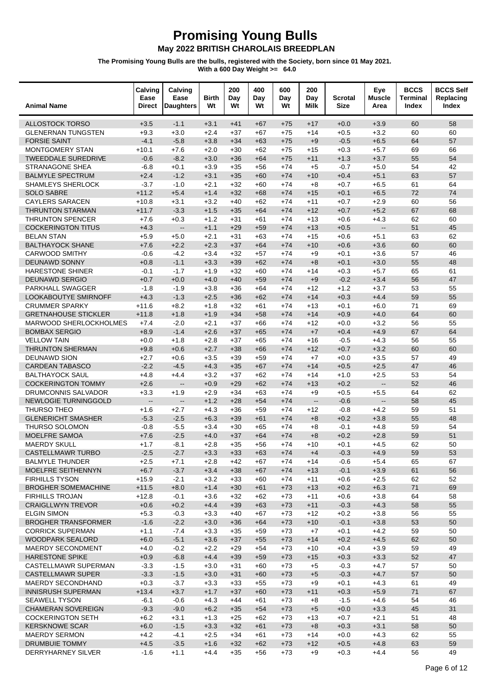| <b>Animal Name</b>                            | Calving<br>Ease<br>Direct | Calving<br>Ease<br><b>Daughters</b> | <b>Birth</b><br>Wt | 200<br>Day<br>Wt | 400<br>Day<br>Wt | 600<br>Day<br>Wt | 200<br>Day<br>Milk       | Scrotal<br><b>Size</b> | Eye<br><b>Muscle</b><br>Area | <b>BCCS</b><br><b>Terminal</b><br>Index | <b>BCCS Self</b><br>Replacing<br>Index |
|-----------------------------------------------|---------------------------|-------------------------------------|--------------------|------------------|------------------|------------------|--------------------------|------------------------|------------------------------|-----------------------------------------|----------------------------------------|
| <b>ALLOSTOCK TORSO</b>                        | $+3.5$                    | $-1.1$                              | $+3.1$             | $+41$            | $+67$            | $+75$            | $+17$                    | $+0.0$                 | $+3.9$                       | 60                                      | 58                                     |
| <b>GLENERNAN TUNGSTEN</b>                     | $+9.3$                    | $+3.0$                              | $+2.4$             | $+37$            | $+67$            | $+75$            | $+14$                    | $+0.5$                 | $+3.2$                       | 60                                      | 60                                     |
| <b>FORSIE SAINT</b>                           | $-4.1$                    | $-5.8$                              | $+3.8$             | $+34$            | $+63$            | $+75$            | $+9$                     | $-0.5$                 | $+6.5$                       | 64                                      | 57                                     |
| <b>MONTGOMERY STAN</b>                        | $+10.1$                   | $+7.6$                              | $+2.0$             | $+30$            | $+62$            | $+75$            | $+15$                    | $+0.3$                 | $+5.7$                       | 69                                      | 66                                     |
| <b>TWEEDDALE SUREDRIVE</b>                    | $-0.6$                    | $-8.2$                              | $+3.0$             | $+36$            | $+64$            | $+75$            | $+11$                    | $+1.3$                 | $+3.7$                       | 55                                      | 54                                     |
| <b>STRANAGONE SHEA</b>                        | $-6.8$                    | $+0.1$                              | $+3.9$             | $+35$            | $+56$            | $+74$            | $+5$                     | $-0.7$                 | $+5.0$                       | 54                                      | 42                                     |
| <b>BALMYLE SPECTRUM</b><br>SHAMLEYS SHERLOCK  | $+2.4$                    | $-1.2$<br>$-1.0$                    | $+3.1$<br>$+2.1$   | $+35$            | $+60$            | $+74$            | $+10$                    | $+0.4$<br>$+0.7$       | $+5.1$<br>$+6.5$             | 63<br>61                                | 57<br>64                               |
| <b>SOLO SABRE</b>                             | $-3.7$<br>$+11.2$         | $+5.4$                              | $+1.4$             | $+32$<br>$+32$   | $+60$<br>$+68$   | $+74$<br>$+74$   | $+8$<br>$+15$            | $+0.1$                 | $+6.5$                       | 72                                      | 74                                     |
| <b>CAYLERS SARACEN</b>                        | $+10.8$                   | $+3.1$                              | $+3.2$             | $+40$            | $+62$            | $+74$            | $+11$                    | $+0.7$                 | $+2.9$                       | 60                                      | 56                                     |
| <b>THRUNTON STARMAN</b>                       | $+11.7$                   | $-3.3$                              | $+1.5$             | $+35$            | $+64$            | $+74$            | $+12$                    | $+0.7$                 | $+5.2$                       | 67                                      | 68                                     |
| <b>THRUNTON SPENCER</b>                       | $+7.6$                    | $+0.3$                              | $+1.2$             | $+31$            | $+61$            | $+74$            | $+13$                    | $+0.6$                 | $+4.3$                       | 62                                      | 60                                     |
| <b>COCKERINGTON TITUS</b>                     | $+4.3$                    | $\overline{\phantom{a}}$            | $+1.1$             | $+29$            | $+59$            | $+74$            | $+13$                    | $+0.5$                 | $\mathbf{L}$                 | 51                                      | 45                                     |
| <b>BELAN STAN</b>                             | $+5.9$                    | $+5.0$                              | $+2.1$             | $+31$            | $+63$            | $+74$            | $+15$                    | $+0.6$                 | $+5.1$                       | 63                                      | 62                                     |
| <b>BALTHAYOCK SHANE</b>                       | $+7.6$                    | $+2.2$                              | $+2.3$             | $+37$            | $+64$            | $+74$            | $+10$                    | $+0.6$                 | $+3.6$                       | 60                                      | 60                                     |
| <b>CARWOOD SMITHY</b>                         | $-0.6$                    | $-4.2$                              | $+3.4$             | $+32$            | $+57$            | $+74$            | $+9$                     | $+0.1$                 | $+3.6$                       | 57                                      | 46                                     |
| DEUNAWD SONNY                                 | $+0.8$                    | $-1.1$                              | $+3.3$             | $+39$            | $+62$            | $+74$            | $+8$                     | $+0.1$                 | $+3.0$                       | 55                                      | 48                                     |
| <b>HARESTONE SHINER</b>                       | $-0.1$                    | $-1.7$                              | $+1.9$             | $+32$            | $+60$            | $+74$            | $+14$                    | $+0.3$                 | $+5.7$                       | 65                                      | 61                                     |
| <b>DEUNAWD SERGIO</b>                         | $+0.7$                    | $+0.0$                              | $+4.0$             | $+40$            | $+59$            | $+74$            | $+9$                     | $-0.2$                 | $+3.4$                       | 56                                      | 47                                     |
| PARKHALL SWAGGER                              | $-1.8$                    | $-1.9$                              | $+3.8$             | $+36$            | $+64$            | $+74$            | $+12$                    | $+1.2$                 | $+3.7$                       | 53                                      | 55                                     |
| LOOKABOUTYE SMIRNOFF<br><b>CRUMMER SPARKY</b> | $+4.3$<br>$+11.6$         | $-1.3$<br>$+8.2$                    | $+2.5$<br>$+1.8$   | $+36$<br>$+32$   | $+62$<br>$+61$   | $+74$<br>$+74$   | $+14$<br>$+13$           | $+0.3$<br>$+0.1$       | $+4.4$<br>$+6.0$             | 59<br>71                                | 55<br>69                               |
| <b>GRETNAHOUSE STICKLER</b>                   | $+11.8$                   | $+1.8$                              | $+1.9$             | $+34$            | $+58$            | $+74$            | $+14$                    | $+0.9$                 | $+4.0$                       | 64                                      | 60                                     |
| MARWOOD SHERLOCKHOLMES                        | $+7.4$                    | $-2.0$                              | $+2.1$             | $+37$            | $+66$            | $+74$            | $+12$                    | $+0.0$                 | $+3.2$                       | 56                                      | 55                                     |
| <b>BOMBAX SERGIO</b>                          | $+8.9$                    | $-1.4$                              | $+2.6$             | $+37$            | $+65$            | $+74$            | $+7$                     | $+0.4$                 | $+4.9$                       | 67                                      | 64                                     |
| <b>VELLOW TAIN</b>                            | $+0.0$                    | $+1.8$                              | $+2.8$             | $+37$            | $+65$            | $+74$            | $+16$                    | $-0.5$                 | $+4.3$                       | 56                                      | 55                                     |
| <b>THRUNTON SHERMAN</b>                       | $+9.8$                    | $+0.6$                              | $+2.7$             | $+38$            | $+66$            | $+74$            | $+12$                    | $+0.7$                 | $+3.2$                       | 60                                      | 60                                     |
| <b>DEUNAWD SION</b>                           | $+2.7$                    | $+0.6$                              | $+3.5$             | $+39$            | $+59$            | $+74$            | $+7$                     | $+0.0$                 | $+3.5$                       | 57                                      | 49                                     |
| <b>CARDEAN TABASCO</b>                        | $-2.2$                    | $-4.5$                              | $+4.3$             | $+35$            | $+67$            | $+74$            | $+14$                    | $+0.5$                 | $+2.5$                       | 47                                      | 46                                     |
| <b>BALTHAYOCK SAUL</b>                        | $+4.8$                    | $+4.4$                              | $+3.2$             | $+37$            | $+62$            | $+74$            | $+14$                    | $+1.0$                 | $+2.5$                       | 53                                      | 54                                     |
| <b>COCKERINGTON TOMMY</b>                     | $+2.6$                    | Ξ.                                  | $+0.9$             | $+29$            | $+62$            | $+74$            | $+13$                    | $+0.2$                 | $\overline{\phantom{a}}$     | 52                                      | 46                                     |
| DRUMCONNIS SALVADOR                           | $+3.3$                    | $+1.9$                              | $+2.9$             | $+34$            | $+63$            | $+74$            | $+9$                     | $+0.5$                 | $+5.5$                       | 64                                      | 62                                     |
| <b>NEWLOGIE TURNINGGOLD</b>                   | $\overline{\phantom{a}}$  | $\overline{\phantom{a}}$            | $+1.2$             | $+28$            | $+54$            | $+74$            | $\overline{\phantom{a}}$ | $-0.6$                 | $\overline{\phantom{a}}$     | 58                                      | 45                                     |
| THURSO THEO                                   | $+1.6$                    | $+2.7$                              | $+4.3$             | $+36$            | $+59$            | $+74$            | $+12$                    | $-0.8$                 | $+4.2$                       | 59                                      | 51                                     |
| <b>GLENERICHT SMASHER</b><br>THURSO SOLOMON   | $-5.3$                    | $-2.5$                              | $+6.3$<br>$+3.4$   | $+39$            | $+61$            | $+74$            | $+8$                     | $+0.2$                 | $+3.8$<br>$+4.8$             | 55                                      | 48                                     |
| MOELFRE SAMOA                                 | $-0.8$<br>$+7.6$          | $-5.5$<br>$-2.5$                    | $+4.0$             | $+30$<br>$+37$   | $+65$<br>$+64$   | $+74$<br>$+74$   | $+8$<br>$+8$             | $-0.1$<br>$+0.2$       | $+2.8$                       | 59<br>59                                | 54<br>51                               |
| <b>MAERDY SKULL</b>                           | $+1.7$                    | $-8.1$                              | $+2.8$             | $+35$            | $+56$            | $+74$            | $+10$                    | $+0.1$                 | $+4.5$                       | 62                                      | 50                                     |
| CASTELLMAWR TURBO                             | $-2.5$                    | $-2.7$                              | $+3.3$             | $+33$            | $+63$            | $+74$            | $+4$                     | $-0.3$                 | $+4.9$                       | 59                                      | 53                                     |
| <b>BALMYLE THUNDER</b>                        | $+2.5$                    | $+7.1$                              | $+2.8$             | $+42$            | +67              | $+74$            | $+14$                    | $-0.6$                 | $+5.4$                       | 65                                      | 67                                     |
| MOELFRE SEITHENNYN                            | $+6.7$                    | $-3.7$                              | $+3.4$             | $+38$            | $+67$            | $+74$            | $+13$                    | $-0.1$                 | $+3.9$                       | 61                                      | 56                                     |
| <b>FIRHILLS TYSON</b>                         | $+15.9$                   | $-2.1$                              | $+3.2$             | $+33$            | $+60$            | $+74$            | $+11$                    | $+0.6$                 | $+2.5$                       | 62                                      | 52                                     |
| <b>BROGHER SOMEMACHINE</b>                    | $+11.5$                   | $+8.0$                              | $+1.4$             | $+30$            | $+61$            | $+73$            | $+13$                    | $+0.2$                 | $+6.3$                       | 71                                      | 69                                     |
| <b>FIRHILLS TROJAN</b>                        | $+12.8$                   | $-0.1$                              | $+3.6$             | $+32$            | $+62$            | $+73$            | $+11$                    | $+0.6$                 | $+3.8$                       | 64                                      | 58                                     |
| <b>CRAIGLLWYN TREVOR</b>                      | $+0.6$                    | $+0.2$                              | $+4.4$             | $+39$            | $+63$            | $+73$            | $+11$                    | $-0.3$                 | $+4.3$                       | 58                                      | 55                                     |
| <b>ELGIN SIMON</b>                            | $+5.3$                    | $-0.3$                              | $+3.3$             | $+40$            | $+67$            | $+73$            | $+12$                    | $+0.2$                 | $+3.8$                       | 56                                      | 55                                     |
| <b>BROGHER TRANSFORMER</b>                    | $-1.6$                    | $-2.2$                              | $+3.0$             | $+36$            | $+64$            | $+73$            | $+10$                    | $-0.1$                 | $+3.8$                       | 53                                      | 50                                     |
| <b>CORRICK SUPERMAN</b><br>WOODPARK SEALORD   | $+1.1$<br>$+6.0$          | $-7.4$<br>$-5.1$                    | $+3.3$<br>$+3.6$   | $+35$            | $+59$            | $+73$<br>$+73$   | $+7$<br>$+14$            | $+0.1$<br>$+0.2$       | $+4.2$<br>$+4.5$             | 59<br>62                                | 50<br>50                               |
| MAERDY SECONDMENT                             | $+4.0$                    | $-0.2$                              | $+2.2$             | $+37$<br>$+29$   | $+55$<br>$+54$   | $+73$            | $+10$                    | $+0.4$                 | $+3.9$                       | 59                                      | 49                                     |
| <b>HARESTONE SPIKE</b>                        | $+0.9$                    | $-6.8$                              | $+4.4$             | $+39$            | $+59$            | $+73$            | $+15$                    | $+0.3$                 | $+3.3$                       | 52                                      | 47                                     |
| CASTELLMAWR SUPERMAN                          | $-3.3$                    | $-1.5$                              | $+3.0$             | $+31$            | $+60$            | $+73$            | $+5$                     | $-0.3$                 | $+4.7$                       | 57                                      | 50                                     |
| <b>CASTELLMAWR SUPER</b>                      | $-3.3$                    | $-1.5$                              | $+3.0$             | $+31$            | $+60$            | $+73$            | $+5$                     | $-0.3$                 | $+4.7$                       | 57                                      | 50                                     |
| MAERDY SECONDHAND                             | $+0.3$                    | $-3.7$                              | $+3.3$             | $+33$            | $+55$            | $+73$            | $+9$                     | $+0.1$                 | $+4.3$                       | 61                                      | 49                                     |
| <b>INNISRUSH SUPERMAN</b>                     | $+13.4$                   | $+3.7$                              | $+1.7$             | $+37$            | $+60$            | $+73$            | $+11$                    | $+0.3$                 | $+5.9$                       | 71                                      | 67                                     |
| <b>SEAWELL TYSON</b>                          | $-6.1$                    | $-0.6$                              | $+4.3$             | $+44$            | +61              | $+73$            | $+8$                     | $-1.5$                 | $+4.6$                       | 54                                      | 46                                     |
| <b>CHAMERAN SOVEREIGN</b>                     | $-9.3$                    | $-9.0$                              | $+6.2$             | $+35$            | $+54$            | $+73$            | $+5$                     | $+0.0$                 | $+3.3$                       | 45                                      | 31                                     |
| <b>COCKERINGTON SETH</b>                      | $+6.2$                    | $+3.1$                              | $+1.3$             | $+25$            | $+62$            | $+73$            | $+13$                    | $+0.7$                 | $+2.1$                       | 51                                      | 48                                     |
| <b>KERSKNOWE SCAR</b>                         | $+6.0$                    | $-1.5$                              | $+3.3$             | $+32$            | $+61$            | $+73$            | $+8$                     | $+0.3$                 | $+3.1$                       | 58                                      | 50                                     |
| <b>MAERDY SERMON</b>                          | $+4.2$                    | $-4.1$                              | $+2.5$             | $+34$            | $+61$            | $+73$            | $+14$                    | $+0.0$                 | $+4.3$                       | 62                                      | 55                                     |
| DRUMBUIE TOMMY                                | $+4.5$                    | $-3.5$                              | $+1.6$             | $+32$            | $+62$            | $+73$            | $+12$                    | $+0.5$                 | $+4.8$                       | 63                                      | 59                                     |
| DERRYHARNEY SILVER                            | $-1.6$                    | $+1.1$                              | $+4.4$             | $+35$            | $+56$            | $+73$            | $+9$                     | $+0.3$                 | $+4.4$                       | 56                                      | 49                                     |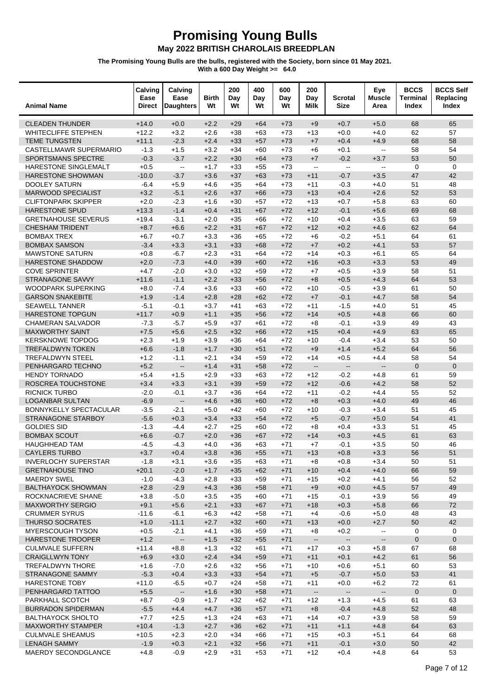| <b>Animal Name</b>                             | Calving<br>Ease<br><b>Direct</b> | Calving<br>Ease<br><b>Daughters</b> | <b>Birth</b><br>Wt | 200<br>Day<br>Wt | 400<br>Day<br>Wt | 600<br>Day<br>Wt | 200<br>Day<br>Milk       | Scrotal<br><b>Size</b>   | Eye<br><b>Muscle</b><br>Area | <b>BCCS</b><br><b>Terminal</b><br>Index | <b>BCCS Self</b><br>Replacing<br>Index |
|------------------------------------------------|----------------------------------|-------------------------------------|--------------------|------------------|------------------|------------------|--------------------------|--------------------------|------------------------------|-----------------------------------------|----------------------------------------|
| <b>CLEADEN THUNDER</b>                         | $+14.0$                          | $+0.0$                              | $+2.2$             | $+29$            | $+64$            | $+73$            | $+9$                     | $+0.7$                   | $+5.0$                       | 68                                      | 65                                     |
| WHITECLIFFE STEPHEN                            | $+12.2$                          | $+3.2$                              | $+2.6$             | $+38$            | $+63$            | $+73$            | $+13$                    | $+0.0$                   | $+4.0$                       | 62                                      | 57                                     |
| <b>TEME TUNGSTEN</b>                           | $+11.1$                          | $-2.3$                              | $+2.4$             | $+33$            | $+57$            | $+73$            | $+7$                     | $+0.4$                   | $+4.9$                       | 68                                      | 58                                     |
| CASTELLMAWR SUPERMARIO                         | $-1.3$                           | $+1.5$                              | $+3.2$             | $+34$            | $+60$            | $+73$            | $+6$                     | $+0.1$                   | Ξ.                           | 58                                      | 54                                     |
| <b>SPORTSMANS SPECTRE</b>                      | $-0.3$                           | $-3.7$                              | $+2.2$             | $+30$            | $+64$            | $+73$            | $+7$                     | $-0.2$                   | $+3.7$                       | 53                                      | 50                                     |
| HARESTONE SINGLEMALT                           | $+0.5$                           | $\sim$                              | $+1.7$             | $+33$            | $+55$            | $+73$            | $\mathbf{L}$             | $\omega_{\rm m}$         | $\mathbf{u}$                 | $\mathbf 0$                             | $\mathbf 0$                            |
| <b>HARESTONE SHOWMAN</b>                       | $-10.0$                          | $-3.7$                              | $+3.6$             | $+37$            | $+63$            | $+73$            | $+11$                    | $-0.7$                   | $+3.5$                       | 47                                      | 42                                     |
| <b>DOOLEY SATURN</b>                           | $-6.4$                           | $+5.9$                              | $+4.6$             | $+35$            | $+64$            | $+73$            | $+11$                    | $-0.3$                   | $+4.0$                       | 51                                      | 48                                     |
| <b>MARWOOD SPECIALIST</b>                      | $+3.2$                           | $-5.1$                              | $+2.6$             | $+37$            | $+66$            | $+73$            | $+13$                    | $+0.4$                   | $+2.6$                       | 52                                      | 53                                     |
| <b>CLIFTONPARK SKIPPER</b>                     | $+2.0$                           | $-2.3$                              | $+1.6$             | $+30$            | $+57$            | $+72$            | $+13$                    | $+0.7$                   | $+5.8$                       | 63                                      | 60                                     |
| <b>HARESTONE SPUD</b>                          | $+13.3$                          | $-1.4$                              | $+0.4$             | $+31$            | $+67$            | $+72$            | $+12$                    | $-0.1$                   | $+5.6$                       | 69                                      | 68                                     |
| <b>GRETNAHOUSE SEVERUS</b>                     | $+19.4$                          | $-3.1$                              | $+2.0$             | $+35$            | $+66$            | $+72$            | $+10$                    | $+0.4$                   | $+3.5$                       | 63                                      | 59                                     |
| <b>CHESHAM TRIDENT</b>                         | $+8.7$                           | $+6.6$                              | $+2.2$             | $+31$            | $+67$            | $+72$            | $+12$                    | $+0.2$                   | $+4.6$                       | 62                                      | 64                                     |
| <b>BOMBAX TREX</b>                             | $+6.7$                           | $+0.7$                              | $+3.3$             | $+36$            | $+65$            | $+72$            | $+6$                     | $-0.2$                   | $+5.1$                       | 64                                      | 61                                     |
| <b>BOMBAX SAMSON</b>                           | $-3.4$                           | $+3.3$                              | $+3.1$             | $+33$            | $+68$            | $+72$            | $+7$                     | $+0.2$                   | $+4.1$                       | 53                                      | 57                                     |
| <b>MAWSTONE SATURN</b>                         | $+0.8$                           | $-6.7$                              | $+2.3$             | $+31$            | $+64$            | $+72$            | $+14$                    | $+0.3$                   | $+6.1$                       | 65                                      | 64                                     |
| HARESTONE SHADDOW<br><b>COVE SPRINTER</b>      | $+2.0$<br>$+4.7$                 | $-7.3$<br>$-2.0$                    | $+4.0$<br>$+3.0$   | $+39$<br>$+32$   | $+60$<br>$+59$   | $+72$<br>$+72$   | $+16$                    | $+0.3$<br>$+0.5$         | $+3.3$<br>$+3.9$             | 53<br>58                                | 49<br>51                               |
| STRANAGONE SAVVY                               | $+11.6$                          | $-1.1$                              | $+2.2$             | $+33$            | $+56$            | $+72$            | $+7$<br>$+8$             | $+0.5$                   | $+4.3$                       | 64                                      | 53                                     |
| <b>WOODPARK SUPERKING</b>                      | $+8.0$                           | $-7.4$                              | $+3.6$             | $+33$            | $+60$            | $+72$            | $+10$                    | $-0.5$                   | $+3.9$                       | 61                                      | 50                                     |
| <b>GARSON SNAKEBITE</b>                        | $+1.9$                           | $-1.4$                              | $+2.8$             | $+28$            | $+62$            | $+72$            | $+7$                     | $-0.1$                   | $+4.7$                       | 58                                      | 54                                     |
| <b>SEAWELL TANNER</b>                          | $-5.1$                           | $-0.1$                              | $+3.7$             | $+41$            | $+63$            | $+72$            | $+11$                    | $-1.5$                   | $+4.0$                       | 51                                      | 45                                     |
| <b>HARESTONE TOPGUN</b>                        | $+11.7$                          | $+0.9$                              | $+1.1$             | $+35$            | $+56$            | $+72$            | $+14$                    | $+0.5$                   | $+4.8$                       | 66                                      | 60                                     |
| <b>CHAMERAN SALVADOR</b>                       | $-7.3$                           | $-5.7$                              | $+5.9$             | $+37$            | $+61$            | $+72$            | $+8$                     | $-0.1$                   | $+3.9$                       | 49                                      | 43                                     |
| <b>MAXWORTHY SAINT</b>                         | $+7.5$                           | $+5.6$                              | $+2.5$             | $+32$            | $+66$            | $+72$            | $+15$                    | $+0.4$                   | $+4.9$                       | 63                                      | 65                                     |
| <b>KERSKNOWE TOPDOG</b>                        | $+2.3$                           | $+1.9$                              | $+3.9$             | $+36$            | $+64$            | $+72$            | $+10$                    | $-0.4$                   | $+3.4$                       | 53                                      | 50                                     |
| <b>TREFALDWYN TOKEN</b>                        | $+6.6$                           | $-1.8$                              | $+1.7$             | $+30$            | $+51$            | $+72$            | $+9$                     | $+1.4$                   | $+5.2$                       | 64                                      | 56                                     |
| <b>TREFALDWYN STEEL</b>                        | $+1.2$                           | $-1.1$                              | $+2.1$             | $+34$            | $+59$            | $+72$            | $+14$                    | $+0.5$                   | $+4.4$                       | 58                                      | 54                                     |
| PENHARGARD TECHNO                              | $+5.2$                           | $\overline{\phantom{a}}$            | $+1.4$             | $+31$            | $+58$            | $+72$            | $\overline{\phantom{a}}$ | $\overline{\phantom{a}}$ | $\overline{a}$               | $\mathbf{0}$                            | $\mathbf{0}$                           |
| <b>HENDY TORNADO</b>                           | $+5.4$                           | $+1.5$                              | $+2.9$             | $+33$            | $+63$            | $+72$            | $+12$                    | $-0.2$                   | $+4.8$                       | 61                                      | 59                                     |
| ROSCREA TOUCHSTONE                             | $+3.4$                           | $+3.3$                              | $+3.1$             | $+39$            | $+59$            | $+72$            | $+12$                    | $-0.6$                   | $+4.2$                       | 58                                      | 52                                     |
| <b>RICNICK TURBO</b>                           | $-2.0$                           | $-0.1$                              | $+3.7$             | $+36$            | $+64$            | $+72$            | $+11$                    | $-0.2$                   | $+4.4$                       | 55                                      | 52                                     |
| <b>LOGANBAR SULTAN</b>                         | $-6.9$                           | $\overline{\phantom{a}}$            | $+4.6$             | $+36$            | $+60$            | $+72$            | $+8$                     | $+0.3$                   | $+4.0$                       | 49                                      | 46                                     |
| BONNYKELLY SPECTACULAR                         | $-3.5$                           | $-2.1$                              | $+5.0$             | $+42$            | $+60$            | $+72$            | $+10$                    | $-0.3$                   | $+3.4$                       | 51                                      | 45                                     |
| STRANAGONE STARBOY                             | $-5.6$                           | $+0.3$                              | $+3.4$             | $+33$            | $+54$            | $+72$            | $+5$                     | $-0.7$                   | $+5.0$                       | 54                                      | 41                                     |
| <b>GOLDIES SID</b>                             | $-1.3$                           | $-4.4$                              | $+2.7$             | $+25$            | $+60$            | $+72$            | $+8$                     | $+0.4$                   | $+3.3$                       | 51                                      | 45                                     |
| <b>BOMBAX SCOUT</b>                            | $+6.6$                           | $-0.7$                              | $+2.0$             | $+36$            | $+67$            | $+72$            | $+14$                    | $+0.3$                   | $+4.5$                       | 61                                      | 63                                     |
| <b>HAUGHHEAD TAM</b>                           | $-4.5$                           | $-4.3$                              | $+4.0$             | $+36$            | $+63$            | $+71$            | $+7$                     | $-0.1$                   | $+3.5$                       | 50                                      | 46                                     |
| <b>CAYLERS TURBO</b>                           | $+3.7$                           | $+0.4$                              | $+3.8$             | $+36$            | $+55$            | $+71$            | $+13$                    | $+0.8$                   | $+3.3$                       | 56                                      | 51                                     |
| <b>INVERLOCHY SUPERSTAR</b>                    | $-1.8$                           | $+3.1$                              | $+3.6$             | $+35$            | +63              | +71              | $+8$                     | $+0.8$                   | $+3.4$                       | 50                                      | 51                                     |
| <b>GRETNAHOUSE TINO</b>                        | $+20.1$                          | $-2.0$                              | $+1.7$             | $+35$            | $+62$            | $+71$            | $+10$                    | $+0.4$                   | $+4.0$                       | 66                                      | 59                                     |
| <b>MAERDY SWEL</b>                             | $-1.0$                           | $-4.3$                              | $+2.8$             | $+33$            | $+59$            | $+71$            | $+15$                    | $+0.2$                   | $+4.1$                       | 56                                      | 52                                     |
| <b>BALTHAYOCK SHOWMAN</b>                      | $+2.8$                           | $-2.9$                              | $+4.3$             | $+36$            | $+58$            | $+71$            | $+9$                     | $+0.0$                   | $+4.5$                       | 57                                      | 49                                     |
| ROCKNACRIEVE SHANE                             | $+3.8$                           | $-5.0$                              | $+3.5$             | $+35$            | $+60$            | $+71$            | $+15$                    | $-0.1$                   | $+3.9$                       | 56                                      | 49                                     |
| <b>MAXWORTHY SERGIO</b>                        | $+9.1$                           | $+5.6$                              | $+2.1$             | $+33$            | $+67$            | $+71$            | $+18$                    | $+0.3$                   | $+5.8$                       | 66                                      | 72                                     |
| <b>CRUMMER SYRUS</b><br><b>THURSO SOCRATES</b> | $-11.6$                          | $-6.1$                              | $+6.3$<br>$+2.7$   | $+42$            | $+58$            | $+71$            | $+4$                     | $-0.6$                   | $+5.0$<br>$+2.7$             | 48<br>50                                | 43<br>42                               |
| <b>MYERSCOUGH TYSON</b>                        | $+1.0$<br>$+0.5$                 | $-11.1$<br>$-2.1$                   | $+4.1$             | $+32$<br>$+36$   | $+60$<br>$+59$   | $+71$<br>+71     | $+13$<br>$+8$            | $+0.0$<br>$+0.2$         | $\overline{\phantom{a}}$     | 0                                       | 0                                      |
| HARESTONE TROOPER                              | $+1.2$                           | $\frac{1}{2}$                       | $+1.5$             | $+32$            | $+55$            | $+71$            | $\overline{\phantom{a}}$ | $\overline{\phantom{a}}$ |                              | $\mathbf 0$                             | $\mathbf 0$                            |
| <b>CULMVALE SUFFERN</b>                        | $+11.4$                          | $+8.8$                              | $+1.3$             | $+32$            | $+61$            | $+71$            | $+17$                    | $+0.3$                   | --<br>$+5.8$                 | 67                                      | 68                                     |
| <b>CRAIGLLWYN TONY</b>                         | $+6.9$                           | $+3.0$                              | $+2.4$             | $+34$            | $+59$            | $+71$            | $+11$                    | $+0.1$                   | $+4.2$                       | 61                                      | 56                                     |
| <b>TREFALDWYN THORE</b>                        | $+1.6$                           | $-7.0$                              | $+2.6$             | $+32$            | $+56$            | $+71$            | $+10$                    | $+0.6$                   | $+5.1$                       | 60                                      | 53                                     |
| <b>STRANAGONE SAMMY</b>                        | $-5.3$                           | $+0.4$                              | $+3.3$             | $+33$            | $+54$            | $+71$            | $+5$                     | $-0.7$                   | $+5.0$                       | 53                                      | 41                                     |
| <b>HARESTONE TOBY</b>                          | $+11.0$                          | $-6.5$                              | $+0.7$             | $+24$            | $+58$            | $+71$            | $+11$                    | $+0.0$                   | $+6.2$                       | 72                                      | 61                                     |
| PENHARGARD TATTOO                              | $+5.5$                           | $\overline{\phantom{a}}$            | $+1.6$             | $+30$            | $+58$            | $+71$            | $\overline{\phantom{a}}$ | $\overline{\phantom{a}}$ | $\overline{\phantom{a}}$     | $\pmb{0}$                               | $\mathbf 0$                            |
| PARKHALL SCOTCH                                | $+8.7$                           | $-0.9$                              | $+1.7$             | $+32$            | $+62$            | $+71$            | $+12$                    | $+1.3$                   | $+4.5$                       | 61                                      | 63                                     |
| <b>BURRADON SPIDERMAN</b>                      | $-5.5$                           | $+4.4$                              | $+4.7$             | $+36$            | $+57$            | $+71$            | $+8$                     | $-0.4$                   | $+4.8$                       | 52                                      | 48                                     |
| <b>BALTHAYOCK SHOLTO</b>                       | $+7.7$                           | $+2.5$                              | $+1.3$             | $+24$            | $+63$            | $+71$            | $+14$                    | $+0.7$                   | $+3.9$                       | 58                                      | 59                                     |
| <b>MAXWORTHY STAMPER</b>                       | $+10.4$                          | $-1.3$                              | $+2.7$             | $+36$            | $+62$            | $+71$            | $+11$                    | $+1.1$                   | $+4.8$                       | 64                                      | 63                                     |
| <b>CULMVALE SHEAMUS</b>                        | $+10.5$                          | $+2.3$                              | $+2.0$             | $+34$            | +66              | $+71$            | $+15$                    | $+0.3$                   | $+5.1$                       | 64                                      | 68                                     |
| <b>LENAGH SAMMY</b>                            | $-1.9$                           | $+0.3$                              | $+2.1$             | $+32$            | $+56$            | $+71$            | $+11$                    | $-0.1$                   | $+3.0$                       | 50                                      | 42                                     |
| MAERDY SECONDGLANCE                            | $+4.8$                           | $-0.9$                              | $+2.9$             | $+31$            | $+53$            | $+71$            | $+12$                    | $+0.4$                   | $+4.8$                       | 64                                      | 53                                     |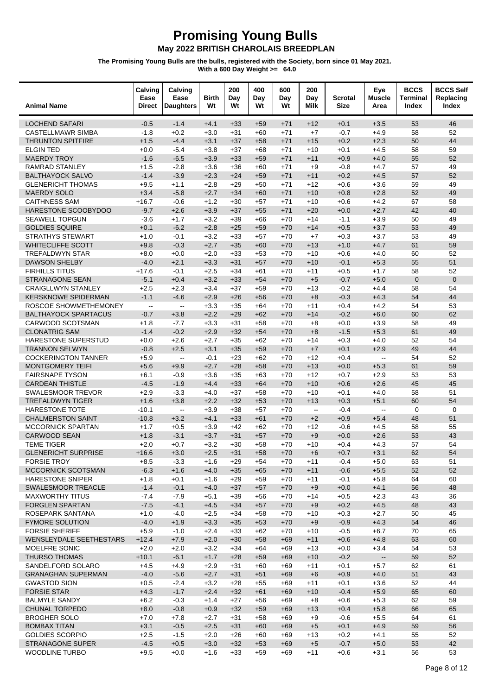| <b>Animal Name</b>                                  | Calving<br>Ease<br><b>Direct</b>              | Calving<br>Ease<br><b>Daughters</b>           | <b>Birth</b><br>Wt | 200<br>Day<br>Wt | 400<br>Day<br>Wt | 600<br>Day<br>Wt | 200<br>Day<br>Milk        | <b>Scrotal</b><br><b>Size</b> | Eye<br><b>Muscle</b><br>Area | <b>BCCS</b><br>Terminal<br>Index | <b>BCCS Self</b><br>Replacing<br>Index |
|-----------------------------------------------------|-----------------------------------------------|-----------------------------------------------|--------------------|------------------|------------------|------------------|---------------------------|-------------------------------|------------------------------|----------------------------------|----------------------------------------|
| <b>LOCHEND SAFARI</b>                               | $-0.5$                                        | $-1.4$                                        | $+4.1$             | $+33$            | $+59$            | $+71$            | $+12$                     | $+0.1$                        | $+3.5$                       | 53                               | 46                                     |
| <b>CASTELLMAWR SIMBA</b>                            | $-1.8$                                        | $+0.2$                                        | $+3.0$             | $+31$            | $+60$            | $+71$            | $+7$                      | $-0.7$                        | $+4.9$                       | 58                               | 52                                     |
| <b>THRUNTON SPITFIRE</b>                            | $+1.5$                                        | $-4.4$                                        | $+3.1$             | $+37$            | $+58$            | $+71$            | $+15$                     | $+0.2$                        | $+2.3$                       | 50                               | 44                                     |
| <b>ELGIN TED</b>                                    | $+0.0$                                        | $-5.4$                                        | $+3.8$             | $+37$            | +68              | $+71$            | $+10$                     | $+0.1$                        | $+4.5$                       | 58                               | 59                                     |
| <b>MAERDY TROY</b>                                  | $-1.6$                                        | $-6.5$                                        | $+3.9$             | $+33$            | $+59$            | $+71$            | $+11$                     | $+0.9$                        | $+4.0$                       | 55                               | 52                                     |
| <b>RAMRAD STANLEY</b>                               | $+1.5$                                        | $-2.8$                                        | $+3.6$             | $+36$            | $+60$            | $+71$            | $+9$                      | $-0.8$                        | $+4.7$                       | 57                               | 49                                     |
| <b>BALTHAYOCK SALVO</b>                             | $-1.4$                                        | $-3.9$                                        | $+2.3$             | $+24$            | $+59$            | $+71$            | $+11$                     | $+0.2$                        | $+4.5$                       | 57                               | 52                                     |
| <b>GLENERICHT THOMAS</b>                            | $+9.5$                                        | $+1.1$                                        | $+2.8$             | $+29$            | $+50$            | $+71$            | $+12$                     | $+0.6$                        | $+3.6$                       | 59                               | 49                                     |
| <b>MAERDY SOLO</b>                                  | $+3.4$                                        | $-5.8$                                        | $+2.7$             | $+34$            | $+60$            | $+71$            | $+10$                     | $+0.8$                        | $+2.8$                       | 52                               | 49                                     |
| <b>CAITHNESS SAM</b>                                | $+16.7$                                       | $-0.6$                                        | $+1.2$             | $+30$            | $+57$            | $+71$            | $+10$                     | $+0.6$                        | $+4.2$                       | 67                               | 58                                     |
| HARESTONE SCOOBYDOO                                 | $-9.7$                                        | $+2.6$                                        | $+3.9$             | $+37$            | $+55$            | $+71$            | $+20$                     | $+0.0$                        | $+2.7$                       | 42                               | 40                                     |
| <b>SEAWELL TOPGUN</b>                               | $-3.6$                                        | $+1.7$                                        | $+3.2$             | $+39$            | +66              | $+70$            | $+14$                     | $-1.1$                        | $+3.9$                       | 50                               | 49                                     |
| <b>GOLDIES SQUIRE</b>                               | $+0.1$                                        | $-6.2$                                        | $+2.8$             | $+25$            | $+59$            | $+70$            | $+14$                     | $+0.5$                        | $+3.7$                       | 53                               | 49                                     |
| <b>STRATHYS STEWART</b><br><b>WHITECLIFFE SCOTT</b> | $+1.0$                                        | $-0.1$                                        | $+3.2$             | $+33$            | $+57$            | $+70$            | $+7$                      | $+0.3$                        | $+3.7$                       | 53                               | 49                                     |
|                                                     | $+9.8$                                        | $-0.3$<br>$+0.0$                              | $+2.7$<br>$+2.0$   | $+35$            | $+60$            | $+70$            | $+13$                     | $+1.0$<br>$+0.6$              | $+4.7$<br>$+4.0$             | 61<br>60                         | 59                                     |
| TREFALDWYN STAR<br><b>DAWSON SHELBY</b>             | $+8.0$<br>$-4.0$                              | $+2.1$                                        | $+3.3$             | $+33$<br>$+31$   | $+53$<br>$+57$   | $+70$<br>$+70$   | $+10$<br>$+10$            | $-0.1$                        | $+5.3$                       | 55                               | 52<br>51                               |
| <b>FIRHILLS TITUS</b>                               | $+17.6$                                       | $-0.1$                                        | $+2.5$             | $+34$            | $+61$            | $+70$            | $+11$                     | $+0.5$                        | $+1.7$                       | 58                               | 52                                     |
| <b>STRANAGONE SEAN</b>                              | $-5.1$                                        | $+0.4$                                        | $+3.2$             | $+33$            | $+54$            | $+70$            | $+5$                      | $-0.7$                        | $+5.0$                       | $\mathbf 0$                      | $\mathbf{0}$                           |
| <b>CRAIGLLWYN STANLEY</b>                           | $+2.5$                                        | $+2.3$                                        | $+3.4$             | $+37$            | $+59$            | $+70$            | +13                       | $-0.2$                        | $+4.4$                       | 58                               | 54                                     |
| <b>KERSKNOWE SPIDERMAN</b>                          | $-1.1$                                        | $-4.6$                                        | $+2.9$             | $+26$            | $+56$            | $+70$            | $+8$                      | $-0.3$                        | $+4.3$                       | 54                               | 44                                     |
| ROSCOE SHOWMETHEMONEY                               | $\mathord{\hspace{1pt}\text{--}\hspace{1pt}}$ | $\mathord{\hspace{1pt}\text{--}\hspace{1pt}}$ | $+3.3$             | $+35$            | $+64$            | $+70$            | $+11$                     | $+0.4$                        | $+4.2$                       | 54                               | 53                                     |
| <b>BALTHAYOCK SPARTACUS</b>                         | $-0.7$                                        | $+3.8$                                        | $+2.2$             | $+29$            | $+62$            | $+70$            | $+14$                     | $-0.2$                        | $+6.0$                       | 60                               | 62                                     |
| CARWOOD SCOTSMAN                                    | $+1.8$                                        | $-7.7$                                        | $+3.3$             | $+31$            | $+58$            | $+70$            | $+8$                      | $+0.0$                        | $+3.9$                       | 58                               | 49                                     |
| <b>CLONATRIG SAM</b>                                | $-1.4$                                        | $-0.2$                                        | $+2.9$             | $+32$            | $+54$            | $+70$            | $+8$                      | $-1.5$                        | $+5.3$                       | 61                               | 49                                     |
| HARESTONE SUPERSTUD                                 | $+0.0$                                        | $+2.6$                                        | $+2.7$             | $+35$            | $+62$            | $+70$            | $+14$                     | $+0.3$                        | $+4.0$                       | 52                               | 54                                     |
| <b>TRANNON SELWYN</b>                               | $-0.8$                                        | $+2.5$                                        | $+3.1$             | $+35$            | $+59$            | $+70$            | $+7$                      | $+0.1$                        | $+2.9$                       | 49                               | 44                                     |
| <b>COCKERINGTON TANNER</b>                          | $+5.9$                                        | $\mathbf{L}$                                  | $-0.1$             | $+23$            | +62              | $+70$            | $+12$                     | $+0.4$                        | $\omega_{\rm m}$             | 54                               | 52                                     |
| <b>MONTGOMERY TEIFI</b>                             | $+5.6$                                        | $+9.9$                                        | $+2.7$             | $+28$            | $+58$            | $+70$            | $+13$                     | $+0.0$                        | $+5.3$                       | 61                               | 59                                     |
| <b>FAIRSNAPE TYSON</b>                              | $+6.1$                                        | $-0.9$                                        | $+3.6$             | $+35$            | $+63$            | $+70$            | $+12$                     | $+0.7$                        | $+2.9$                       | 53                               | 53                                     |
| <b>CARDEAN THISTLE</b>                              | $-4.5$                                        | $-1.9$                                        | $+4.4$             | $+33$            | $+64$            | $+70$            | $+10$                     | $+0.6$                        | $+2.6$                       | 45                               | 45                                     |
| SWALESMOOR TREVOR                                   | $+2.9$                                        | $-3.3$                                        | $+4.0$             | $+37$            | +58              | $+70$            | $+10$                     | $+0.1$                        | $+4.0$                       | 58                               | 51                                     |
| <b>TREFALDWYN TIGER</b>                             | $+1.6$                                        | $+3.8$                                        | $+2.2$             | $+32$            | $+53$            | $+70$            | $+13$                     | $+0.3$                        | $+5.1$                       | 60                               | 54                                     |
| <b>HARESTONE TOTE</b>                               | $-10.1$                                       | $\mathord{\hspace{1pt}\text{--}\hspace{1pt}}$ | $+3.9$             | $+38$            | $+57$            | $+70$            | $\mathbb{H}^{\mathbb{Z}}$ | $-0.4$                        | $\sim$                       | $\mathbf 0$                      | $\mathbf 0$                            |
| <b>CHALMERSTON SAINT</b>                            | $-10.8$                                       | $+3.2$                                        | $+4.1$             | $+33$            | $+61$            | $+70$            | $+2$                      | $+0.9$                        | $+5.4$                       | 48                               | 51                                     |
| <b>MCCORNICK SPARTAN</b>                            | $+1.7$                                        | $+0.5$                                        | $+3.9$             | $+42$            | $+62$            | $+70$            | $+12$                     | $-0.6$                        | $+4.5$                       | 58                               | 55                                     |
| <b>CARWOOD SEAN</b>                                 | $+1.8$                                        | $-3.1$                                        | $+3.7$             | $+31$            | $+57$            | $+70$            | $+9$                      | $+0.0$                        | $+2.6$                       | 53                               | 43                                     |
| <b>TEME TIGER</b>                                   | $+2.0$                                        | $+0.7$                                        | $+3.2$             | $+30$            | $+58$            | $+70$            | $+10$                     | $+0.4$                        | $+4.3$                       | 57                               | 54                                     |
| <b>GLENERICHT SURPRISE</b>                          | $+16.6$                                       | $+3.0$                                        | $+2.5$             | $+31$            | $+58$            | $+70$            | $+6$                      | $+0.7$                        | $+3.1$                       | 62                               | 54                                     |
| <b>FORSIE TROY</b><br>MCCORNICK SCOTSMAN            | +8.5                                          | $-3.3$                                        | $+1.6$             | $+29$            | +54              | $+70$            | $+11$                     | $-0.4$                        | $+5.0$                       | 63                               | 51<br>52                               |
| <b>HARESTONE SNIPER</b>                             | $-6.3$<br>$+1.8$                              | $+1.6$<br>$+0.1$                              | $+4.0$<br>$+1.6$   | $+35$<br>$+29$   | $+65$<br>$+59$   | $+70$<br>$+70$   | $+11$<br>$+11$            | $-0.6$<br>$-0.1$              | $+5.5$<br>$+5.8$             | 52<br>64                         | 60                                     |
| <b>SWALESMOOR TREACLE</b>                           | $-1.4$                                        | $-0.1$                                        | $+4.0$             | $+37$            | $+57$            | $+70$            | $+9$                      | $+0.0$                        | $+4.1$                       | 56                               | 48                                     |
| <b>MAXWORTHY TITUS</b>                              | $-7.4$                                        | $-7.9$                                        | $+5.1$             | $+39$            | $+56$            | $+70$            | +14                       | $+0.5$                        | $+2.3$                       | 43                               | 36                                     |
| <b>FORGLEN SPARTAN</b>                              | $-7.5$                                        | $-4.1$                                        | $+4.5$             | $+34$            | $+57$            | $+70$            | $+9$                      | $+0.2$                        | $+4.5$                       | 48                               | 43                                     |
| ROSEPARK SANTANA                                    | $+1.0$                                        | $-4.0$                                        | $+2.5$             | $+34$            | $+58$            | $+70$            | $+10$                     | $+0.3$                        | $+2.7$                       | 50                               | 45                                     |
| <b>FYMORE SOLUTION</b>                              | $-4.0$                                        | $+1.9$                                        | $+3.3$             | $+35$            | $+53$            | $+70$            | $+9$                      | $-0.9$                        | $+4.3$                       | 54                               | 46                                     |
| <b>FORSIE SHERIFF</b>                               | $+5.9$                                        | $-1.0$                                        | $+2.4$             | $+33$            | $+62$            | $+70$            | $+10$                     | $-0.5$                        | $+6.7$                       | 70                               | 65                                     |
| <b>WENSLEYDALE SEETHESTARS</b>                      | $+12.4$                                       | $+7.9$                                        | $+2.0$             | $+30$            | $+58$            | $+69$            | $+11$                     | $+0.6$                        | $+4.8$                       | 63                               | 60                                     |
| MOELFRE SONIC                                       | $+2.0$                                        | $+2.0$                                        | $+3.2$             | $+34$            | $+64$            | $+69$            | $+13$                     | $+0.0$                        | $+3.4$                       | 54                               | 53                                     |
| <b>THURSO THOMAS</b>                                | $+10.1$                                       | $-6.1$                                        | $+1.7$             | $+28$            | $+59$            | $+69$            | $+10$                     | $-0.2$                        | $\overline{\phantom{a}}$     | 59                               | 52                                     |
| SANDELFORD SOLARO                                   | $+4.5$                                        | $+4.9$                                        | $+2.9$             | +31              | $+60$            | +69              | $+11$                     | $+0.1$                        | $+5.7$                       | 62                               | 61                                     |
| <b>GRANAGHAN SUPERMAN</b>                           | $-4.0$                                        | $-5.6$                                        | $+2.7$             | $+31$            | $+51$            | $+69$            | $+6$                      | $+0.9$                        | $+4.0$                       | 51                               | 43                                     |
| <b>GWASTOD SION</b>                                 | $+0.5$                                        | $-2.4$                                        | $+3.2$             | $+28$            | $+55$            | +69              | $+11$                     | $+0.1$                        | $+3.6$                       | 52                               | 44                                     |
| <b>FORSIE STAR</b>                                  | $+4.3$                                        | $-1.7$                                        | $+2.4$             | $+32$            | $+61$            | $+69$            | $+10$                     | $-0.4$                        | $+5.9$                       | 65                               | 60                                     |
| <b>BALMYLE SANDY</b>                                | $+6.2$                                        | $-0.3$                                        | $+1.4$             | $+27$            | $+56$            | +69              | $+8$                      | $+0.6$                        | $+5.3$                       | 62                               | 59                                     |
| <b>CHUNAL TORPEDO</b>                               | $+8.0$                                        | $-0.8$                                        | $+0.9$             | $+32$            | $+59$            | $+69$            | $+13$                     | $+0.4$                        | $+5.8$                       | 66                               | 65                                     |
| <b>BROGHER SOLO</b>                                 | $+7.0$                                        | $+7.8$                                        | $+2.7$             | $+31$            | $+58$            | +69              | $+9$                      | $-0.6$                        | $+5.5$                       | 64                               | 61                                     |
| <b>BOMBAX TITAN</b>                                 | $+3.1$                                        | $-0.5$                                        | $+2.5$             | $+31$            | $+60$            | $+69$            | $+5$                      | $+0.1$                        | $+4.9$                       | 59                               | 56                                     |
| <b>GOLDIES SCORPIO</b>                              | $+2.5$                                        | $-1.5$                                        | $+2.0$             | $+26$            | $+60$            | +69              | +13                       | $+0.2$                        | $+4.1$                       | 55                               | 52                                     |
| <b>STRANAGONE SUPER</b>                             | $-4.5$                                        | $+0.5$                                        | $+3.0$             | $+32$            | $+53$            | $+69$            | $+5$                      | $-0.7$                        | $+5.0$                       | 53                               | 42                                     |
| <b>WOODLINE TURBO</b>                               | $+9.5$                                        | $+0.0$                                        | $+1.6$             | $+33$            | $+59$            | $+69$            | $+11$                     | $+0.6$                        | $+3.1$                       | 56                               | 53                                     |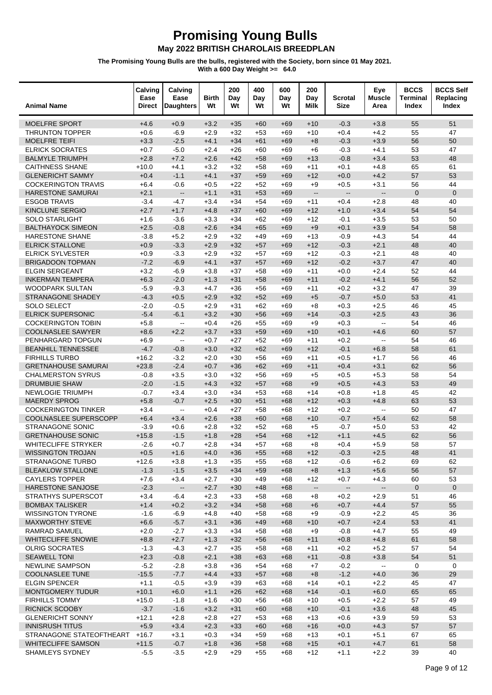| <b>Animal Name</b>                                | Calving<br>Ease<br><b>Direct</b> | Calving<br>Ease<br><b>Daughters</b>           | Birth<br>Wt      | 200<br>Day<br>Wt | 400<br>Day<br>Wt | 600<br>Day<br>Wt | 200<br>Day<br>Milk       | <b>Scrotal</b><br><b>Size</b> | Eye<br><b>Muscle</b><br>Area | <b>BCCS</b><br><b>Terminal</b><br>Index | <b>BCCS Self</b><br>Replacing<br>Index |
|---------------------------------------------------|----------------------------------|-----------------------------------------------|------------------|------------------|------------------|------------------|--------------------------|-------------------------------|------------------------------|-----------------------------------------|----------------------------------------|
| MOELFRE SPORT                                     | $+4.6$                           | $+0.9$                                        | $+3.2$           | $+35$            | $+60$            | $+69$            | $+10$                    | $-0.3$                        | $+3.8$                       | 55                                      | 51                                     |
| <b>THRUNTON TOPPER</b>                            | $+0.6$                           | $-6.9$                                        | $+2.9$           | $+32$            | $+53$            | $+69$            | $+10$                    | $+0.4$                        | $+4.2$                       | 55                                      | 47                                     |
| <b>MOELFRE TEIFI</b>                              | $+3.3$                           | $-2.5$                                        | $+4.1$           | $+34$            | $+61$            | $+69$            | $+8$                     | $-0.3$                        | $+3.9$                       | 56                                      | 50                                     |
| <b>ELRICK SOCRATES</b>                            | $+0.7$                           | $-5.0$                                        | $+2.4$           | $+26$            | $+60$            | +69              | $+6$                     | $-0.3$                        | $+4.1$                       | 53                                      | 47                                     |
| <b>BALMYLE TRIUMPH</b>                            | $+2.8$                           | $+7.2$                                        | $+2.6$           | $+42$            | $+58$            | $+69$            | $+13$                    | $-0.8$                        | $+3.4$                       | 53                                      | 48                                     |
| <b>CAITHNESS SHANE</b>                            | $+10.0$                          | $+4.1$                                        | $+3.2$           | $+32$            | $+58$            | $+69$            | $+11$                    | $+0.1$                        | $+4.8$                       | 65                                      | 61                                     |
| <b>GLENERICHT SAMMY</b>                           | $+0.4$                           | $-1.1$                                        | $+4.1$           | $+37$            | $+59$            | $+69$            | $+12$                    | $+0.0$                        | $+4.2$                       | 57                                      | 53                                     |
| <b>COCKERINGTON TRAVIS</b>                        | $+6.4$                           | $-0.6$                                        | $+0.5$           | $+22$            | $+52$            | +69              | $+9$                     | $+0.5$                        | $+3.1$                       | 56                                      | 44                                     |
| <b>HARESTONE SAMURAI</b>                          | $+2.1$                           | $\overline{\phantom{a}}$                      | $+1.1$           | $+31$            | $+53$            | $+69$            | $\mathbf{L}$             | Ξ.                            | $\mathbb{L}^{\mathbb{L}}$    | $\mathbf{0}$                            | $\Omega$                               |
| <b>ESGOB TRAVIS</b>                               | $-3.4$                           | $-4.7$                                        | $+3.4$           | $+34$            | $+54$            | $+69$            | $+11$                    | $+0.4$                        | $+2.8$                       | 48                                      | 40                                     |
| <b>KINCLUNE SERGIO</b>                            | $+2.7$                           | $+1.7$                                        | $+4.8$           | $+37$            | $+60$            | $+69$            | $+12$                    | $+1.0$                        | $+3.4$                       | 54                                      | 54                                     |
| <b>SOLO STARLIGHT</b><br><b>BALTHAYOCK SIMEON</b> | $+1.6$<br>$+2.5$                 | $-3.6$                                        | $+3.3$<br>$+2.6$ | $+34$            | $+62$            | +69              | $+12$<br>$+9$            | $-0.1$<br>$+0.1$              | $+3.5$<br>$+3.9$             | 53<br>54                                | 50<br>58                               |
| HARESTONE SHANE                                   | $-3.8$                           | $-0.8$<br>$+5.2$                              | $+2.9$           | $+34$<br>$+32$   | $+65$<br>$+49$   | $+69$<br>$+69$   | $+13$                    | $-0.9$                        | $+4.3$                       | 54                                      | 44                                     |
| <b>ELRICK STALLONE</b>                            | $+0.9$                           | $-3.3$                                        | $+2.9$           | $+32$            | $+57$            | $+69$            | $+12$                    | $-0.3$                        | $+2.1$                       | 48                                      | 40                                     |
| <b>ELRICK SYLVESTER</b>                           | $+0.9$                           | $-3.3$                                        | $+2.9$           | $+32$            | $+57$            | +69              | $+12$                    | $-0.3$                        | $+2.1$                       | 48                                      | 40                                     |
| <b>BRIGADOON TOPMAN</b>                           | $-7.2$                           | $-6.9$                                        | $+4.1$           | $+37$            | $+57$            | $+69$            | $+12$                    | $-0.2$                        | $+3.7$                       | 47                                      | 40                                     |
| <b>ELGIN SERGEANT</b>                             | $+3.2$                           | $-6.9$                                        | $+3.8$           | $+37$            | $+58$            | $+69$            | $+11$                    | $+0.0$                        | $+2.4$                       | 52                                      | 44                                     |
| <b>INKERMAN TEMPERA</b>                           | $+6.3$                           | $-2.0$                                        | $+1.3$           | $+31$            | $+58$            | $+69$            | $+11$                    | $-0.2$                        | $+4.1$                       | 56                                      | 52                                     |
| <b>WOODPARK SULTAN</b>                            | $-5.9$                           | $-9.3$                                        | $+4.7$           | $+36$            | $+56$            | +69              | $+11$                    | $+0.2$                        | $+3.2$                       | 47                                      | 39                                     |
| <b>STRANAGONE SHADEY</b>                          | $-4.3$                           | $+0.5$                                        | $+2.9$           | $+32$            | $+52$            | $+69$            | $+5$                     | $-0.7$                        | $+5.0$                       | 53                                      | 41                                     |
| SOLO SELECT                                       | $-2.0$                           | $-0.5$                                        | $+2.9$           | $+31$            | $+62$            | $+69$            | $+8$                     | $+0.3$                        | $+2.5$                       | 46                                      | 45                                     |
| <b>ELRICK SUPERSONIC</b>                          | $-5.4$                           | $-6.1$                                        | $+3.2$           | $+30$            | $+56$            | $+69$            | $+14$                    | $-0.3$                        | $+2.5$                       | 43                                      | 36                                     |
| <b>COCKERINGTON TOBIN</b>                         | $+5.8$                           | $\mathord{\hspace{1pt}\text{--}\hspace{1pt}}$ | $+0.4$           | $+26$            | $+55$            | +69              | $+9$                     | $+0.3$                        | $\overline{\phantom{a}}$     | 54                                      | 46                                     |
| <b>COOLNASLEE SAWYER</b>                          | $+8.6$                           | $+2.2$                                        | $+3.7$           | $+33$            | $+59$            | $+69$            | $+10$                    | $+0.1$                        | $+4.6$                       | 60                                      | 57                                     |
| PENHARGARD TOPGUN                                 | $+6.9$                           | $\mathbf{L}$                                  | $+0.7$           | $+27$            | $+52$            | $+69$            | $+11$                    | $+0.2$                        | $\mathbf{L}$                 | 54                                      | 46                                     |
| <b>BEANHILL TENNESSEE</b>                         | $-4.7$                           | $-0.8$                                        | $+3.0$           | $+32$            | $+62$            | $+69$            | $+12$                    | $-0.1$                        | $+6.8$                       | 58                                      | 61                                     |
| <b>FIRHILLS TURBO</b>                             | $+16.2$                          | $-3.2$                                        | $+2.0$           | $+30$            | $+56$            | +69              | $+11$                    | $+0.5$                        | $+1.7$                       | 56                                      | 46                                     |
| <b>GRETNAHOUSE SAMURAI</b>                        | $+23.8$                          | $-2.4$                                        | $+0.7$           | $+36$            | $+62$            | $+69$            | $+11$                    | $+0.4$                        | $+3.1$                       | 62                                      | 56                                     |
| <b>CHALMERSTON SYRUS</b>                          | $-0.8$                           | $+3.5$                                        | $+3.0$           | $+32$            | $+56$            | $+69$            | $+5$                     | $+0.5$                        | $+5.3$                       | 58                                      | 54                                     |
| <b>DRUMBUIE SHAW</b>                              | $-2.0$                           | $-1.5$                                        | $+4.3$           | $+32$            | $+57$            | $+68$            | $+9$                     | $+0.5$                        | $+4.3$                       | 53                                      | 49                                     |
| <b>NEWLOGIE TRIUMPH</b>                           | $-0.7$                           | $+3.4$                                        | $+3.0$           | $+34$            | $+53$            | +68              | $+14$                    | $+0.8$                        | $+1.8$                       | 45                                      | 42                                     |
| <b>MAERDY SPROG</b>                               | $+5.8$                           | $-0.7$                                        | $+2.5$           | $+30$            | $+51$            | $+68$            | $+12$                    | $+0.3$                        | $+4.8$                       | 63                                      | 53                                     |
| <b>COCKERINGTON TINKER</b>                        | $+3.4$                           | $\overline{\phantom{a}}$                      | $+0.4$           | $+27$            | $+58$            | $+68$            | $+12$                    | $+0.2$                        | $\omega_{\rm m}$             | 50                                      | 47                                     |
| COOLNASLEE SUPERSCOPP                             | $+6.4$                           | $+3.4$                                        | $+2.6$           | $+38$            | $+60$            | $+68$            | $+10$                    | $-0.7$                        | $+5.4$                       | 62                                      | 58                                     |
| <b>STRANAGONE SONIC</b>                           | $-3.9$                           | $+0.6$                                        | $+2.8$           | $+32$            | $+52$            | $+68$            | $+5$                     | $-0.7$                        | $+5.0$                       | 53                                      | 42                                     |
| <b>GRETNAHOUSE SONIC</b>                          | $+15.8$                          | $-1.5$                                        | $+1.8$           | $+28$            | $+54$            | $+68$            | $+12$                    | $+1.1$                        | $+4.5$                       | 62                                      | 56                                     |
| <b>WHITECLIFFE STRYKER</b>                        | $-2.6$                           | $+0.7$                                        | $+2.8$           | $+34$            | $+57$            | $+68$            | $+8$                     | $+0.4$                        | $+5.9$                       | 58                                      | 57                                     |
| <b>WISSINGTON TROJAN</b>                          | $+0.5$                           | $+1.6$                                        | $+4.0$           | $+36$            | $+55$            | $+68$            | $+12$                    | $-0.3$                        | $+2.5$                       | 48                                      | 41                                     |
| STRANAGONE TURBO<br><b>BLEAKLOW STALLONE</b>      | $+12.6$<br>$-1.3$                | $+3.8$<br>$-1.5$                              | $+1.3$<br>$+3.5$ | $+35$<br>$+34$   | $+55$<br>$+59$   | +68<br>$+68$     | +12<br>$+8$              | $-0.6$<br>$+1.3$              | $+6.2$<br>$+5.6$             | 69<br>56                                | 62<br>57                               |
| <b>CAYLERS TOPPER</b>                             | $+7.6$                           | $+3.4$                                        | $+2.7$           | $+30$            | $+49$            | $+68$            | $+12$                    | $+0.7$                        | $+4.3$                       | 60                                      | 53                                     |
| HARESTONE SANJOSE                                 | $-2.3$                           | $\overline{\phantom{a}}$                      | $+2.7$           | $+30$            | $+48$            | $+68$            | $\overline{\phantom{a}}$ | $\overline{\phantom{a}}$      | $\mathbb{L}^2$               | $\pmb{0}$                               | $\mathbf 0$                            |
| <b>STRATHYS SUPERSCOT</b>                         | $+3.4$                           | $-6.4$                                        | $+2.3$           | $+33$            | $+58$            | +68              | $+8$                     | $+0.2$                        | $+2.9$                       | 51                                      | 46                                     |
| <b>BOMBAX TALISKER</b>                            | $+1.4$                           | $+0.2$                                        | $+3.2$           | $+34$            | $+58$            | $+68$            | $+6$                     | $+0.7$                        | $+4.4$                       | 57                                      | 55                                     |
| <b>WISSINGTON TYRONE</b>                          | $-1.6$                           | $-6.9$                                        | $+4.8$           | $+40$            | $+58$            | $+68$            | $+9$                     | $-0.9$                        | $+2.2$                       | 45                                      | 36                                     |
| <b>MAXWORTHY STEVE</b>                            | $+6.6$                           | $-5.7$                                        | $+3.1$           | $+36$            | $+49$            | $+68$            | $+10$                    | $+0.7$                        | $+2.4$                       | 53                                      | 41                                     |
| RAMRAD SAMUEL                                     | $+2.0$                           | $-2.7$                                        | $+3.3$           | $+34$            | +58              | +68              | $+9$                     | $-0.8$                        | $+4.7$                       | 55                                      | 49                                     |
| WHITECLIFFE SNOWIE                                | $+8.8$                           | $+2.7$                                        | $+1.3$           | $+32$            | $+56$            | $+68$            | $+11$                    | $+0.8$                        | $+4.8$                       | 61                                      | 58                                     |
| <b>OLRIG SOCRATES</b>                             | $-1.3$                           | $-4.3$                                        | $+2.7$           | $+35$            | $+58$            | $+68$            | $+11$                    | $+0.2$                        | $+5.2$                       | 57                                      | 54                                     |
| <b>SEAWELL TONI</b>                               | $+2.3$                           | $-0.8$                                        | $+2.1$           | $+38$            | $+63$            | $+68$            | $+11$                    | $-0.8$                        | $+3.8$                       | 54                                      | 51                                     |
| <b>NEWLINE SAMPSON</b>                            | $-5.2$                           | $-2.8$                                        | $+3.8$           | $+36$            | +54              | +68              | $+7$                     | $-0.2$                        | Ξ.                           | 0                                       | $\mathbf 0$                            |
| <b>COOLNASLEE TUNE</b>                            | $-15.5$                          | $-7.7$                                        | $+4.4$           | $+33$            | $+57$            | $+68$            | $+8$                     | $-1.2$                        | $+4.0$                       | 36                                      | 29                                     |
| <b>ELGIN SPENCER</b>                              | $+1.1$                           | $-0.5$                                        | $+3.9$           | $+39$            | $+63$            | $+68$            | $+14$                    | $+0.1$                        | $+2.2$                       | 45                                      | 47                                     |
| MONTGOMERY TUDUR                                  | $+10.1$                          | $+6.0$                                        | $+1.1$           | $+26$            | $+62$            | $+68$            | $+14$                    | $-0.1$                        | $+6.0$                       | 65                                      | 65                                     |
| <b>FIRHILLS TOMMY</b>                             | $+15.0$                          | $-1.8$                                        | $+1.6$           | $+30$            | +56              | +68              | $+10$                    | $+0.5$                        | $+2.2$                       | 57                                      | 49                                     |
| RICNICK SCOOBY                                    | $-3.7$                           | $-1.6$                                        | $+3.2$           | $+31$            | $+60$            | $+68$            | $+10$                    | $-0.1$                        | $+3.6$                       | 48                                      | 45                                     |
| <b>GLENERICHT SONNY</b>                           | $+12.1$                          | $+2.8$                                        | $+2.8$           | $+27$            | $+53$            | $+68$            | $+13$                    | $+0.6$                        | $+3.9$                       | 59                                      | 53                                     |
| <b>INNISRUSH TITUS</b>                            | $+5.9$                           | $+3.4$                                        | $+2.3$           | $+33$            | $+60$            | $+68$            | $+16$                    | $+0.0$                        | $+4.3$                       | 57                                      | 57                                     |
| STRANAGONE STATEOFTHEART                          | $+16.7$                          | $+3.1$                                        | $+0.3$           | $+34$            | $+59$            | +68              | $+13$                    | $+0.1$                        | $+5.1$                       | 67                                      | 65                                     |
| WHITECLIFFE SAMSON                                | $+11.5$                          | $-0.7$                                        | $+1.8$           | $+36$            | $+58$            | $+68$            | $+15$                    | $+0.1$                        | $+4.7$                       | 61                                      | 58                                     |
| SHAMLEYS SYDNEY                                   | $-5.5$                           | $-3.5$                                        | $+2.9$           | $+29$            | $+55$            | $+68$            | $+12$                    | $+1.1$                        | $+2.2$                       | 39                                      | 40                                     |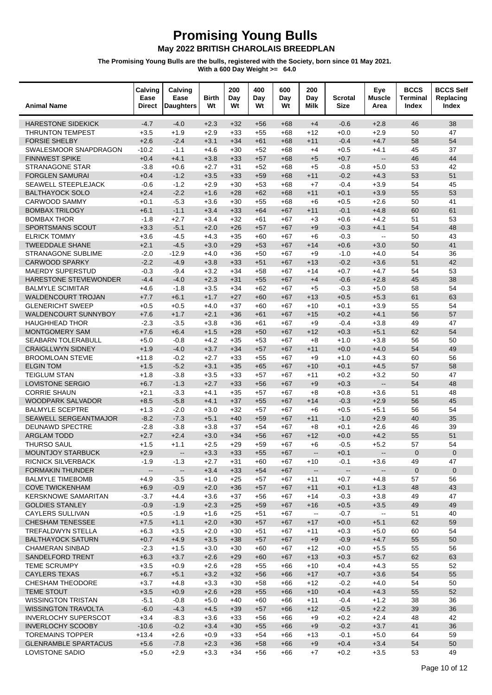| <b>Animal Name</b>                                        | Calving<br>Ease<br><b>Direct</b> | Calving<br>Ease<br><b>Daughters</b> | <b>Birth</b><br>Wt | 200<br>Day<br>Wt | 400<br>Day<br>Wt | 600<br>Day<br>Wt | 200<br>Day<br>Milk                            | <b>Scrotal</b><br><b>Size</b> | Eye<br><b>Muscle</b><br>Area | <b>BCCS</b><br>Terminal<br>Index | <b>BCCS Self</b><br>Replacing<br>Index |
|-----------------------------------------------------------|----------------------------------|-------------------------------------|--------------------|------------------|------------------|------------------|-----------------------------------------------|-------------------------------|------------------------------|----------------------------------|----------------------------------------|
| <b>HARESTONE SIDEKICK</b>                                 | $-4.7$                           | $-4.0$                              | $+2.3$             | $+32$            | $+56$            | $+68$            | $+4$                                          | $-0.6$                        | $+2.8$                       | 46                               | 38                                     |
| <b>THRUNTON TEMPEST</b>                                   | $+3.5$                           | $+1.9$                              | $+2.9$             | $+33$            | $+55$            | $+68$            | $+12$                                         | $+0.0$                        | $+2.9$                       | 50                               | 47                                     |
| <b>FORSIE SHELBY</b>                                      | $+2.6$                           | $-2.4$                              | $+3.1$             | $+34$            | $+61$            | $+68$            | $+11$                                         | $-0.4$                        | $+4.7$                       | 58                               | 54                                     |
| SWALESMOOR SNAPDRAGON                                     | $-10.2$                          | $-1.1$                              | $+4.6$             | $+30$            | $+52$            | $+68$            | $+4$                                          | $+0.5$                        | $+4.1$                       | 45                               | 37                                     |
| <b>FINNWEST SPIKE</b>                                     | $+0.4$                           | $+4.1$                              | $+3.8$             | $+33$            | $+57$            | $+68$            | $+5$                                          | $+0.7$                        | $\mathbb{L}^{\mathbb{L}}$    | 46                               | 44                                     |
| <b>STRANAGONE STAR</b>                                    | $-3.8$                           | $+0.6$                              | $+2.7$             | $+31$            | $+52$            | $+68$            | $+5$                                          | $-0.8$                        | $+5.0$                       | 53                               | 42                                     |
| <b>FORGLEN SAMURAI</b>                                    | $+0.4$                           | $-1.2$                              | $+3.5$             | $+33$            | $+59$            | $+68$            | $+11$                                         | $-0.2$                        | $+4.3$                       | 53                               | 51                                     |
| <b>SEAWELL STEEPLEJACK</b>                                | $-0.6$                           | $-1.2$                              | $+2.9$             | $+30$            | $+53$            | $+68$            | $+7$                                          | $-0.4$                        | $+3.9$                       | 54                               | 45                                     |
| <b>BALTHAYOCK SOLO</b>                                    | $+2.4$                           | $-2.2$                              | $+1.6$             | $+28$            | $+62$            | $+68$            | $+11$                                         | $+0.1$                        | $+3.9$                       | 55                               | 53                                     |
| <b>CARWOOD SAMMY</b>                                      | $+0.1$                           | $-5.3$                              | $+3.6$             | $+30$            | $+55$            | $+68$            | $+6$                                          | $+0.5$                        | $+2.6$                       | 50                               | 41                                     |
| <b>BOMBAX TRILOGY</b>                                     | $+6.1$                           | $-1.1$                              | $+3.4$             | $+33$            | $+64$            | $+67$            | $+11$                                         | $-0.1$                        | $+4.8$                       | 60                               | 61                                     |
| <b>BOMBAX THOR</b>                                        | $-1.8$                           | $+2.7$                              | $+3.4$             | $+32$            | $+61$            | $+67$            | $+3$                                          | $+0.6$                        | $+4.2$                       | 51                               | 53                                     |
| SPORTSMANS SCOUT                                          | $+3.3$                           | $-5.1$                              | $+2.0$             | $+26$            | $+57$            | $+67$            | $+9$                                          | $-0.3$                        | $+4.1$                       | 54                               | 48                                     |
| <b>ELRICK TOMMY</b>                                       | $+3.6$                           | $-4.5$                              | $+4.3$             | $+35$            | $+60$            | $+67$            | $+6$                                          | $-0.3$                        | $\sim$                       | 50                               | 43                                     |
| <b>TWEEDDALE SHANE</b>                                    | $+2.1$                           | $-4.5$                              | $+3.0$             | $+29$            | $+53$            | $+67$            | $+14$                                         | $+0.6$                        | $+3.0$                       | 50                               | 41                                     |
| <b>STRANAGONE SUBLIME</b>                                 | $-2.0$                           | $-12.9$                             | $+4.0$             | $+36$            | $+50$            | $+67$            | $+9$                                          | $-1.0$                        | $+4.0$                       | 54                               | 36                                     |
| <b>CARWOOD SPARKY</b>                                     | $-2.2$                           | $-4.9$                              | $+3.8$             | $+33$            | $+51$            | $+67$            | $+13$                                         | $-0.2$                        | $+3.6$                       | 51                               | 42                                     |
| <b>MAERDY SUPERSTUD</b><br>HARESTONE STEVIEWONDER         | $-0.3$                           | $-9.4$                              | $+3.2$             | $+34$            | $+58$            | $+67$            | $+14$                                         | $+0.7$                        | $+4.7$                       | 54                               | 53                                     |
|                                                           | $-4.4$                           | $-4.0$                              | $+2.3$             | $+31$            | $+55$            | $+67$            | $+4$                                          | $-0.6$                        | $+2.8$                       | 45                               | 38                                     |
| <b>BALMYLE SCIMITAR</b>                                   | $+4.6$                           | $-1.8$                              | $+3.5$             | $+34$            | $+62$            | $+67$            | $+5$                                          | $-0.3$                        | $+5.0$                       | 58                               | 54                                     |
| <b>WALDENCOURT TROJAN</b><br><b>GLENERICHT SWEEP</b>      | $+7.7$                           | $+6.1$<br>$+0.5$                    | $+1.7$<br>$+4.0$   | $+27$<br>$+37$   | $+60$<br>$+60$   | $+67$<br>$+67$   | $+13$<br>$+10$                                | $+0.5$<br>$+0.1$              | $+5.3$<br>$+3.9$             | 61<br>55                         | 63<br>54                               |
| WALDENCOURT SUNNYBOY                                      | $+0.5$<br>$+7.6$                 | $+1.7$                              | $+2.1$             | $+36$            | $+61$            | $+67$            | $+15$                                         | $+0.2$                        | $+4.1$                       | 56                               | 57                                     |
| <b>HAUGHHEAD THOR</b>                                     | $-2.3$                           | $-3.5$                              | $+3.8$             | $+36$            | $+61$            | $+67$            | $+9$                                          | $-0.4$                        | $+3.8$                       | 49                               | 47                                     |
| MONTGOMERY SAM                                            | $+7.6$                           | $+6.4$                              | $+1.5$             | $+28$            | $+50$            | $+67$            | $+12$                                         | $+0.3$                        | $+5.1$                       | 62                               | 54                                     |
| <b>SEABARN TOLERABULL</b>                                 | $+5.0$                           | $-0.8$                              | $+4.2$             | $+35$            | $+53$            | $+67$            | $+8$                                          | $+1.0$                        | $+3.8$                       | 56                               | 50                                     |
| <b>CRAIGLLWYN SIDNEY</b>                                  | $+1.9$                           | $-4.0$                              | $+3.7$             | $+34$            | $+57$            | $+67$            | $+11$                                         | $+0.0$                        | $+4.0$                       | 54                               | 49                                     |
| <b>BROOMLOAN STEVIE</b>                                   | $+11.8$                          | $-0.2$                              | $+2.7$             | $+33$            | $+55$            | $+67$            | $+9$                                          | $+1.0$                        | $+4.3$                       | 60                               | 56                                     |
| <b>ELGIN TOM</b>                                          | $+1.5$                           | $-5.2$                              | $+3.1$             | $+35$            | $+65$            | $+67$            | $+10$                                         | $+0.1$                        | $+4.5$                       | 57                               | 58                                     |
| <b>TEIGLUM STAN</b>                                       | $+1.8$                           | $-3.8$                              | $+3.5$             | $+33$            | $+57$            | $+67$            | $+11$                                         | $+0.2$                        | $+3.2$                       | 50                               | 47                                     |
| <b>LOVISTONE SERGIO</b>                                   | $+6.7$                           | $-1.3$                              | $+2.7$             | $+33$            | $+56$            | $+67$            | $+9$                                          | $+0.3$                        | $\overline{\phantom{a}}$     | 54                               | 48                                     |
| <b>CORRIE SHAUN</b>                                       | $+2.1$                           | $-3.3$                              | $+4.1$             | $+35$            | $+57$            | $+67$            | $+8$                                          | $+0.8$                        | $+3.6$                       | 51                               | 48                                     |
| WOODPARK SALVADOR                                         | $+8.5$                           | $-5.8$                              | $+4.1$             | $+37$            | $+55$            | $+67$            | $+14$                                         | $-0.3$                        | $+2.9$                       | 56                               | 45                                     |
| <b>BALMYLE SCEPTRE</b>                                    | $+1.3$                           | $-2.0$                              | $+3.0$             | $+32$            | $+57$            | $+67$            | $+6$                                          | $+0.5$                        | $+5.1$                       | 56                               | 54                                     |
| SEAWELL SERGEANTMAJOR                                     | $-8.2$                           | $-7.3$                              | $+5.1$             | $+40$            | $+59$            | $+67$            | $+11$                                         | $-1.0$                        | $+2.9$                       | 40                               | 35                                     |
| DEUNAWD SPECTRE                                           | $-2.8$                           | $-3.8$                              | $+3.8$             | $+37$            | $+54$            | $+67$            | $+8$                                          | $+0.1$                        | $+2.6$                       | 46                               | 39                                     |
| <b>ARGLAM TODD</b>                                        | $+2.7$                           | $+2.4$                              | $+3.0$             | $+34$            | $+56$            | $+67$            | $+12$                                         | $+0.0$                        | $+4.2$                       | 55                               | 51                                     |
| <b>THURSO SAUL</b>                                        | $+1.5$                           | $+1.1$                              | $+2.5$             | $+29$            | $+59$            | $+67$            | $+6$                                          | $-0.5$                        | $+5.2$                       | 57                               | 54                                     |
| MOUNTJOY STARBUCK                                         | $+2.9$                           |                                     | $+3.3$             | $+33$            | $+55$            | $+67$            |                                               | $+0.1$                        |                              | $\mathbf 0$                      | $\mathbf 0$                            |
| <b>RICNICK SILVERBACK</b>                                 | $-1.9$                           | $-1.3$                              | $+2.7$             | $+31$            | +60              | +67              | +10                                           | $-0.1$                        | $+3.6$                       | 49                               | 47                                     |
| <b>FORMAKIN THUNDER</b>                                   | $\overline{\phantom{a}}$         | $\overline{\phantom{a}}$            | $+3.4$             | $+33$            | $+54$            | $+67$            | $\overline{\phantom{a}}$                      | --                            | $\overline{\phantom{a}}$     | $\mathbf 0$                      | $\mathbf{0}$                           |
| <b>BALMYLE TIMEBOMB</b>                                   | $+4.9$                           | $-3.5$                              | $+1.0$             | $+25$            | $+57$            | $+67$            | $+11$                                         | $+0.7$                        | $+4.8$                       | 57                               | 56                                     |
| <b>COVE TWICKENHAM</b>                                    | $+6.9$                           | $-0.9$                              | $+2.0$             | $+36$            | $+57$            | $+67$            | $+11$                                         | $+0.1$                        | $+1.3$                       | 48                               | 43                                     |
| <b>KERSKNOWE SAMARITAN</b>                                | $-3.7$                           | $+4.4$                              | $+3.6$             | $+37$            | +56              | $+67$            | $+14$                                         | $-0.3$                        | $+3.8$                       | 49                               | 47                                     |
| <b>GOLDIES STANLEY</b>                                    | $-0.9$                           | $-1.9$                              | $+2.3$             | $+25$            | $+59$            | $+67$            | $+16$                                         | $+0.5$                        | $+3.5$                       | 49                               | 49                                     |
| <b>CAYLERS SULLIVAN</b>                                   | $+0.5$                           | $-1.9$                              | $+1.6$             | $+25$            | $+51$            | $+67$            | $\mathord{\hspace{1pt}\text{--}\hspace{1pt}}$ | $-0.7$                        | $\sim$                       | 51                               | 40                                     |
| <b>CHESHAM TENESSEE</b>                                   | $+7.5$                           | $+1.1$                              | $+2.0$             | $+30$            | $+57$            | $+67$            | $+17$                                         | $+0.0$                        | $+5.1$                       | 62                               | 59                                     |
| <b>TREFALDWYN STELLA</b>                                  | +6.3                             | $+3.5$                              | $+2.0$             | $+30$            | $+51$            | +67              | +11                                           | $+0.3$                        | $+5.0$                       | 60                               | 54                                     |
| <b>BALTHAYOCK SATURN</b>                                  | $+0.7$                           | $+4.9$                              | $+3.5$             | $+38$            | $+57$            | $+67$            | $+9$                                          | $-0.9$                        | $+4.7$                       | 55                               | 50                                     |
| <b>CHAMERAN SINBAD</b>                                    | $-2.3$                           | $+1.5$                              | $+3.0$             | $+30$            | $+60$            | $+67$            | $+12$                                         | $+0.0$                        | $+5.5$                       | 55                               | 56                                     |
| SANDELFORD TRENT                                          | $+6.3$                           | $+3.7$                              | $+2.6$             | $+29$            | $+60$            | $+67$            | $+13$                                         | $+0.3$                        | $+5.7$                       | 62                               | 63                                     |
| <b>TEME SCRUMPY</b>                                       | $+3.5$                           | $+0.9$                              | $+2.6$             | $+28$            | $+55$            | +66              | $+10$                                         | $+0.4$                        | $+4.3$                       | 55                               | 52                                     |
| <b>CAYLERS TEXAS</b>                                      | $+6.7$                           | $+5.1$                              | $+3.2$             | $+32$            | $+56$            | $+66$            | $+17$                                         | $+0.7$                        | $+3.6$                       | 54                               | 55                                     |
| <b>CHESHAM THEODORE</b>                                   | $+3.7$                           | $+4.8$                              | $+3.3$             | $+30$            | $+58$            | $+66$            | $+12$                                         | $-0.2$                        | $+4.0$                       | 54                               | 50                                     |
| TEME STOUT                                                | $+3.5$                           | $+0.9$                              | $+2.6$             | $+28$            | $+55$            | $+66$            | $+10$                                         | $+0.4$                        | $+4.3$                       | 55                               | 52                                     |
| <b>WISSINGTON TRISTAN</b>                                 | $-5.1$                           | $-0.8$                              | $+5.0$             | $+40$            | +60              | +66              | $+11$                                         | $-0.4$                        | $+1.2$                       | 38<br>39                         | 36<br>36                               |
| <b>WISSINGTON TRAVOLTA</b><br><b>INVERLOCHY SUPERSCOT</b> | $-6.0$<br>$+3.4$                 | $-4.3$<br>$-8.3$                    | $+4.5$<br>$+3.6$   | $+39$<br>$+33$   | $+57$<br>$+56$   | $+66$<br>$+66$   | $+12$<br>$+9$                                 | $-0.5$<br>$+0.2$              | $+2.2$<br>$+2.4$             | 48                               | 42                                     |
| <b>INVERLOCHY SCOOBY</b>                                  | $-10.6$                          | $-0.2$                              | $+3.4$             | $+30$            | $+55$            | $+66$            | $+9$                                          | $-0.2$                        | $+3.7$                       | 41                               | 36                                     |
| <b>TOREMAINS TOPPER</b>                                   | $+13.4$                          | $+2.6$                              | $+0.9$             | $+33$            | $+54$            | $+66$            | +13                                           | $-0.1$                        | $+5.0$                       | 64                               | 59                                     |
| <b>GLENRAMBLE SPARTACUS</b>                               | $+5.6$                           | $-7.8$                              | $+2.3$             | $+36$            | $+58$            | $+66$            | $+9$                                          | $+0.4$                        | $+3.4$                       | 54                               | 50                                     |
| LOVISTONE SADIO                                           | $+5.0$                           | $+2.9$                              | $+3.3$             | $+34$            | $+56$            | $+66$            | $+7$                                          | $+0.2$                        | $+3.5$                       | 53                               | 49                                     |
|                                                           |                                  |                                     |                    |                  |                  |                  |                                               |                               |                              |                                  |                                        |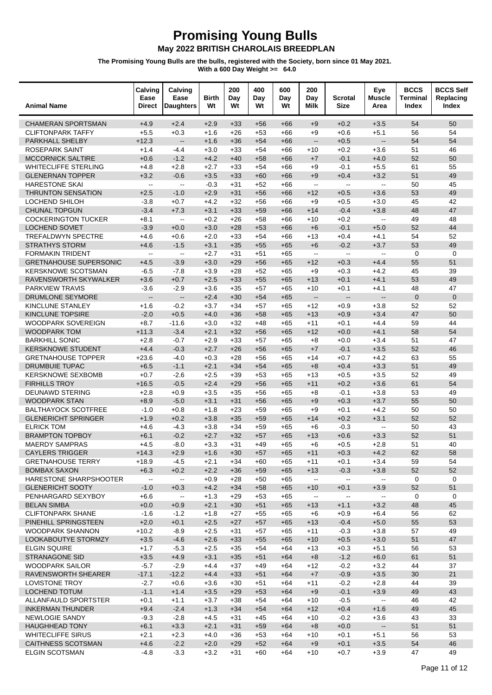#### **Promising Young Bulls**

May 2022 BRITISH CHAROLAIS BREEDPLAN

| <b>Animal Name</b>                                  | Calving<br>Ease<br><b>Direct</b> | Calving<br>Ease<br><b>Daughters</b> | Birth<br>Wt      | 200<br>Day<br>Wt | 400<br>Day<br>Wt | 600<br>Day<br>Wt | 200<br>Day<br>Milk                            | Scrotal<br><b>Size</b>                        | Eye<br><b>Muscle</b><br>Area | <b>BCCS</b><br><b>Terminal</b><br>Index | <b>BCCS Self</b><br>Replacing<br>Index |
|-----------------------------------------------------|----------------------------------|-------------------------------------|------------------|------------------|------------------|------------------|-----------------------------------------------|-----------------------------------------------|------------------------------|-----------------------------------------|----------------------------------------|
| <b>CHAMERAN SPORTSMAN</b>                           | $+4.9$                           | $+2.4$                              | $+2.9$           | $+33$            | $+56$            | $+66$            | $+9$                                          | $+0.2$                                        | $+3.5$                       | 54                                      | 50                                     |
| <b>CLIFTONPARK TAFFY</b>                            | $+5.5$                           | $+0.3$                              | $+1.6$           | $+26$            | $+53$            | $+66$            | $+9$                                          | $+0.6$                                        | $+5.1$                       | 56                                      | 54                                     |
| PARKHALL SHELBY                                     | $+12.3$                          | $\overline{\phantom{a}}$            | $+1.6$           | $+36$            | $+54$            | $+66$            | $\mathbf{L}$                                  | $+0.5$                                        | ц.                           | 54                                      | 54                                     |
| ROSEPARK SAINT                                      | $+1.4$                           | $-4.4$                              | $+3.0$           | $+33$            | $+54$            | +66              | +10                                           | $+0.2$                                        | $+3.6$                       | 51                                      | 46                                     |
| <b>MCCORNICK SALTIRE</b>                            | $+0.6$                           | $-1.2$                              | $+4.2$           | $+40$            | $+58$            | $+66$            | $+7$                                          | $-0.1$                                        | $+4.0$                       | 52                                      | 50                                     |
| <b>WHITECLIFFE STERLING</b>                         | $+4.8$                           | $+2.8$                              | $+2.7$           | $+33$            | $+54$            | $+66$            | $+9$                                          | $-0.1$                                        | $+5.5$                       | 61                                      | 55                                     |
| <b>GLENERNAN TOPPER</b>                             | $+3.2$                           | $-0.6$                              | $+3.5$           | $+33$            | $+60$            | $+66$            | $+9$                                          | $+0.4$                                        | $+3.2$                       | 51                                      | 49                                     |
| <b>HARESTONE SKAI</b>                               | $\mathbf{u}$                     | Ξ.                                  | $-0.3$           | $+31$            | $+52$            | $+66$            | $\mathord{\hspace{1pt}\text{--}\hspace{1pt}}$ | $\mathbf{L}$                                  | $\mathbf{L}$                 | 50                                      | 45                                     |
| <b>THRUNTON SENSATION</b>                           | $+2.5$                           | $-1.0$                              | $+2.9$           | $+31$            | $+56$            | $+66$            | $+12$                                         | $+0.5$                                        | $+3.6$                       | 53                                      | 49                                     |
| LOCHEND SHILOH                                      | $-3.8$                           | $+0.7$                              | $+4.2$           | $+32$            | $+56$            | +66              | $+9$                                          | $+0.5$                                        | $+3.0$                       | 45                                      | 42                                     |
| <b>CHUNAL TOPGUN</b>                                | $-3.4$                           | $+7.3$                              | $+3.1$           | $+33$            | $+59$            | $+66$            | $+14$                                         | $-0.4$                                        | $+3.8$                       | 48                                      | 47                                     |
| <b>COCKERINGTON TUCKER</b><br><b>LOCHEND SOVIET</b> | $+8.1$<br>$-3.9$                 | ц.                                  | $+0.2$<br>$+3.0$ | $+26$            | $+58$            | +66              | $+10$<br>$+6$                                 | $+0.2$<br>$-0.1$                              | $\mathbf{u}$                 | 49<br>52                                | 48<br>44                               |
| <b>TREFALDWYN SPECTRE</b>                           | $+4.6$                           | $+0.0$<br>$+0.6$                    | $+2.0$           | $+28$<br>$+33$   | $+53$<br>$+54$   | $+66$<br>$+66$   | $+13$                                         | $+0.4$                                        | $+5.0$<br>$+4.1$             | 54                                      | 52                                     |
| <b>STRATHYS STORM</b>                               | $+4.6$                           | $-1.5$                              | $+3.1$           | $+35$            | $+55$            | $+65$            | $+6$                                          | $-0.2$                                        | $+3.7$                       | 53                                      | 49                                     |
| <b>FORMAKIN TRIDENT</b>                             | $\mathbf{u}$                     | $\overline{\phantom{a}}$            | $+2.7$           | $+31$            | $+51$            | $+65$            | $\mathbf{L}$                                  | $\mathbf{L}$                                  | $\mathbf{L}$                 | $\mathbf 0$                             | $\Omega$                               |
| <b>GRETNAHOUSE SUPERSONIC</b>                       | $+4.5$                           | $-3.9$                              | $+3.0$           | $+29$            | $+56$            | $+65$            | $+12$                                         | $+0.3$                                        | $+4.4$                       | 55                                      | 51                                     |
| <b>KERSKNOWE SCOTSMAN</b>                           | $-6.5$                           | $-7.8$                              | $+3.9$           | $+28$            | $+52$            | $+65$            | $+9$                                          | $+0.3$                                        | $+4.2$                       | 45                                      | 39                                     |
| RAVENSWORTH SKYWALKER                               | $+3.6$                           | $+0.7$                              | $+2.5$           | $+33$            | $+55$            | $+65$            | $+13$                                         | $+0.1$                                        | $+4.1$                       | 53                                      | 49                                     |
| PARKVIEW TRAVIS                                     | $-3.6$                           | $-2.9$                              | $+3.6$           | $+35$            | $+57$            | $+65$            | +10                                           | $+0.1$                                        | $+4.1$                       | 48                                      | 47                                     |
| DRUMLONE SEYMORE                                    | $\mathbb{L}^2$                   | $\overline{\phantom{a}}$            | $+2.4$           | $+30$            | $+54$            | $+65$            | $\mathbf{L}$                                  | $\mathbb{L}^{\mathbb{L}}$                     | $\mathbb{L}^{\mathbb{L}}$    | $\mathbf{0}$                            | $\mathbf{0}$                           |
| KINCLUNE STANLEY                                    | $+1.6$                           | $-0.2$                              | $+3.7$           | $+34$            | $+57$            | $+65$            | $+12$                                         | $+0.9$                                        | $+3.8$                       | 52                                      | 52                                     |
| <b>KINCLUNE TOPSIRE</b>                             | $-2.0$                           | $+0.5$                              | $+4.0$           | $+36$            | $+58$            | $+65$            | $+13$                                         | $+0.9$                                        | $+3.4$                       | 47                                      | 50                                     |
| <b>WOODPARK SOVEREIGN</b>                           | $+8.7$                           | $-11.6$                             | $+3.0$           | $+32$            | $+48$            | $+65$            | $+11$                                         | $+0.1$                                        | $+4.4$                       | 59                                      | 44                                     |
| <b>WOODPARK TOM</b>                                 | $+11.3$                          | $-3.4$                              | $+2.1$           | $+32$            | $+56$            | $+65$            | $+12$                                         | $+0.0$                                        | $+4.1$                       | 58                                      | 54                                     |
| <b>BARKHILL SONIC</b>                               | $+2.8$                           | $-0.7$                              | $+2.9$           | $+33$            | $+57$            | $+65$            | $+8$                                          | $+0.0$                                        | $+3.4$                       | 51                                      | 47                                     |
| <b>KERSKNOWE STUDENT</b>                            | $+4.4$                           | $-0.3$                              | $+2.7$           | $+26$            | $+56$            | $+65$            | $+7$                                          | $-0.1$                                        | $+3.5$                       | 52                                      | 46                                     |
| <b>GRETNAHOUSE TOPPER</b>                           | $+23.6$                          | $-4.0$                              | $+0.3$           | $+28$            | $+56$            | $+65$            | $+14$                                         | $+0.7$                                        | $+4.2$                       | 63                                      | 55                                     |
| <b>DRUMBUIE TUPAC</b>                               | $+6.5$                           | $-1.1$                              | $+2.1$           | $+34$            | $+54$            | $+65$            | $+8$                                          | $+0.4$                                        | $+3.3$                       | 51                                      | 49                                     |
| <b>KERSKNOWE SEXBOMB</b>                            | $+0.7$                           | $-2.6$                              | $+2.5$           | $+39$            | $+53$            | $+65$            | $+13$                                         | $+0.5$                                        | $+3.5$                       | 52                                      | 49                                     |
| <b>FIRHILLS TROY</b>                                | $+16.5$                          | $-0.5$                              | $+2.4$           | $+29$            | $+56$            | $+65$            | $+11$                                         | $+0.2$                                        | $+3.6$                       | 61                                      | 54                                     |
| <b>DEUNAWD STERING</b>                              | $+2.8$                           | $+0.9$                              | $+3.5$           | $+35$            | $+56$            | $+65$            | $+8$                                          | $-0.1$                                        | $+3.8$                       | 53                                      | 49                                     |
| <b>WOODPARK STAN</b><br><b>BALTHAYOCK SCOTFREE</b>  | $+8.9$<br>$-1.0$                 | $-5.0$<br>$+0.8$                    | $+3.1$<br>$+1.8$ | $+31$<br>$+23$   | $+56$<br>$+59$   | $+65$<br>$+65$   | $+9$<br>$+9$                                  | $+0.3$<br>$+0.1$                              | $+3.7$<br>$+4.2$             | 55<br>50                                | 50<br>50                               |
| <b>GLENERICHT SPRINGER</b>                          | $+1.9$                           | $+0.2$                              | $+3.8$           | $+35$            | $+59$            | $+65$            | $+14$                                         | $+0.2$                                        | $+3.1$                       | 52                                      | 52                                     |
| <b>ELRICK TOM</b>                                   | $+4.6$                           | $-4.3$                              | $+3.8$           | $+34$            | $+59$            | $+65$            | $+6$                                          | $-0.3$                                        | $\mathbf{L}$                 | 50                                      | 43                                     |
| <b>BRAMPTON TOPBOY</b>                              | $+6.1$                           | $-0.2$                              | $+2.7$           | $+32$            | $+57$            | $+65$            | $+13$                                         | $+0.6$                                        | $+3.3$                       | 52                                      | 51                                     |
| <b>MAERDY SAMPRAS</b>                               | $+4.5$                           | $-8.0$                              | $+3.3$           | $+31$            | $+49$            | $+65$            | $+6$                                          | $+0.5$                                        | $+2.8$                       | 51                                      | 40                                     |
| <b>CAYLERS TRIGGER</b>                              | $+14.3$                          | $+2.9$                              | $+1.6$           | $+30$            | $+57$            | $+65$            | $+11$                                         | $+0.3$                                        | $+4.2$                       | 62                                      | 58                                     |
| <b>GRETNAHOUSE TERRY</b>                            | $+18.9$                          | $-4.5$                              | $+2.1$           | $+34$            | $+60$            | +65              | $+11$                                         | $+0.1$                                        | $+3.4$                       | 59                                      | 54                                     |
| <b>BOMBAX SAXON</b>                                 | $+6.3$                           | $+0.2$                              | $+2.2$           | $+36$            | $+59$            | $+65$            | $+13$                                         | $-0.3$                                        | $+3.8$                       | 52                                      | 52                                     |
| HARESTONE SHARPSHOOTER                              | $\overline{\phantom{a}}$         | $\sim$                              | $+0.9$           | $+28$            | $+50$            | $+65$            | $\mathcal{L}_{\mathcal{F}}$                   | $\mathord{\hspace{1pt}\text{--}\hspace{1pt}}$ | $\overline{\phantom{a}}$     | 0                                       | 0                                      |
| <b>GLENERICHT SOOTY</b>                             | $-1.0$                           | $+0.3$                              | $+4.2$           | $+34$            | $+58$            | $+65$            | $+10$                                         | $+0.1$                                        | $+3.9$                       | 52                                      | 51                                     |
| PENHARGARD SEXYBOY                                  | +6.6                             | $\overline{\phantom{a}}$            | $+1.3$           | $+29$            | $+53$            | $+65$            | $\mathord{\hspace{1pt}\text{--}\hspace{1pt}}$ | $\overline{\phantom{a}}$                      | $\mathbb{L}^2$               | 0                                       | $\mathbf 0$                            |
| <b>BELAN SIMBA</b>                                  | $+0.0$                           | $+0.9$                              | $+2.1$           | $+30$            | $+51$            | $+65$            | $+13$                                         | $+1.1$                                        | $+3.2$                       | 48                                      | 45                                     |
| <b>CLIFTONPARK SHANE</b>                            | $-1.6$                           | $-1.2$                              | $+1.8$           | $+27$            | $+55$            | $+65$            | $+6$                                          | $+0.9$                                        | $+6.4$                       | 56                                      | 62                                     |
| PINEHILL SPRINGSTEEN                                | $+2.0$                           | $+0.1$                              | $+2.5$           | $+27$            | $+57$            | $+65$            | $+13$                                         | $-0.4$                                        | $+5.0$                       | 55                                      | 53                                     |
| <b>WOODPARK SHANNON</b>                             | $+10.2$                          | $-8.9$                              | $+2.5$           | $+31$            | $+57$            | +65              | $+11$                                         | $-0.3$                                        | $+3.8$                       | 57                                      | 49                                     |
| LOOKABOUTYE STORMZY                                 | $+3.5$                           | $-4.6$                              | $+2.6$           | $+33$            | $+55$            | $+65$            | $+10$                                         | $+0.5$                                        | $+3.0$                       | 51                                      | 47                                     |
| <b>ELGIN SQUIRE</b>                                 | $+1.7$                           | $-5.3$                              | $+2.5$           | $+35$            | $+54$            | $+64$            | $+13$                                         | $+0.3$                                        | $+5.1$                       | 56                                      | 53                                     |
| STRANAGONE SID                                      | $+3.5$                           | $+4.9$                              | $+3.1$           | $+35$            | $+51$            | $+64$            | $+8$                                          | $-1.2$                                        | $+6.0$                       | 61                                      | 51                                     |
| <b>WOODPARK SAILOR</b>                              | $-5.7$                           | $-2.9$                              | $+4.4$           | $+37$            | $+49$            | +64              | $+12$                                         | $-0.2$                                        | $+3.2$                       | 44<br>30                                | 37<br>21                               |
| RAVENSWORTH SHEARER<br>LOVISTONE TROY               | $-17.1$<br>$-2.7$                | $-12.2$<br>$+0.6$                   | $+4.4$<br>$+3.6$ | $+33$<br>$+30$   | $+51$<br>$+51$   | $+64$<br>+64     | $+7$<br>$+11$                                 | $-0.9$<br>$-0.2$                              | $+3.5$<br>$+2.8$             | 44                                      | 39                                     |
| LOCHEND TOTUM                                       | $-1.1$                           | $+1.4$                              | $+3.5$           | $+29$            | $+53$            | $+64$            | $+9$                                          | $-0.1$                                        | $+3.9$                       | 49                                      | 43                                     |
| ALLANFAULD SPORTSTER                                | $+0.1$                           | $+1.1$                              | $+3.7$           | $+38$            | $+54$            | +64              | $+10$                                         | $-0.5$                                        | $\overline{\phantom{a}}$     | 46                                      | 42                                     |
| <b>INKERMAN THUNDER</b>                             | $+9.4$                           | $-2.4$                              | $+1.3$           | $+34$            | $+54$            | $+64$            | $+12$                                         | $+0.4$                                        | $+1.6$                       | 49                                      | 45                                     |
| <b>NEWLOGIE SANDY</b>                               | $-9.3$                           | $-2.8$                              | $+4.5$           | $+31$            | $+45$            | $+64$            | $+10$                                         | $-0.2$                                        | $+3.6$                       | 43                                      | 33                                     |
| <b>HAUGHHEAD TONY</b>                               | $+6.1$                           | $+3.3$                              | $+2.1$           | $+31$            | $+59$            | $+64$            | $+8$                                          | $+0.0$                                        | $\overline{\phantom{a}}$     | 51                                      | 51                                     |
| <b>WHITECLIFFE SIRUS</b>                            | $+2.1$                           | $+2.3$                              | $+4.0$           | $+36$            | $+53$            | +64              | $+10$                                         | $+0.1$                                        | $+5.1$                       | 56                                      | 53                                     |
| CAITHNESS SCOTSMAN                                  | $+4.6$                           | $-2.2$                              | $+2.0$           | $+29$            | $+52$            | $+64$            | $+9$                                          | $+0.1$                                        | $+3.5$                       | 54                                      | 46                                     |
| <b>ELGIN SCOTSMAN</b>                               | $-4.8$                           | $-3.3$                              | $+3.2$           | $+31$            | +60              | $+64$            | $+10$                                         | $+0.7$                                        | $+3.9$                       | 47                                      | 49                                     |